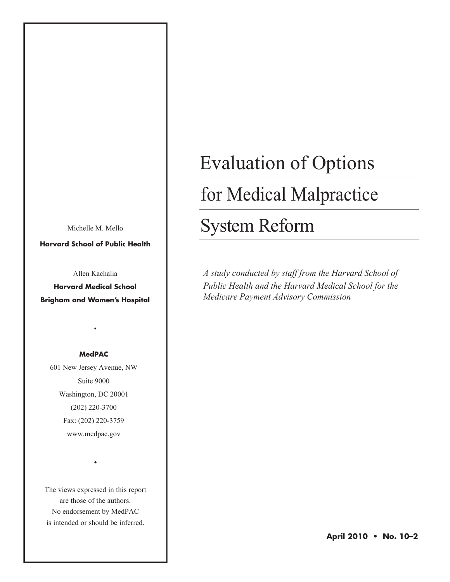Michelle M. Mello

**Harvard School of Public Health**

Allen Kachalia

**Harvard Medical School Brigham and Women's Hospital**

#### **MedPAC**

•

601 New Jersey Avenue, NW Suite 9000 Washington, DC 20001 (202) 220-3700 Fax: (202) 220-3759 www.medpac.gov

The views expressed in this report are those of the authors. No endorsement by MedPAC is intended or should be inferred.

•

# Evaluation of Options

# for Medical Malpractice

# System Reform

*A study conducted by staff from the Harvard School of Public Health and the Harvard Medical School for the Medicare Payment Advisory Commission*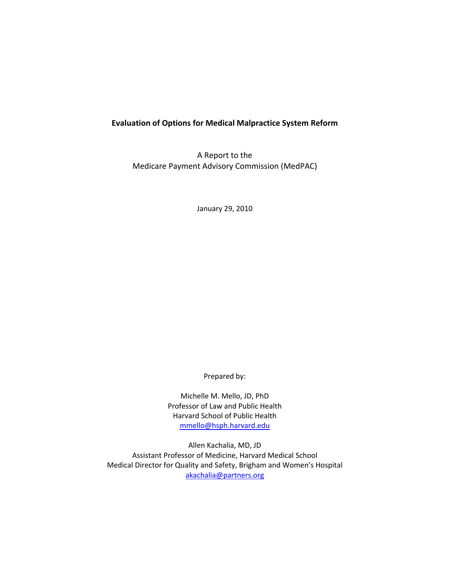#### **Evaluation of Options for Medical Malpractice System Reform**

A Report to the Medicare Payment Advisory Commission (MedPAC)

January 29, 2010

Prepared by:

Michelle M. Mello, JD, PhD Professor of Law and Public Health Harvard School of Public Health mmello@hsph.harvard.edu

Allen Kachalia, MD, JD Assistant Professor of Medicine, Harvard Medical School Medical Director for Quality and Safety, Brigham and Women's Hospital akachalia@partners.org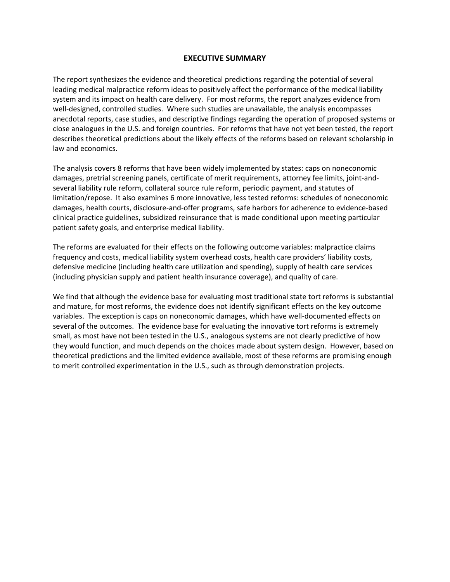#### **EXECUTIVE SUMMARY**

The report synthesizes the evidence and theoretical predictions regarding the potential of several leading medical malpractice reform ideas to positively affect the performance of the medical liability system and its impact on health care delivery. For most reforms, the report analyzes evidence from well-designed, controlled studies. Where such studies are unavailable, the analysis encompasses anecdotal reports, case studies, and descriptive findings regarding the operation of proposed systems or close analogues in the U.S. and foreign countries. For reforms that have not yet been tested, the report describes theoretical predictions about the likely effects of the reforms based on relevant scholarship in law and economics.

The analysis covers 8 reforms that have been widely implemented by states: caps on noneconomic damages, pretrial screening panels, certificate of merit requirements, attorney fee limits, joint‐and‐ several liability rule reform, collateral source rule reform, periodic payment, and statutes of limitation/repose. It also examines 6 more innovative, less tested reforms: schedules of noneconomic damages, health courts, disclosure‐and‐offer programs, safe harbors for adherence to evidence‐based clinical practice guidelines, subsidized reinsurance that is made conditional upon meeting particular patient safety goals, and enterprise medical liability.

The reforms are evaluated for their effects on the following outcome variables: malpractice claims frequency and costs, medical liability system overhead costs, health care providers' liability costs, defensive medicine (including health care utilization and spending), supply of health care services (including physician supply and patient health insurance coverage), and quality of care.

We find that although the evidence base for evaluating most traditional state tort reforms is substantial and mature, for most reforms, the evidence does not identify significant effects on the key outcome variables. The exception is caps on noneconomic damages, which have well‐documented effects on several of the outcomes. The evidence base for evaluating the innovative tort reforms is extremely small, as most have not been tested in the U.S., analogous systems are not clearly predictive of how they would function, and much depends on the choices made about system design. However, based on theoretical predictions and the limited evidence available, most of these reforms are promising enough to merit controlled experimentation in the U.S., such as through demonstration projects.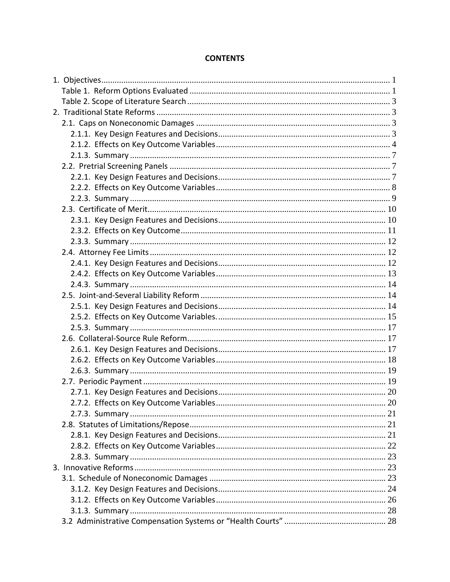# **CONTENTS**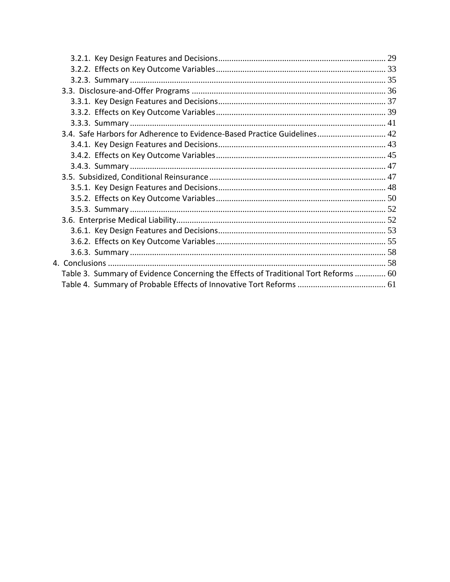| 3.4. Safe Harbors for Adherence to Evidence-Based Practice Guidelines 42            |  |
|-------------------------------------------------------------------------------------|--|
|                                                                                     |  |
|                                                                                     |  |
|                                                                                     |  |
|                                                                                     |  |
|                                                                                     |  |
|                                                                                     |  |
|                                                                                     |  |
|                                                                                     |  |
|                                                                                     |  |
|                                                                                     |  |
|                                                                                     |  |
|                                                                                     |  |
| Table 3. Summary of Evidence Concerning the Effects of Traditional Tort Reforms  60 |  |
|                                                                                     |  |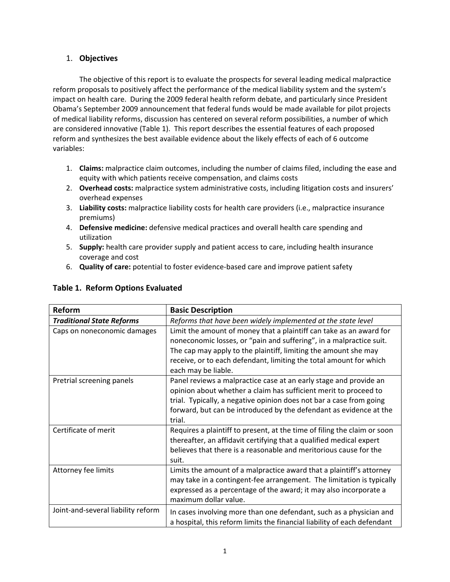#### 1. **Objectives**

The objective of this report is to evaluate the prospects for several leading medical malpractice reform proposals to positively affect the performance of the medical liability system and the system's impact on health care. During the 2009 federal health reform debate, and particularly since President Obama's September 2009 announcement that federal funds would be made available for pilot projects of medical liability reforms, discussion has centered on several reform possibilities, a number of which are considered innovative (Table 1). This report describes the essential features of each proposed reform and synthesizes the best available evidence about the likely effects of each of 6 outcome variables:

- 1. **Claims:** malpractice claim outcomes, including the number of claims filed, including the ease and equity with which patients receive compensation, and claims costs
- 2. **Overhead costs:** malpractice system administrative costs, including litigation costs and insurers' overhead expenses
- 3. **Liability costs:** malpractice liability costs for health care providers (i.e., malpractice insurance premiums)
- 4. **Defensive medicine:** defensive medical practices and overall health care spending and utilization
- 5. **Supply:** health care provider supply and patient access to care, including health insurance coverage and cost
- 6. **Quality of care:** potential to foster evidence‐based care and improve patient safety

| Reform                             | <b>Basic Description</b>                                                 |
|------------------------------------|--------------------------------------------------------------------------|
| <b>Traditional State Reforms</b>   | Reforms that have been widely implemented at the state level             |
| Caps on noneconomic damages        | Limit the amount of money that a plaintiff can take as an award for      |
|                                    | noneconomic losses, or "pain and suffering", in a malpractice suit.      |
|                                    | The cap may apply to the plaintiff, limiting the amount she may          |
|                                    | receive, or to each defendant, limiting the total amount for which       |
|                                    | each may be liable.                                                      |
| Pretrial screening panels          | Panel reviews a malpractice case at an early stage and provide an        |
|                                    | opinion about whether a claim has sufficient merit to proceed to         |
|                                    | trial. Typically, a negative opinion does not bar a case from going      |
|                                    | forward, but can be introduced by the defendant as evidence at the       |
|                                    | trial.                                                                   |
| Certificate of merit               | Requires a plaintiff to present, at the time of filing the claim or soon |
|                                    | thereafter, an affidavit certifying that a qualified medical expert      |
|                                    | believes that there is a reasonable and meritorious cause for the        |
|                                    | suit.                                                                    |
| Attorney fee limits                | Limits the amount of a malpractice award that a plaintiff's attorney     |
|                                    | may take in a contingent-fee arrangement. The limitation is typically    |
|                                    | expressed as a percentage of the award; it may also incorporate a        |
|                                    | maximum dollar value.                                                    |
| Joint-and-several liability reform | In cases involving more than one defendant, such as a physician and      |
|                                    | a hospital, this reform limits the financial liability of each defendant |

#### **Table 1. Reform Options Evaluated**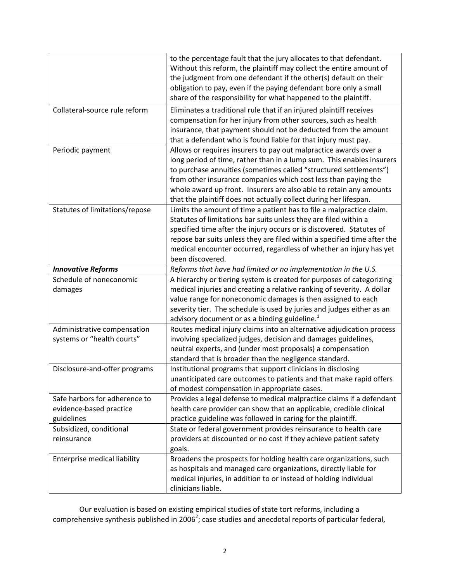|                                | to the percentage fault that the jury allocates to that defendant.       |
|--------------------------------|--------------------------------------------------------------------------|
|                                | Without this reform, the plaintiff may collect the entire amount of      |
|                                | the judgment from one defendant if the other(s) default on their         |
|                                | obligation to pay, even if the paying defendant bore only a small        |
|                                | share of the responsibility for what happened to the plaintiff.          |
| Collateral-source rule reform  | Eliminates a traditional rule that if an injured plaintiff receives      |
|                                | compensation for her injury from other sources, such as health           |
|                                | insurance, that payment should not be deducted from the amount           |
|                                | that a defendant who is found liable for that injury must pay.           |
| Periodic payment               | Allows or requires insurers to pay out malpractice awards over a         |
|                                | long period of time, rather than in a lump sum. This enables insurers    |
|                                | to purchase annuities (sometimes called "structured settlements")        |
|                                |                                                                          |
|                                | from other insurance companies which cost less than paying the           |
|                                | whole award up front. Insurers are also able to retain any amounts       |
|                                | that the plaintiff does not actually collect during her lifespan.        |
| Statutes of limitations/repose | Limits the amount of time a patient has to file a malpractice claim.     |
|                                | Statutes of limitations bar suits unless they are filed within a         |
|                                | specified time after the injury occurs or is discovered. Statutes of     |
|                                | repose bar suits unless they are filed within a specified time after the |
|                                | medical encounter occurred, regardless of whether an injury has yet      |
|                                | been discovered.                                                         |
| <b>Innovative Reforms</b>      | Reforms that have had limited or no implementation in the U.S.           |
| Schedule of noneconomic        | A hierarchy or tiering system is created for purposes of categorizing    |
| damages                        | medical injuries and creating a relative ranking of severity. A dollar   |
|                                | value range for noneconomic damages is then assigned to each             |
|                                | severity tier. The schedule is used by juries and judges either as an    |
|                                | advisory document or as a binding guideline. <sup>1</sup>                |
| Administrative compensation    | Routes medical injury claims into an alternative adjudication process    |
| systems or "health courts"     | involving specialized judges, decision and damages guidelines,           |
|                                | neutral experts, and (under most proposals) a compensation               |
|                                | standard that is broader than the negligence standard.                   |
| Disclosure-and-offer programs  | Institutional programs that support clinicians in disclosing             |
|                                | unanticipated care outcomes to patients and that make rapid offers       |
|                                | of modest compensation in appropriate cases.                             |
| Safe harbors for adherence to  | Provides a legal defense to medical malpractice claims if a defendant    |
| evidence-based practice        | health care provider can show that an applicable, credible clinical      |
|                                |                                                                          |
| guidelines                     | practice guideline was followed in caring for the plaintiff.             |
| Subsidized, conditional        | State or federal government provides reinsurance to health care          |
| reinsurance                    | providers at discounted or no cost if they achieve patient safety        |
|                                | goals.                                                                   |
| Enterprise medical liability   | Broadens the prospects for holding health care organizations, such       |
|                                | as hospitals and managed care organizations, directly liable for         |
|                                | medical injuries, in addition to or instead of holding individual        |
|                                | clinicians liable.                                                       |

Our evaluation is based on existing empirical studies of state tort reforms, including a comprehensive synthesis published in 2006<sup>2</sup>; case studies and anecdotal reports of particular federal,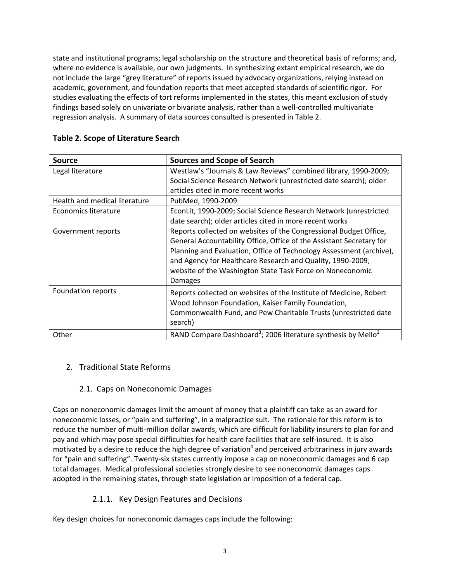state and institutional programs; legal scholarship on the structure and theoretical basis of reforms; and, where no evidence is available, our own judgments. In synthesizing extant empirical research, we do not include the large "grey literature" of reports issued by advocacy organizations, relying instead on academic, government, and foundation reports that meet accepted standards of scientific rigor. For studies evaluating the effects of tort reforms implemented in the states, this meant exclusion of study findings based solely on univariate or bivariate analysis, rather than a well‐controlled multivariate regression analysis. A summary of data sources consulted is presented in Table 2.

| <b>Source</b>                 | <b>Sources and Scope of Search</b>                                                                                                                                                                                                                                                                                                                     |
|-------------------------------|--------------------------------------------------------------------------------------------------------------------------------------------------------------------------------------------------------------------------------------------------------------------------------------------------------------------------------------------------------|
| Legal literature              | Westlaw's "Journals & Law Reviews" combined library, 1990-2009;                                                                                                                                                                                                                                                                                        |
|                               | Social Science Research Network (unrestricted date search); older                                                                                                                                                                                                                                                                                      |
|                               | articles cited in more recent works                                                                                                                                                                                                                                                                                                                    |
| Health and medical literature | PubMed, 1990-2009                                                                                                                                                                                                                                                                                                                                      |
| Economics literature          | EconLit, 1990-2009; Social Science Research Network (unrestricted                                                                                                                                                                                                                                                                                      |
|                               | date search); older articles cited in more recent works                                                                                                                                                                                                                                                                                                |
| Government reports            | Reports collected on websites of the Congressional Budget Office,<br>General Accountability Office, Office of the Assistant Secretary for<br>Planning and Evaluation, Office of Technology Assessment (archive),<br>and Agency for Healthcare Research and Quality, 1990-2009;<br>website of the Washington State Task Force on Noneconomic<br>Damages |
| Foundation reports            | Reports collected on websites of the Institute of Medicine, Robert<br>Wood Johnson Foundation, Kaiser Family Foundation,<br>Commonwealth Fund, and Pew Charitable Trusts (unrestricted date<br>search)                                                                                                                                                 |
| Other                         | RAND Compare Dashboard <sup>3</sup> ; 2006 literature synthesis by Mello <sup>2</sup>                                                                                                                                                                                                                                                                  |

#### **Table 2. Scope of Literature Search**

#### 2. Traditional State Reforms

#### 2.1. Caps on Noneconomic Damages

Caps on noneconomic damages limit the amount of money that a plaintiff can take as an award for noneconomic losses, or "pain and suffering", in a malpractice suit. The rationale for this reform is to reduce the number of multi‐million dollar awards, which are difficult for liability insurers to plan for and pay and which may pose special difficulties for health care facilities that are self-insured. It is also motivated by a desire to reduce the high degree of variation<sup>4</sup> and perceived arbitrariness in jury awards for "pain and suffering". Twenty‐six states currently impose a cap on noneconomic damages and 6 cap total damages. Medical professional societies strongly desire to see noneconomic damages caps adopted in the remaining states, through state legislation or imposition of a federal cap.

#### 2.1.1. Key Design Features and Decisions

Key design choices for noneconomic damages caps include the following: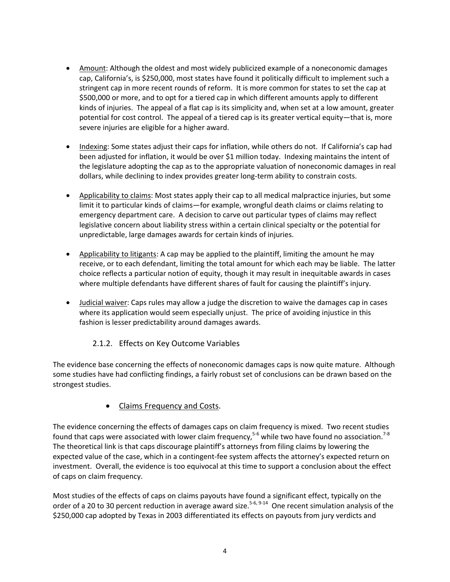- Amount: Although the oldest and most widely publicized example of a noneconomic damages cap, California's, is \$250,000, most states have found it politically difficult to implement such a stringent cap in more recent rounds of reform. It is more common for states to set the cap at \$500,000 or more, and to opt for a tiered cap in which different amounts apply to different kinds of injuries. The appeal of a flat cap is its simplicity and, when set at a low amount, greater potential for cost control. The appeal of a tiered cap is its greater vertical equity—that is, more severe injuries are eligible for a higher award.
- Indexing: Some states adjust their caps for inflation, while others do not. If California's cap had been adjusted for inflation, it would be over \$1 million today. Indexing maintains the intent of the legislature adopting the cap as to the appropriate valuation of noneconomic damages in real dollars, while declining to index provides greater long‐term ability to constrain costs.
- Applicability to claims: Most states apply their cap to all medical malpractice injuries, but some limit it to particular kinds of claims—for example, wrongful death claims or claims relating to emergency department care. A decision to carve out particular types of claims may reflect legislative concern about liability stress within a certain clinical specialty or the potential for unpredictable, large damages awards for certain kinds of injuries.
- Applicability to litigants: A cap may be applied to the plaintiff, limiting the amount he may receive, or to each defendant, limiting the total amount for which each may be liable. The latter choice reflects a particular notion of equity, though it may result in inequitable awards in cases where multiple defendants have different shares of fault for causing the plaintiff's injury.
- Judicial waiver: Caps rules may allow a judge the discretion to waive the damages cap in cases where its application would seem especially unjust. The price of avoiding injustice in this fashion is lesser predictability around damages awards.

#### 2.1.2. Effects on Key Outcome Variables

The evidence base concerning the effects of noneconomic damages caps is now quite mature. Although some studies have had conflicting findings, a fairly robust set of conclusions can be drawn based on the strongest studies.

#### Claims Frequency and Costs.

The evidence concerning the effects of damages caps on claim frequency is mixed. Two recent studies found that caps were associated with lower claim frequency,<sup>5-6</sup> while two have found no association.<sup>7-8</sup> The theoretical link is that caps discourage plaintiff's attorneys from filing claims by lowering the expected value of the case, which in a contingent-fee system affects the attorney's expected return on investment. Overall, the evidence is too equivocal at this time to support a conclusion about the effect of caps on claim frequency.

Most studies of the effects of caps on claims payouts have found a significant effect, typically on the order of a 20 to 30 percent reduction in average award size.<sup>5-6, 9-14</sup> One recent simulation analysis of the \$250,000 cap adopted by Texas in 2003 differentiated its effects on payouts from jury verdicts and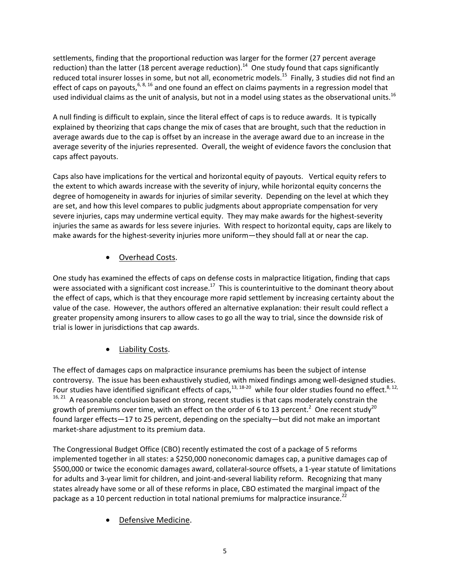settlements, finding that the proportional reduction was larger for the former (27 percent average reduction) than the latter (18 percent average reduction).<sup>14</sup> One study found that caps significantly reduced total insurer losses in some, but not all, econometric models.<sup>15</sup> Finally, 3 studies did not find an effect of caps on payouts,  $6, 8, 16$  and one found an effect on claims payments in a regression model that used individual claims as the unit of analysis, but not in a model using states as the observational units.<sup>16</sup>

A null finding is difficult to explain, since the literal effect of caps is to reduce awards. It is typically explained by theorizing that caps change the mix of cases that are brought, such that the reduction in average awards due to the cap is offset by an increase in the average award due to an increase in the average severity of the injuries represented. Overall, the weight of evidence favors the conclusion that caps affect payouts.

Caps also have implications for the vertical and horizontal equity of payouts. Vertical equity refers to the extent to which awards increase with the severity of injury, while horizontal equity concerns the degree of homogeneity in awards for injuries of similar severity. Depending on the level at which they are set, and how this level compares to public judgments about appropriate compensation for very severe injuries, caps may undermine vertical equity. They may make awards for the highest-severity injuries the same as awards for less severe injuries. With respect to horizontal equity, caps are likely to make awards for the highest-severity injuries more uniform—they should fall at or near the cap.

#### Overhead Costs.

One study has examined the effects of caps on defense costs in malpractice litigation, finding that caps were associated with a significant cost increase.<sup>17</sup> This is counterintuitive to the dominant theory about the effect of caps, which is that they encourage more rapid settlement by increasing certainty about the value of the case. However, the authors offered an alternative explanation: their result could reflect a greater propensity among insurers to allow cases to go all the way to trial, since the downside risk of trial is lower in jurisdictions that cap awards.

## Liability Costs.

The effect of damages caps on malpractice insurance premiums has been the subject of intense controversy. The issue has been exhaustively studied, with mixed findings among well-designed studies. Four studies have identified significant effects of caps,  $13, 18-20$  while four older studies found no effect.  $8, 12,$ <sup>16, 21</sup> A reasonable conclusion based on strong, recent studies is that caps moderately constrain the growth of premiums over time, with an effect on the order of 6 to 13 percent.<sup>2</sup> One recent study<sup>20</sup> found larger effects—17 to 25 percent, depending on the specialty—but did not make an important market-share adjustment to its premium data.

The Congressional Budget Office (CBO) recently estimated the cost of a package of 5 reforms implemented together in all states: a \$250,000 noneconomic damages cap, a punitive damages cap of \$500,000 or twice the economic damages award, collateral‐source offsets, a 1‐year statute of limitations for adults and 3‐year limit for children, and joint‐and‐several liability reform. Recognizing that many states already have some or all of these reforms in place, CBO estimated the marginal impact of the package as a 10 percent reduction in total national premiums for malpractice insurance.<sup>22</sup>

Defensive Medicine.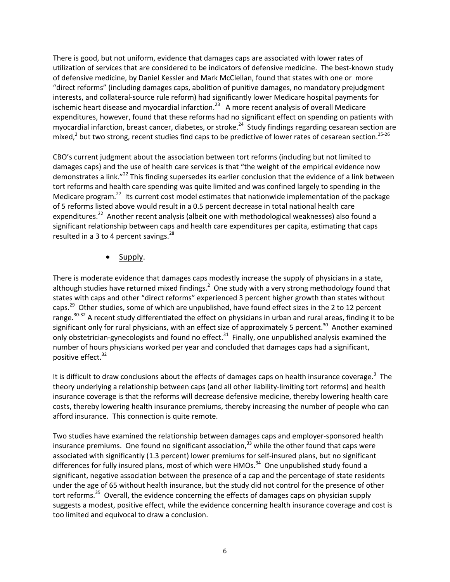There is good, but not uniform, evidence that damages caps are associated with lower rates of utilization of services that are considered to be indicators of defensive medicine. The best-known study of defensive medicine, by Daniel Kessler and Mark McClellan, found that states with one or more "direct reforms" (including damages caps, abolition of punitive damages, no mandatory prejudgment interests, and collateral‐source rule reform) had significantly lower Medicare hospital payments for ischemic heart disease and myocardial infarction.<sup>23</sup> A more recent analysis of overall Medicare expenditures, however, found that these reforms had no significant effect on spending on patients with myocardial infarction, breast cancer, diabetes, or stroke.<sup>24</sup> Study findings regarding cesarean section are mixed,<sup>2</sup> but two strong, recent studies find caps to be predictive of lower rates of cesarean section.<sup>25-26</sup>

CBO's current judgment about the association between tort reforms (including but not limited to damages caps) and the use of health care services is that "the weight of the empirical evidence now demonstrates a link."<sup>22</sup> This finding supersedes its earlier conclusion that the evidence of a link between tort reforms and health care spending was quite limited and was confined largely to spending in the Medicare program.<sup>27</sup> Its current cost model estimates that nationwide implementation of the package of 5 reforms listed above would result in a 0.5 percent decrease in total national health care expenditures.<sup>22</sup> Another recent analysis (albeit one with methodological weaknesses) also found a significant relationship between caps and health care expenditures per capita, estimating that caps resulted in a 3 to 4 percent savings. $^{28}$ 

Supply.

There is moderate evidence that damages caps modestly increase the supply of physicians in a state, although studies have returned mixed findings.<sup>2</sup> One study with a very strong methodology found that states with caps and other "direct reforms" experienced 3 percent higher growth than states without caps.<sup>29</sup> Other studies, some of which are unpublished, have found effect sizes in the 2 to 12 percent range.<sup>30-32</sup> A recent study differentiated the effect on physicians in urban and rural areas, finding it to be significant only for rural physicians, with an effect size of approximately 5 percent.<sup>30</sup> Another examined only obstetrician-gynecologists and found no effect.<sup>31</sup> Finally, one unpublished analysis examined the number of hours physicians worked per year and concluded that damages caps had a significant, positive effect.<sup>32</sup>

It is difficult to draw conclusions about the effects of damages caps on health insurance coverage.<sup>3</sup> The theory underlying a relationship between caps (and all other liability‐limiting tort reforms) and health insurance coverage is that the reforms will decrease defensive medicine, thereby lowering health care costs, thereby lowering health insurance premiums, thereby increasing the number of people who can afford insurance. This connection is quite remote.

Two studies have examined the relationship between damages caps and employer‐sponsored health insurance premiums. One found no significant association, $33$  while the other found that caps were associated with significantly (1.3 percent) lower premiums for self-insured plans, but no significant differences for fully insured plans, most of which were HMOs.<sup>34</sup> One unpublished study found a significant, negative association between the presence of a cap and the percentage of state residents under the age of 65 without health insurance, but the study did not control for the presence of other tort reforms.<sup>35</sup> Overall, the evidence concerning the effects of damages caps on physician supply suggests a modest, positive effect, while the evidence concerning health insurance coverage and cost is too limited and equivocal to draw a conclusion.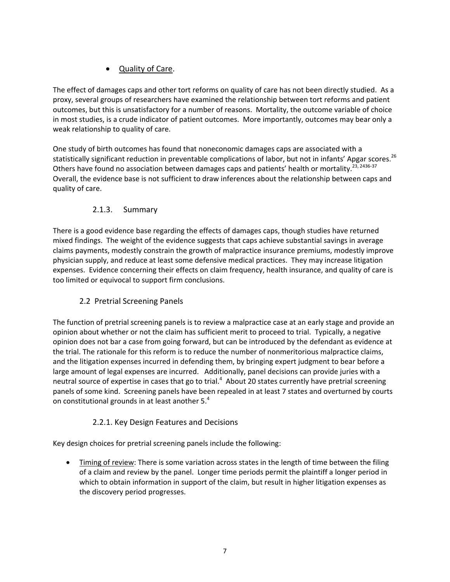# Quality of Care.

The effect of damages caps and other tort reforms on quality of care has not been directly studied. As a proxy, several groups of researchers have examined the relationship between tort reforms and patient outcomes, but this is unsatisfactory for a number of reasons. Mortality, the outcome variable of choice in most studies, is a crude indicator of patient outcomes. More importantly, outcomes may bear only a weak relationship to quality of care.

One study of birth outcomes has found that noneconomic damages caps are associated with a statistically significant reduction in preventable complications of labor, but not in infants' Apgar scores.<sup>26</sup> Others have found no association between damages caps and patients' health or mortality.<sup>23, 2436-37</sup> Overall, the evidence base is not sufficient to draw inferences about the relationship between caps and quality of care.

## 2.1.3. Summary

There is a good evidence base regarding the effects of damages caps, though studies have returned mixed findings. The weight of the evidence suggests that caps achieve substantial savings in average claims payments, modestly constrain the growth of malpractice insurance premiums, modestly improve physician supply, and reduce at least some defensive medical practices. They may increase litigation expenses. Evidence concerning their effects on claim frequency, health insurance, and quality of care is too limited or equivocal to support firm conclusions.

## 2.2 Pretrial Screening Panels

The function of pretrial screening panels is to review a malpractice case at an early stage and provide an opinion about whether or not the claim has sufficient merit to proceed to trial. Typically, a negative opinion does not bar a case from going forward, but can be introduced by the defendant as evidence at the trial. The rationale for this reform is to reduce the number of nonmeritorious malpractice claims, and the litigation expenses incurred in defending them, by bringing expert judgment to bear before a large amount of legal expenses are incurred. Additionally, panel decisions can provide juries with a neutral source of expertise in cases that go to trial.<sup>4</sup> About 20 states currently have pretrial screening panels of some kind. Screening panels have been repealed in at least 7 states and overturned by courts on constitutional grounds in at least another 5.<sup>4</sup>

# 2.2.1. Key Design Features and Decisions

Key design choices for pretrial screening panels include the following:

 Timing of review: There is some variation across states in the length of time between the filing of a claim and review by the panel. Longer time periods permit the plaintiff a longer period in which to obtain information in support of the claim, but result in higher litigation expenses as the discovery period progresses.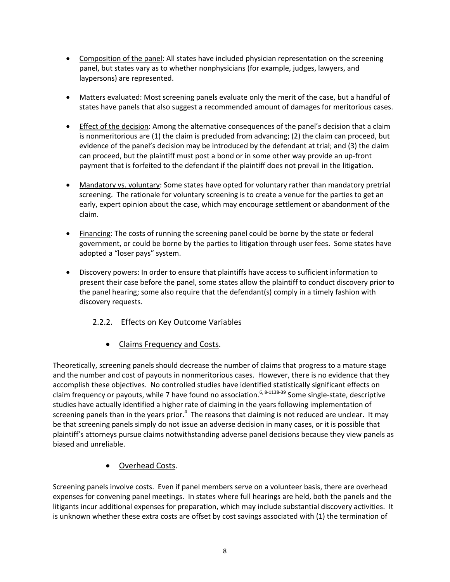- Composition of the panel: All states have included physician representation on the screening panel, but states vary as to whether nonphysicians (for example, judges, lawyers, and laypersons) are represented.
- Matters evaluated: Most screening panels evaluate only the merit of the case, but a handful of states have panels that also suggest a recommended amount of damages for meritorious cases.
- Effect of the decision: Among the alternative consequences of the panel's decision that a claim is nonmeritorious are (1) the claim is precluded from advancing; (2) the claim can proceed, but evidence of the panel's decision may be introduced by the defendant at trial; and (3) the claim can proceed, but the plaintiff must post a bond or in some other way provide an up-front payment that is forfeited to the defendant if the plaintiff does not prevail in the litigation.
- Mandatory vs. voluntary: Some states have opted for voluntary rather than mandatory pretrial screening. The rationale for voluntary screening is to create a venue for the parties to get an early, expert opinion about the case, which may encourage settlement or abandonment of the claim.
- Financing: The costs of running the screening panel could be borne by the state or federal government, or could be borne by the parties to litigation through user fees. Some states have adopted a "loser pays" system.
- **Discovery powers:** In order to ensure that plaintiffs have access to sufficient information to present their case before the panel, some states allow the plaintiff to conduct discovery prior to the panel hearing; some also require that the defendant(s) comply in a timely fashion with discovery requests.
	- 2.2.2. Effects on Key Outcome Variables
		- Claims Frequency and Costs.

Theoretically, screening panels should decrease the number of claims that progress to a mature stage and the number and cost of payouts in nonmeritorious cases. However, there is no evidence that they accomplish these objectives. No controlled studies have identified statistically significant effects on claim frequency or payouts, while 7 have found no association.<sup>6, 8-1138-39</sup> Some single-state, descriptive studies have actually identified a higher rate of claiming in the years following implementation of screening panels than in the years prior.<sup>4</sup> The reasons that claiming is not reduced are unclear. It may be that screening panels simply do not issue an adverse decision in many cases, or it is possible that plaintiff's attorneys pursue claims notwithstanding adverse panel decisions because they view panels as biased and unreliable.

Overhead Costs.

Screening panels involve costs. Even if panel members serve on a volunteer basis, there are overhead expenses for convening panel meetings. In states where full hearings are held, both the panels and the litigants incur additional expenses for preparation, which may include substantial discovery activities. It is unknown whether these extra costs are offset by cost savings associated with (1) the termination of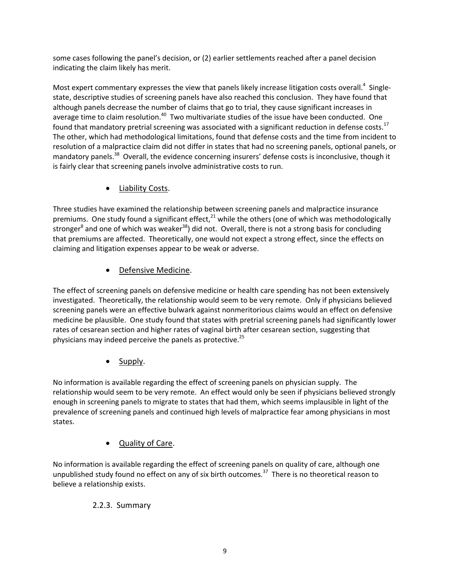some cases following the panel's decision, or (2) earlier settlements reached after a panel decision indicating the claim likely has merit.

Most expert commentary expresses the view that panels likely increase litigation costs overall.<sup>4</sup> Singlestate, descriptive studies of screening panels have also reached this conclusion. They have found that although panels decrease the number of claims that go to trial, they cause significant increases in average time to claim resolution.<sup>40</sup> Two multivariate studies of the issue have been conducted. One found that mandatory pretrial screening was associated with a significant reduction in defense costs.<sup>17</sup> The other, which had methodological limitations, found that defense costs and the time from incident to resolution of a malpractice claim did not differ in states that had no screening panels, optional panels, or mandatory panels.<sup>38</sup> Overall, the evidence concerning insurers' defense costs is inconclusive, though it is fairly clear that screening panels involve administrative costs to run.

Liability Costs.

Three studies have examined the relationship between screening panels and malpractice insurance premiums. One study found a significant effect, $^{21}$  while the others (one of which was methodologically stronger<sup>8</sup> and one of which was weaker<sup>38</sup>) did not. Overall, there is not a strong basis for concluding that premiums are affected. Theoretically, one would not expect a strong effect, since the effects on claiming and litigation expenses appear to be weak or adverse.

## Defensive Medicine.

The effect of screening panels on defensive medicine or health care spending has not been extensively investigated. Theoretically, the relationship would seem to be very remote. Only if physicians believed screening panels were an effective bulwark against nonmeritorious claims would an effect on defensive medicine be plausible. One study found that states with pretrial screening panels had significantly lower rates of cesarean section and higher rates of vaginal birth after cesarean section, suggesting that physicians may indeed perceive the panels as protective.<sup>25</sup>

Supply.

No information is available regarding the effect of screening panels on physician supply. The relationship would seem to be very remote. An effect would only be seen if physicians believed strongly enough in screening panels to migrate to states that had them, which seems implausible in light of the prevalence of screening panels and continued high levels of malpractice fear among physicians in most states.

Quality of Care.

No information is available regarding the effect of screening panels on quality of care, although one unpublished study found no effect on any of six birth outcomes.<sup>37</sup> There is no theoretical reason to believe a relationship exists.

#### 2.2.3. Summary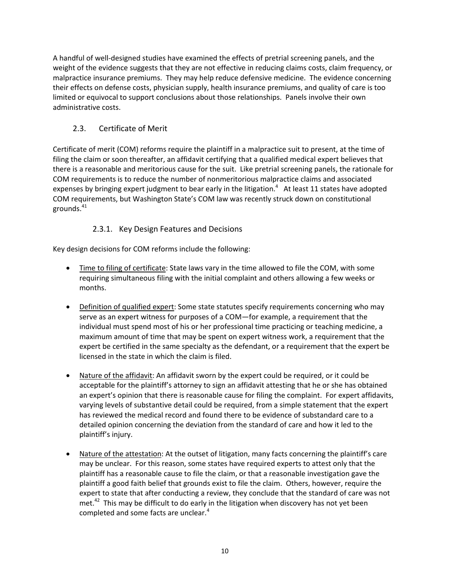A handful of well‐designed studies have examined the effects of pretrial screening panels, and the weight of the evidence suggests that they are not effective in reducing claims costs, claim frequency, or malpractice insurance premiums. They may help reduce defensive medicine. The evidence concerning their effects on defense costs, physician supply, health insurance premiums, and quality of care is too limited or equivocal to support conclusions about those relationships. Panels involve their own administrative costs.

#### 2.3. Certificate of Merit

Certificate of merit (COM) reforms require the plaintiff in a malpractice suit to present, at the time of filing the claim or soon thereafter, an affidavit certifying that a qualified medical expert believes that there is a reasonable and meritorious cause for the suit. Like pretrial screening panels, the rationale for COM requirements is to reduce the number of nonmeritorious malpractice claims and associated expenses by bringing expert judgment to bear early in the litigation.<sup>4</sup> At least 11 states have adopted COM requirements, but Washington State's COM law was recently struck down on constitutional grounds. $41$ 

#### 2.3.1. Key Design Features and Decisions

Key design decisions for COM reforms include the following:

- Time to filing of certificate: State laws vary in the time allowed to file the COM, with some requiring simultaneous filing with the initial complaint and others allowing a few weeks or months.
- Definition of qualified expert: Some state statutes specify requirements concerning who may serve as an expert witness for purposes of a COM—for example, a requirement that the individual must spend most of his or her professional time practicing or teaching medicine, a maximum amount of time that may be spent on expert witness work, a requirement that the expert be certified in the same specialty as the defendant, or a requirement that the expert be licensed in the state in which the claim is filed.
- Nature of the affidavit: An affidavit sworn by the expert could be required, or it could be acceptable for the plaintiff's attorney to sign an affidavit attesting that he or she has obtained an expert's opinion that there is reasonable cause for filing the complaint. For expert affidavits, varying levels of substantive detail could be required, from a simple statement that the expert has reviewed the medical record and found there to be evidence of substandard care to a detailed opinion concerning the deviation from the standard of care and how it led to the plaintiff's injury.
- Nature of the attestation: At the outset of litigation, many facts concerning the plaintiff's care may be unclear. For this reason, some states have required experts to attest only that the plaintiff has a reasonable cause to file the claim, or that a reasonable investigation gave the plaintiff a good faith belief that grounds exist to file the claim. Others, however, require the expert to state that after conducting a review, they conclude that the standard of care was not met. $42$  This may be difficult to do early in the litigation when discovery has not yet been completed and some facts are unclear.<sup>4</sup>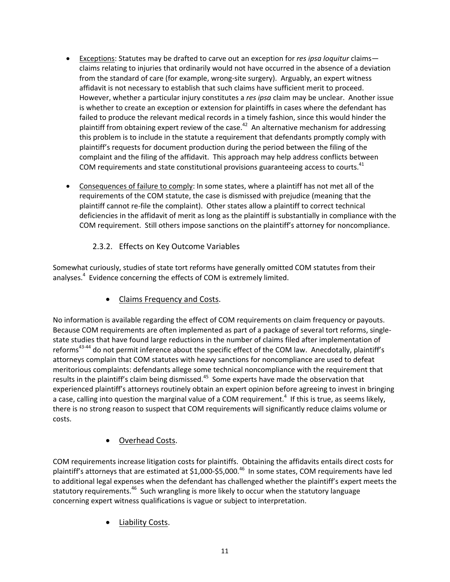- Exceptions: Statutes may be drafted to carve out an exception for *res ipsa loquitur* claims claims relating to injuries that ordinarily would not have occurred in the absence of a deviation from the standard of care (for example, wrong-site surgery). Arguably, an expert witness affidavit is not necessary to establish that such claims have sufficient merit to proceed. However, whether a particular injury constitutes a *res ipsa* claim may be unclear. Another issue is whether to create an exception or extension for plaintiffs in cases where the defendant has failed to produce the relevant medical records in a timely fashion, since this would hinder the plaintiff from obtaining expert review of the case.<sup>42</sup> An alternative mechanism for addressing this problem is to include in the statute a requirement that defendants promptly comply with plaintiff's requests for document production during the period between the filing of the complaint and the filing of the affidavit. This approach may help address conflicts between COM requirements and state constitutional provisions guaranteeing access to courts.<sup>41</sup>
- Consequences of failure to comply: In some states, where a plaintiff has not met all of the requirements of the COM statute, the case is dismissed with prejudice (meaning that the plaintiff cannot re‐file the complaint). Other states allow a plaintiff to correct technical deficiencies in the affidavit of merit as long as the plaintiff is substantially in compliance with the COM requirement. Still others impose sanctions on the plaintiff's attorney for noncompliance.

#### 2.3.2. Effects on Key Outcome Variables

Somewhat curiously, studies of state tort reforms have generally omitted COM statutes from their analyses.<sup>4</sup> Evidence concerning the effects of COM is extremely limited.

Claims Frequency and Costs.

No information is available regarding the effect of COM requirements on claim frequency or payouts. Because COM requirements are often implemented as part of a package of several tort reforms, single‐ state studies that have found large reductions in the number of claims filed after implementation of reforms<sup>43-44</sup> do not permit inference about the specific effect of the COM law. Anecdotally, plaintiff's attorneys complain that COM statutes with heavy sanctions for noncompliance are used to defeat meritorious complaints: defendants allege some technical noncompliance with the requirement that results in the plaintiff's claim being dismissed.<sup>45</sup> Some experts have made the observation that experienced plaintiff's attorneys routinely obtain an expert opinion before agreeing to invest in bringing a case, calling into question the marginal value of a COM requirement.<sup>4</sup> If this is true, as seems likely, there is no strong reason to suspect that COM requirements will significantly reduce claims volume or costs.

## Overhead Costs.

COM requirements increase litigation costs for plaintiffs. Obtaining the affidavits entails direct costs for plaintiff's attorneys that are estimated at \$1,000-\$5,000.<sup>46</sup> In some states, COM requirements have led to additional legal expenses when the defendant has challenged whether the plaintiff's expert meets the statutory requirements.<sup>46</sup> Such wrangling is more likely to occur when the statutory language concerning expert witness qualifications is vague or subject to interpretation.

Liability Costs.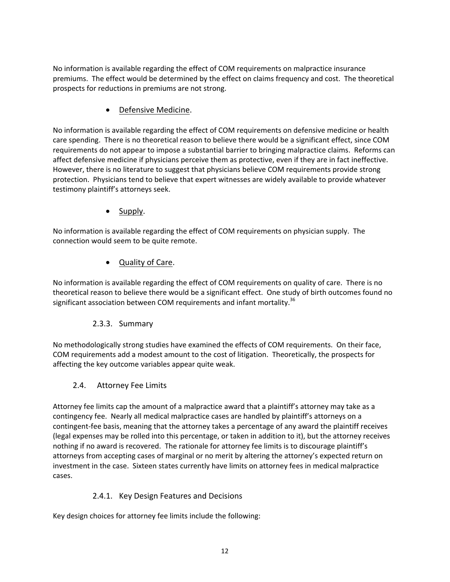No information is available regarding the effect of COM requirements on malpractice insurance premiums. The effect would be determined by the effect on claims frequency and cost. The theoretical prospects for reductions in premiums are not strong.

Defensive Medicine.

No information is available regarding the effect of COM requirements on defensive medicine or health care spending. There is no theoretical reason to believe there would be a significant effect, since COM requirements do not appear to impose a substantial barrier to bringing malpractice claims. Reforms can affect defensive medicine if physicians perceive them as protective, even if they are in fact ineffective. However, there is no literature to suggest that physicians believe COM requirements provide strong protection. Physicians tend to believe that expert witnesses are widely available to provide whatever testimony plaintiff's attorneys seek.

Supply.

No information is available regarding the effect of COM requirements on physician supply. The connection would seem to be quite remote.

Quality of Care.

No information is available regarding the effect of COM requirements on quality of care. There is no theoretical reason to believe there would be a significant effect. One study of birth outcomes found no significant association between COM requirements and infant mortality.<sup>36</sup>

## 2.3.3. Summary

No methodologically strong studies have examined the effects of COM requirements. On their face, COM requirements add a modest amount to the cost of litigation. Theoretically, the prospects for affecting the key outcome variables appear quite weak.

2.4. Attorney Fee Limits

Attorney fee limits cap the amount of a malpractice award that a plaintiff's attorney may take as a contingency fee. Nearly all medical malpractice cases are handled by plaintiff's attorneys on a contingent‐fee basis, meaning that the attorney takes a percentage of any award the plaintiff receives (legal expenses may be rolled into this percentage, or taken in addition to it), but the attorney receives nothing if no award is recovered. The rationale for attorney fee limits is to discourage plaintiff's attorneys from accepting cases of marginal or no merit by altering the attorney's expected return on investment in the case. Sixteen states currently have limits on attorney fees in medical malpractice cases.

## 2.4.1. Key Design Features and Decisions

Key design choices for attorney fee limits include the following: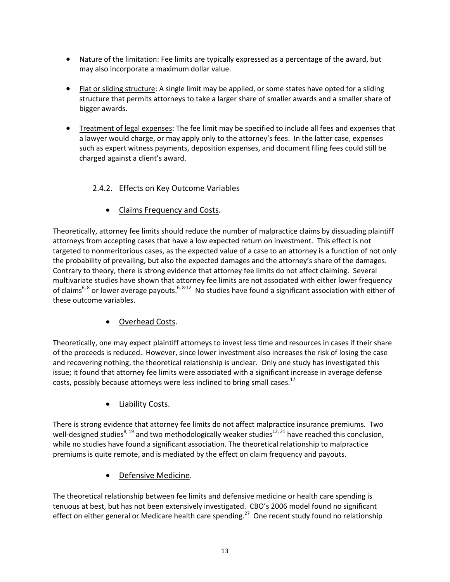- Nature of the limitation: Fee limits are typically expressed as a percentage of the award, but may also incorporate a maximum dollar value.
- Flat or sliding structure: A single limit may be applied, or some states have opted for a sliding structure that permits attorneys to take a larger share of smaller awards and a smaller share of bigger awards.
- Treatment of legal expenses: The fee limit may be specified to include all fees and expenses that a lawyer would charge, or may apply only to the attorney's fees. In the latter case, expenses such as expert witness payments, deposition expenses, and document filing fees could still be charged against a client's award.

#### 2.4.2. Effects on Key Outcome Variables

Claims Frequency and Costs.

Theoretically, attorney fee limits should reduce the number of malpractice claims by dissuading plaintiff attorneys from accepting cases that have a low expected return on investment. This effect is not targeted to nonmeritorious cases, as the expected value of a case to an attorney is a function of not only the probability of prevailing, but also the expected damages and the attorney's share of the damages. Contrary to theory, there is strong evidence that attorney fee limits do not affect claiming. Several multivariate studies have shown that attorney fee limits are not associated with either lower frequency of claims<sup>6, 8</sup> or lower average payouts.<sup>6, 8-12</sup> No studies have found a significant association with either of these outcome variables.

Overhead Costs.

Theoretically, one may expect plaintiff attorneys to invest less time and resources in cases if their share of the proceeds is reduced. However, since lower investment also increases the risk of losing the case and recovering nothing, the theoretical relationship is unclear. Only one study has investigated this issue; it found that attorney fee limits were associated with a significant increase in average defense costs, possibly because attorneys were less inclined to bring small cases.<sup>17</sup>

Liability Costs.

There is strong evidence that attorney fee limits do not affect malpractice insurance premiums. Two well-designed studies<sup>8, 19</sup> and two methodologically weaker studies<sup>12, 21</sup> have reached this conclusion, while no studies have found a significant association. The theoretical relationship to malpractice premiums is quite remote, and is mediated by the effect on claim frequency and payouts.

Defensive Medicine.

The theoretical relationship between fee limits and defensive medicine or health care spending is tenuous at best, but has not been extensively investigated. CBO's 2006 model found no significant effect on either general or Medicare health care spending.<sup>27</sup> One recent study found no relationship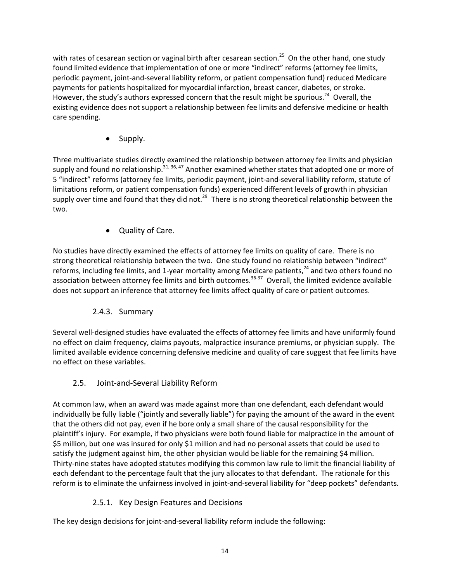with rates of cesarean section or vaginal birth after cesarean section.<sup>25</sup> On the other hand, one study found limited evidence that implementation of one or more "indirect" reforms (attorney fee limits, periodic payment, joint‐and‐several liability reform, or patient compensation fund) reduced Medicare payments for patients hospitalized for myocardial infarction, breast cancer, diabetes, or stroke. However, the study's authors expressed concern that the result might be spurious.<sup>24</sup> Overall, the existing evidence does not support a relationship between fee limits and defensive medicine or health care spending.

Supply.

Three multivariate studies directly examined the relationship between attorney fee limits and physician supply and found no relationship.<sup>31, 36, 47</sup> Another examined whether states that adopted one or more of 5 "indirect" reforms (attorney fee limits, periodic payment, joint‐and‐several liability reform, statute of limitations reform, or patient compensation funds) experienced different levels of growth in physician supply over time and found that they did not.<sup>29</sup> There is no strong theoretical relationship between the two.

#### Quality of Care.

No studies have directly examined the effects of attorney fee limits on quality of care. There is no strong theoretical relationship between the two. One study found no relationship between "indirect" reforms, including fee limits, and 1-year mortality among Medicare patients,<sup>24</sup> and two others found no association between attorney fee limits and birth outcomes.<sup>36-37</sup> Overall, the limited evidence available does not support an inference that attorney fee limits affect quality of care or patient outcomes.

#### 2.4.3. Summary

Several well‐designed studies have evaluated the effects of attorney fee limits and have uniformly found no effect on claim frequency, claims payouts, malpractice insurance premiums, or physician supply. The limited available evidence concerning defensive medicine and quality of care suggest that fee limits have no effect on these variables.

#### 2.5. Joint‐and‐Several Liability Reform

At common law, when an award was made against more than one defendant, each defendant would individually be fully liable ("jointly and severally liable") for paying the amount of the award in the event that the others did not pay, even if he bore only a small share of the causal responsibility for the plaintiff's injury. For example, if two physicians were both found liable for malpractice in the amount of \$5 million, but one was insured for only \$1 million and had no personal assets that could be used to satisfy the judgment against him, the other physician would be liable for the remaining \$4 million. Thirty‐nine states have adopted statutes modifying this common law rule to limit the financial liability of each defendant to the percentage fault that the jury allocates to that defendant. The rationale for this reform is to eliminate the unfairness involved in joint-and-several liability for "deep pockets" defendants.

#### 2.5.1. Key Design Features and Decisions

The key design decisions for joint‐and‐several liability reform include the following: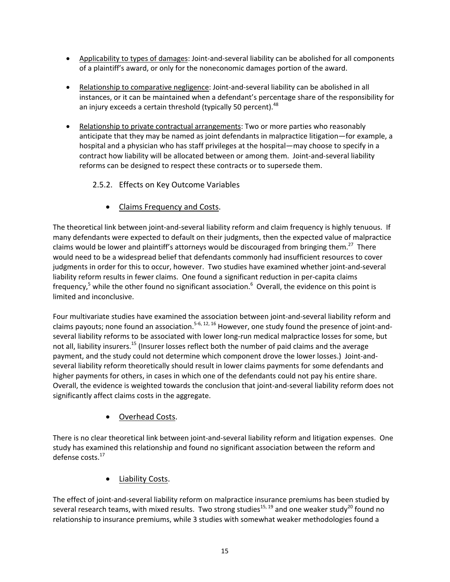- Applicability to types of damages: Joint-and-several liability can be abolished for all components of a plaintiff's award, or only for the noneconomic damages portion of the award.
- Relationship to comparative negligence: Joint-and-several liability can be abolished in all instances, or it can be maintained when a defendant's percentage share of the responsibility for an injury exceeds a certain threshold (typically 50 percent).<sup>48</sup>
- Relationship to private contractual arrangements: Two or more parties who reasonably anticipate that they may be named as joint defendants in malpractice litigation—for example, a hospital and a physician who has staff privileges at the hospital—may choose to specify in a contract how liability will be allocated between or among them. Joint-and-several liability reforms can be designed to respect these contracts or to supersede them.

#### 2.5.2. Effects on Key Outcome Variables

Claims Frequency and Costs.

The theoretical link between joint‐and‐several liability reform and claim frequency is highly tenuous. If many defendants were expected to default on their judgments, then the expected value of malpractice claims would be lower and plaintiff's attorneys would be discouraged from bringing them.<sup>27</sup> There would need to be a widespread belief that defendants commonly had insufficient resources to cover judgments in order for this to occur, however. Two studies have examined whether joint‐and‐several liability reform results in fewer claims. One found a significant reduction in per-capita claims frequency,<sup>5</sup> while the other found no significant association.<sup>6</sup> Overall, the evidence on this point is limited and inconclusive.

Four multivariate studies have examined the association between joint-and-several liability reform and claims payouts; none found an association.<sup>5-6, 12, 16</sup> However, one study found the presence of joint-andseveral liability reforms to be associated with lower long-run medical malpractice losses for some, but not all, liability insurers.<sup>15</sup> (Insurer losses reflect both the number of paid claims and the average payment, and the study could not determine which component drove the lower losses.) Joint‐and‐ several liability reform theoretically should result in lower claims payments for some defendants and higher payments for others, in cases in which one of the defendants could not pay his entire share. Overall, the evidence is weighted towards the conclusion that joint‐and‐several liability reform does not significantly affect claims costs in the aggregate.

Overhead Costs.

There is no clear theoretical link between joint‐and‐several liability reform and litigation expenses. One study has examined this relationship and found no significant association between the reform and defense costs.<sup>17</sup>

Liability Costs.

The effect of joint-and-several liability reform on malpractice insurance premiums has been studied by several research teams, with mixed results. Two strong studies<sup>15, 19</sup> and one weaker study<sup>20</sup> found no relationship to insurance premiums, while 3 studies with somewhat weaker methodologies found a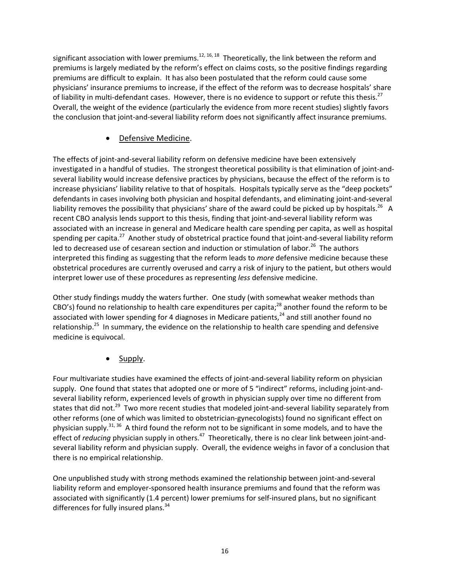significant association with lower premiums.<sup>12, 16, 18</sup> Theoretically, the link between the reform and premiums is largely mediated by the reform's effect on claims costs, so the positive findings regarding premiums are difficult to explain. It has also been postulated that the reform could cause some physicians' insurance premiums to increase, if the effect of the reform was to decrease hospitals' share of liability in multi-defendant cases. However, there is no evidence to support or refute this thesis.<sup>27</sup> Overall, the weight of the evidence (particularly the evidence from more recent studies) slightly favors the conclusion that joint‐and‐several liability reform does not significantly affect insurance premiums.

#### Defensive Medicine.

The effects of joint-and-several liability reform on defensive medicine have been extensively investigated in a handful of studies. The strongest theoretical possibility is that elimination of joint‐and‐ several liability would increase defensive practices by physicians, because the effect of the reform is to increase physicians' liability relative to that of hospitals. Hospitals typically serve as the "deep pockets" defendants in cases involving both physician and hospital defendants, and eliminating joint‐and‐several liability removes the possibility that physicians' share of the award could be picked up by hospitals.<sup>26</sup> A recent CBO analysis lends support to this thesis, finding that joint-and-several liability reform was associated with an increase in general and Medicare health care spending per capita, as well as hospital spending per capita.<sup>27</sup> Another study of obstetrical practice found that joint-and-several liability reform led to decreased use of cesarean section and induction or stimulation of labor.<sup>26</sup> The authors interpreted this finding as suggesting that the reform leads to *more* defensive medicine because these obstetrical procedures are currently overused and carry a risk of injury to the patient, but others would interpret lower use of these procedures as representing *less* defensive medicine.

Other study findings muddy the waters further. One study (with somewhat weaker methods than CBO's) found no relationship to health care expenditures per capita;<sup>28</sup> another found the reform to be associated with lower spending for 4 diagnoses in Medicare patients, $^{24}$  and still another found no relationship.<sup>25</sup> In summary, the evidence on the relationship to health care spending and defensive medicine is equivocal.

Supply.

Four multivariate studies have examined the effects of joint‐and‐several liability reform on physician supply. One found that states that adopted one or more of 5 "indirect" reforms, including joint-andseveral liability reform, experienced levels of growth in physician supply over time no different from states that did not.<sup>29</sup> Two more recent studies that modeled joint-and-several liability separately from other reforms (one of which was limited to obstetrician‐gynecologists) found no significant effect on physician supply.<sup>31, 36</sup> A third found the reform not to be significant in some models, and to have the effect of *reducing* physician supply in others.<sup>47</sup> Theoretically, there is no clear link between joint-andseveral liability reform and physician supply. Overall, the evidence weighs in favor of a conclusion that there is no empirical relationship.

One unpublished study with strong methods examined the relationship between joint‐and‐several liability reform and employer‐sponsored health insurance premiums and found that the reform was associated with significantly (1.4 percent) lower premiums for self‐insured plans, but no significant differences for fully insured plans.<sup>34</sup>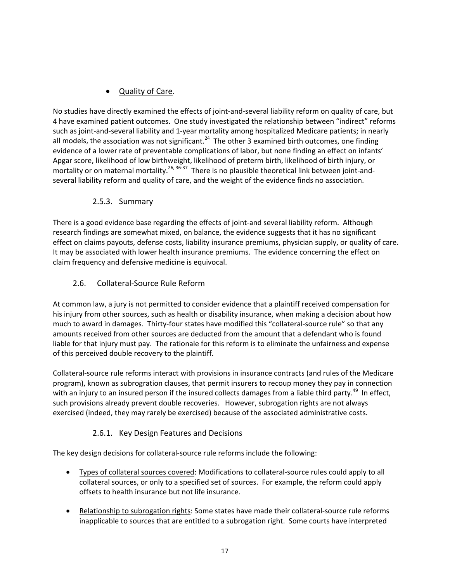## Quality of Care.

No studies have directly examined the effects of joint‐and‐several liability reform on quality of care, but 4 have examined patient outcomes. One study investigated the relationship between "indirect" reforms such as joint-and-several liability and 1-year mortality among hospitalized Medicare patients; in nearly all models, the association was not significant.<sup>24</sup> The other 3 examined birth outcomes, one finding evidence of a lower rate of preventable complications of labor, but none finding an effect on infants' Apgar score, likelihood of low birthweight, likelihood of preterm birth, likelihood of birth injury, or mortality or on maternal mortality.<sup>26, 36-37</sup> There is no plausible theoretical link between joint-andseveral liability reform and quality of care, and the weight of the evidence finds no association.

#### 2.5.3. Summary

There is a good evidence base regarding the effects of joint‐and several liability reform. Although research findings are somewhat mixed, on balance, the evidence suggests that it has no significant effect on claims payouts, defense costs, liability insurance premiums, physician supply, or quality of care. It may be associated with lower health insurance premiums. The evidence concerning the effect on claim frequency and defensive medicine is equivocal.

#### 2.6. Collateral‐Source Rule Reform

At common law, a jury is not permitted to consider evidence that a plaintiff received compensation for his injury from other sources, such as health or disability insurance, when making a decision about how much to award in damages. Thirty-four states have modified this "collateral-source rule" so that any amounts received from other sources are deducted from the amount that a defendant who is found liable for that injury must pay. The rationale for this reform is to eliminate the unfairness and expense of this perceived double recovery to the plaintiff.

Collateral‐source rule reforms interact with provisions in insurance contracts (and rules of the Medicare program), known as subrogration clauses, that permit insurers to recoup money they pay in connection with an injury to an insured person if the insured collects damages from a liable third party.<sup>49</sup> In effect, such provisions already prevent double recoveries. However, subrogation rights are not always exercised (indeed, they may rarely be exercised) because of the associated administrative costs.

#### 2.6.1. Key Design Features and Decisions

The key design decisions for collateral‐source rule reforms include the following:

- Types of collateral sources covered: Modifications to collateral-source rules could apply to all collateral sources, or only to a specified set of sources. For example, the reform could apply offsets to health insurance but not life insurance.
- Relationship to subrogation rights: Some states have made their collateral‐source rule reforms inapplicable to sources that are entitled to a subrogation right. Some courts have interpreted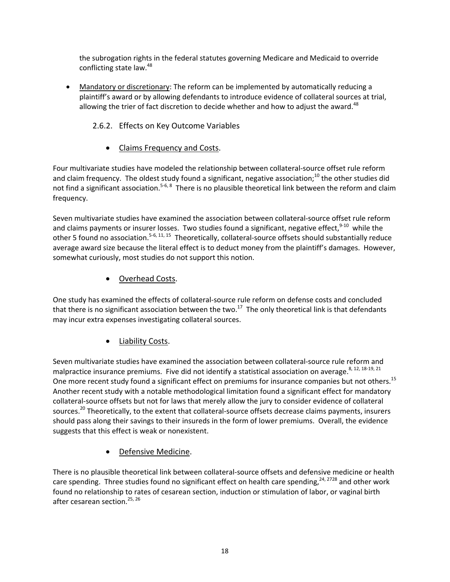the subrogation rights in the federal statutes governing Medicare and Medicaid to override conflicting state law.<sup>48</sup>

 Mandatory or discretionary: The reform can be implemented by automatically reducing a plaintiff's award or by allowing defendants to introduce evidence of collateral sources at trial, allowing the trier of fact discretion to decide whether and how to adiust the award. $48$ 

#### 2.6.2. Effects on Key Outcome Variables

Claims Frequency and Costs.

Four multivariate studies have modeled the relationship between collateral‐source offset rule reform and claim frequency. The oldest study found a significant, negative association;<sup>10</sup> the other studies did not find a significant association.<sup>5-6, 8</sup> There is no plausible theoretical link between the reform and claim frequency.

Seven multivariate studies have examined the association between collateral‐source offset rule reform and claims payments or insurer losses. Two studies found a significant, negative effect, <sup>9-10</sup> while the other 5 found no association.<sup>5-6, 11, 15</sup> Theoretically, collateral-source offsets should substantially reduce average award size because the literal effect is to deduct money from the plaintiff's damages. However, somewhat curiously, most studies do not support this notion.

#### • Overhead Costs.

One study has examined the effects of collateral‐source rule reform on defense costs and concluded that there is no significant association between the two.<sup>17</sup> The only theoretical link is that defendants may incur extra expenses investigating collateral sources.

#### Liability Costs.

Seven multivariate studies have examined the association between collateral‐source rule reform and malpractice insurance premiums. Five did not identify a statistical association on average.  $8, 12, 18-19, 21$ One more recent study found a significant effect on premiums for insurance companies but not others.<sup>15</sup> Another recent study with a notable methodological limitation found a significant effect for mandatory collateral‐source offsets but not for laws that merely allow the jury to consider evidence of collateral sources.<sup>20</sup> Theoretically, to the extent that collateral-source offsets decrease claims payments, insurers should pass along their savings to their insureds in the form of lower premiums. Overall, the evidence suggests that this effect is weak or nonexistent.

#### Defensive Medicine.

There is no plausible theoretical link between collateral‐source offsets and defensive medicine or health care spending. Three studies found no significant effect on health care spending,<sup>24, 2728</sup> and other work found no relationship to rates of cesarean section, induction or stimulation of labor, or vaginal birth after cesarean section.<sup>25, 26</sup>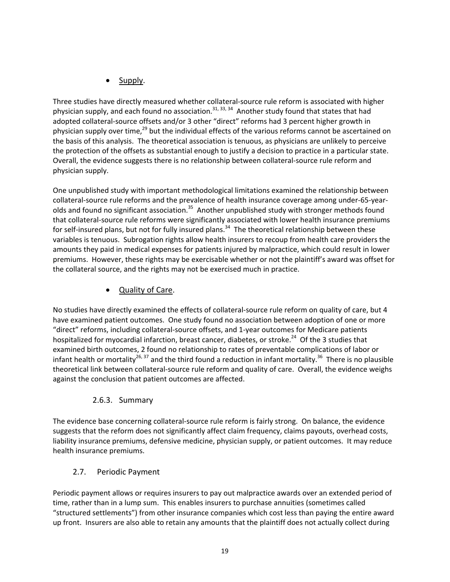Supply.

Three studies have directly measured whether collateral‐source rule reform is associated with higher physician supply, and each found no association.<sup>31, 33, 34</sup> Another study found that states that had adopted collateral-source offsets and/or 3 other "direct" reforms had 3 percent higher growth in physician supply over time, $^{29}$  but the individual effects of the various reforms cannot be ascertained on the basis of this analysis. The theoretical association is tenuous, as physicians are unlikely to perceive the protection of the offsets as substantial enough to justify a decision to practice in a particular state. Overall, the evidence suggests there is no relationship between collateral‐source rule reform and physician supply.

One unpublished study with important methodological limitations examined the relationship between collateral‐source rule reforms and the prevalence of health insurance coverage among under‐65‐year‐ olds and found no significant association.<sup>35</sup> Another unpublished study with stronger methods found that collateral‐source rule reforms were significantly associated with lower health insurance premiums for self-insured plans, but not for fully insured plans.<sup>34</sup> The theoretical relationship between these variables is tenuous. Subrogation rights allow health insurers to recoup from health care providers the amounts they paid in medical expenses for patients injured by malpractice, which could result in lower premiums. However, these rights may be exercisable whether or not the plaintiff's award was offset for the collateral source, and the rights may not be exercised much in practice.

## • Quality of Care.

No studies have directly examined the effects of collateral‐source rule reform on quality of care, but 4 have examined patient outcomes. One study found no association between adoption of one or more "direct" reforms, including collateral‐source offsets, and 1‐year outcomes for Medicare patients hospitalized for myocardial infarction, breast cancer, diabetes, or stroke.<sup>24</sup> Of the 3 studies that examined birth outcomes, 2 found no relationship to rates of preventable complications of labor or infant health or mortality<sup>26, 37</sup> and the third found a reduction in infant mortality.<sup>36</sup> There is no plausible theoretical link between collateral‐source rule reform and quality of care. Overall, the evidence weighs against the conclusion that patient outcomes are affected.

#### 2.6.3. Summary

The evidence base concerning collateral‐source rule reform is fairly strong. On balance, the evidence suggests that the reform does not significantly affect claim frequency, claims payouts, overhead costs, liability insurance premiums, defensive medicine, physician supply, or patient outcomes. It may reduce health insurance premiums.

#### 2.7. Periodic Payment

Periodic payment allows or requires insurers to pay out malpractice awards over an extended period of time, rather than in a lump sum. This enables insurers to purchase annuities (sometimes called "structured settlements") from other insurance companies which cost less than paying the entire award up front. Insurers are also able to retain any amounts that the plaintiff does not actually collect during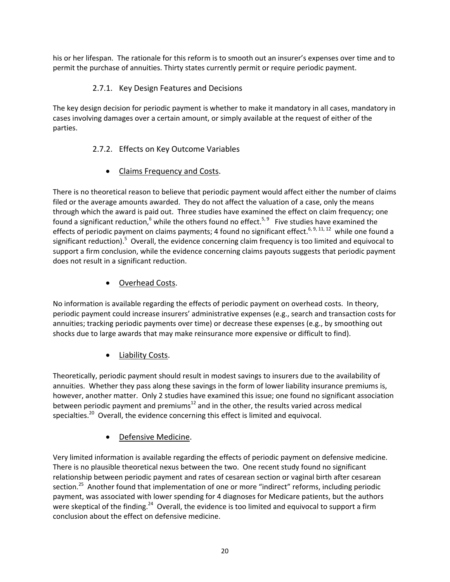his or her lifespan. The rationale for this reform is to smooth out an insurer's expenses over time and to permit the purchase of annuities. Thirty states currently permit or require periodic payment.

#### 2.7.1. Key Design Features and Decisions

The key design decision for periodic payment is whether to make it mandatory in all cases, mandatory in cases involving damages over a certain amount, or simply available at the request of either of the parties.

## 2.7.2. Effects on Key Outcome Variables

Claims Frequency and Costs.

There is no theoretical reason to believe that periodic payment would affect either the number of claims filed or the average amounts awarded. They do not affect the valuation of a case, only the means through which the award is paid out. Three studies have examined the effect on claim frequency; one found a significant reduction,<sup>6</sup> while the others found no effect.<sup>5, 9</sup> Five studies have examined the effects of periodic payment on claims payments; 4 found no significant effect.<sup>6, 9, 11, 12</sup> while one found a significant reduction).<sup>5</sup> Overall, the evidence concerning claim frequency is too limited and equivocal to support a firm conclusion, while the evidence concerning claims payouts suggests that periodic payment does not result in a significant reduction.

## Overhead Costs.

No information is available regarding the effects of periodic payment on overhead costs. In theory, periodic payment could increase insurers' administrative expenses (e.g., search and transaction costs for annuities; tracking periodic payments over time) or decrease these expenses (e.g., by smoothing out shocks due to large awards that may make reinsurance more expensive or difficult to find).

## Liability Costs.

Theoretically, periodic payment should result in modest savings to insurers due to the availability of annuities. Whether they pass along these savings in the form of lower liability insurance premiums is, however, another matter. Only 2 studies have examined this issue; one found no significant association between periodic payment and premiums $^{12}$  and in the other, the results varied across medical specialties.<sup>20</sup> Overall, the evidence concerning this effect is limited and equivocal.

#### Defensive Medicine.

Very limited information is available regarding the effects of periodic payment on defensive medicine. There is no plausible theoretical nexus between the two. One recent study found no significant relationship between periodic payment and rates of cesarean section or vaginal birth after cesarean section.<sup>25</sup> Another found that implementation of one or more "indirect" reforms, including periodic payment, was associated with lower spending for 4 diagnoses for Medicare patients, but the authors were skeptical of the finding.<sup>24</sup> Overall, the evidence is too limited and equivocal to support a firm conclusion about the effect on defensive medicine.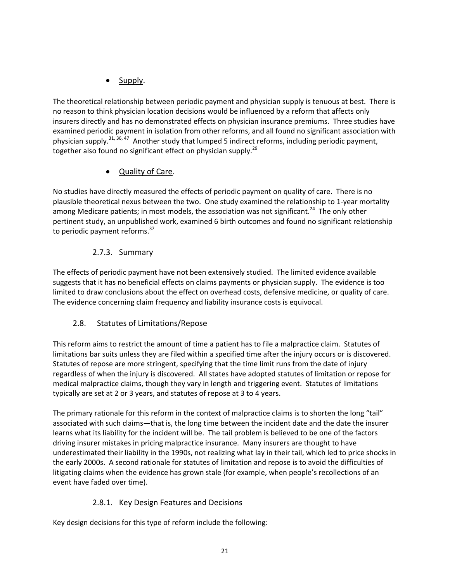## Supply.

The theoretical relationship between periodic payment and physician supply is tenuous at best. There is no reason to think physician location decisions would be influenced by a reform that affects only insurers directly and has no demonstrated effects on physician insurance premiums. Three studies have examined periodic payment in isolation from other reforms, and all found no significant association with physician supply.<sup>31, 36, 47</sup> Another study that lumped 5 indirect reforms, including periodic payment, together also found no significant effect on physician supply.<sup>29</sup>

# Quality of Care.

No studies have directly measured the effects of periodic payment on quality of care. There is no plausible theoretical nexus between the two. One study examined the relationship to 1‐year mortality among Medicare patients; in most models, the association was not significant.<sup>24</sup> The only other pertinent study, an unpublished work, examined 6 birth outcomes and found no significant relationship to periodic payment reforms.<sup>37</sup>

## 2.7.3. Summary

The effects of periodic payment have not been extensively studied. The limited evidence available suggests that it has no beneficial effects on claims payments or physician supply. The evidence is too limited to draw conclusions about the effect on overhead costs, defensive medicine, or quality of care. The evidence concerning claim frequency and liability insurance costs is equivocal.

## 2.8. Statutes of Limitations/Repose

This reform aims to restrict the amount of time a patient has to file a malpractice claim. Statutes of limitations bar suits unless they are filed within a specified time after the injury occurs or is discovered. Statutes of repose are more stringent, specifying that the time limit runs from the date of injury regardless of when the injury is discovered. All states have adopted statutes of limitation or repose for medical malpractice claims, though they vary in length and triggering event. Statutes of limitations typically are set at 2 or 3 years, and statutes of repose at 3 to 4 years.

The primary rationale for this reform in the context of malpractice claims is to shorten the long "tail" associated with such claims—that is, the long time between the incident date and the date the insurer learns what its liability for the incident will be. The tail problem is believed to be one of the factors driving insurer mistakes in pricing malpractice insurance. Many insurers are thought to have underestimated their liability in the 1990s, not realizing what lay in their tail, which led to price shocks in the early 2000s. A second rationale for statutes of limitation and repose is to avoid the difficulties of litigating claims when the evidence has grown stale (for example, when people's recollections of an event have faded over time).

## 2.8.1. Key Design Features and Decisions

Key design decisions for this type of reform include the following: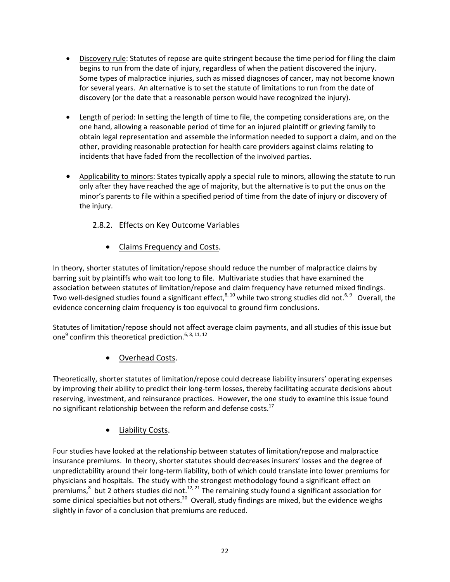- **.** Discovery rule: Statutes of repose are quite stringent because the time period for filing the claim begins to run from the date of injury, regardless of when the patient discovered the injury. Some types of malpractice injuries, such as missed diagnoses of cancer, may not become known for several years. An alternative is to set the statute of limitations to run from the date of discovery (or the date that a reasonable person would have recognized the injury).
- Length of period: In setting the length of time to file, the competing considerations are, on the one hand, allowing a reasonable period of time for an injured plaintiff or grieving family to obtain legal representation and assemble the information needed to support a claim, and on the other, providing reasonable protection for health care providers against claims relating to incidents that have faded from the recollection of the involved parties.
- Applicability to minors: States typically apply a special rule to minors, allowing the statute to run only after they have reached the age of majority, but the alternative is to put the onus on the minor's parents to file within a specified period of time from the date of injury or discovery of the injury.

## 2.8.2. Effects on Key Outcome Variables

Claims Frequency and Costs.

In theory, shorter statutes of limitation/repose should reduce the number of malpractice claims by barring suit by plaintiffs who wait too long to file. Multivariate studies that have examined the association between statutes of limitation/repose and claim frequency have returned mixed findings. Two well-designed studies found a significant effect,<sup>8, 10</sup> while two strong studies did not.<sup>6, 9</sup> Overall, the evidence concerning claim frequency is too equivocal to ground firm conclusions.

Statutes of limitation/repose should not affect average claim payments, and all studies of this issue but one<sup>9</sup> confirm this theoretical prediction.<sup>6, 8, 11, 12</sup>

Overhead Costs.

Theoretically, shorter statutes of limitation/repose could decrease liability insurers' operating expenses by improving their ability to predict their long‐term losses, thereby facilitating accurate decisions about reserving, investment, and reinsurance practices. However, the one study to examine this issue found no significant relationship between the reform and defense costs.<sup>17</sup>

#### Liability Costs.

Four studies have looked at the relationship between statutes of limitation/repose and malpractice insurance premiums. In theory, shorter statutes should decreases insurers' losses and the degree of unpredictability around their long‐term liability, both of which could translate into lower premiums for physicians and hospitals. The study with the strongest methodology found a significant effect on premiums,<sup>8</sup> but 2 others studies did not.<sup>12, 21</sup> The remaining study found a significant association for some clinical specialties but not others.<sup>20</sup> Overall, study findings are mixed, but the evidence weighs slightly in favor of a conclusion that premiums are reduced.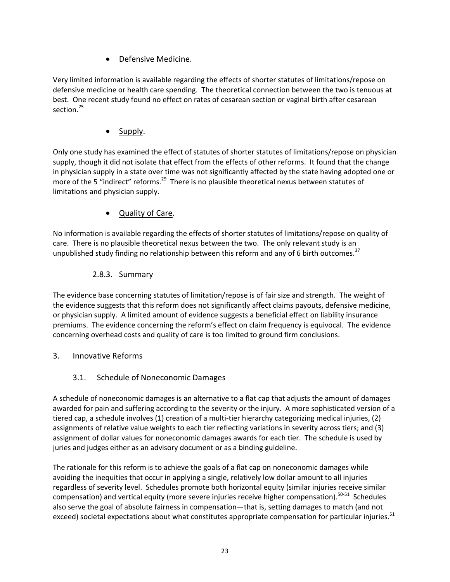Defensive Medicine.

Very limited information is available regarding the effects of shorter statutes of limitations/repose on defensive medicine or health care spending. The theoretical connection between the two is tenuous at best. One recent study found no effect on rates of cesarean section or vaginal birth after cesarean section.<sup>25</sup>

• Supply.

Only one study has examined the effect of statutes of shorter statutes of limitations/repose on physician supply, though it did not isolate that effect from the effects of other reforms. It found that the change in physician supply in a state over time was not significantly affected by the state having adopted one or more of the 5 "indirect" reforms.<sup>29</sup> There is no plausible theoretical nexus between statutes of limitations and physician supply.

Quality of Care.

No information is available regarding the effects of shorter statutes of limitations/repose on quality of care. There is no plausible theoretical nexus between the two. The only relevant study is an unpublished study finding no relationship between this reform and any of 6 birth outcomes.<sup>37</sup>

#### 2.8.3. Summary

The evidence base concerning statutes of limitation/repose is of fair size and strength. The weight of the evidence suggests that this reform does not significantly affect claims payouts, defensive medicine, or physician supply. A limited amount of evidence suggests a beneficial effect on liability insurance premiums. The evidence concerning the reform's effect on claim frequency is equivocal. The evidence concerning overhead costs and quality of care is too limited to ground firm conclusions.

3. Innovative Reforms

## 3.1. Schedule of Noneconomic Damages

A schedule of noneconomic damages is an alternative to a flat cap that adjusts the amount of damages awarded for pain and suffering according to the severity or the injury. A more sophisticated version of a tiered cap, a schedule involves (1) creation of a multi‐tier hierarchy categorizing medical injuries, (2) assignments of relative value weights to each tier reflecting variations in severity across tiers; and (3) assignment of dollar values for noneconomic damages awards for each tier. The schedule is used by juries and judges either as an advisory document or as a binding guideline.

The rationale for this reform is to achieve the goals of a flat cap on noneconomic damages while avoiding the inequities that occur in applying a single, relatively low dollar amount to all injuries regardless of severity level. Schedules promote both horizontal equity (similar injuries receive similar compensation) and vertical equity (more severe injuries receive higher compensation).<sup>50-51</sup> Schedules also serve the goal of absolute fairness in compensation—that is, setting damages to match (and not exceed) societal expectations about what constitutes appropriate compensation for particular injuries.<sup>51</sup>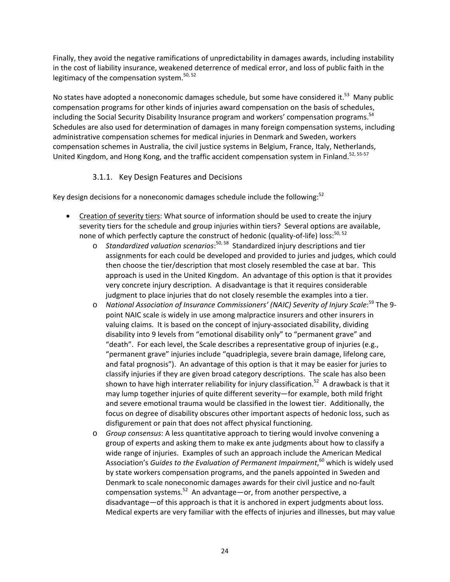Finally, they avoid the negative ramifications of unpredictability in damages awards, including instability in the cost of liability insurance, weakened deterrence of medical error, and loss of public faith in the legitimacy of the compensation system.<sup>50, 52</sup>

No states have adopted a noneconomic damages schedule, but some have considered it.<sup>53</sup> Many public compensation programs for other kinds of injuries award compensation on the basis of schedules, including the Social Security Disability Insurance program and workers' compensation programs.<sup>54</sup> Schedules are also used for determination of damages in many foreign compensation systems, including administrative compensation schemes for medical injuries in Denmark and Sweden, workers compensation schemes in Australia, the civil justice systems in Belgium, France, Italy, Netherlands, United Kingdom, and Hong Kong, and the traffic accident compensation system in Finland.<sup>52, 55-57</sup>

#### 3.1.1. Key Design Features and Decisions

Key design decisions for a noneconomic damages schedule include the following:<sup>52</sup>

- Creation of severity tiers: What source of information should be used to create the injury severity tiers for the schedule and group injuries within tiers? Several options are available, none of which perfectly capture the construct of hedonic (quality-of-life) loss:<sup>50, 52</sup>
	- o *Standardized valuation scenarios*: 50, <sup>58</sup> Standardized injury descriptions and tier assignments for each could be developed and provided to juries and judges, which could then choose the tier/description that most closely resembled the case at bar. This approach is used in the United Kingdom. An advantage of this option is that it provides very concrete injury description. A disadvantage is that it requires considerable judgment to place injuries that do not closely resemble the examples into a tier.
	- o *National Association of Insurance Commissioners' (NAIC) Severity of Injury Scale*: <sup>59</sup> The 9‐ point NAIC scale is widely in use among malpractice insurers and other insurers in valuing claims. It is based on the concept of injury‐associated disability, dividing disability into 9 levels from "emotional disability only" to "permanent grave" and "death". For each level, the Scale describes a representative group of injuries (e.g., "permanent grave" injuries include "quadriplegia, severe brain damage, lifelong care, and fatal prognosis"). An advantage of this option is that it may be easier for juries to classify injuries if they are given broad category descriptions. The scale has also been shown to have high interrater reliability for injury classification.<sup>52</sup> A drawback is that it may lump together injuries of quite different severity—for example, both mild fright and severe emotional trauma would be classified in the lowest tier. Additionally, the focus on degree of disability obscures other important aspects of hedonic loss, such as disfigurement or pain that does not affect physical functioning.
	- o *Group consensus*: A less quantitative approach to tiering would involve convening a group of experts and asking them to make ex ante judgments about how to classify a wide range of injuries. Examples of such an approach include the American Medical Association's *Guides to the Evaluation of Permanent Impairment*, <sup>60</sup> which is widely used by state workers compensation programs, and the panels appointed in Sweden and Denmark to scale noneconomic damages awards for their civil justice and no‐fault compensation systems.<sup>52</sup> An advantage—or, from another perspective, a disadvantage—of this approach is that it is anchored in expert judgments about loss. Medical experts are very familiar with the effects of injuries and illnesses, but may value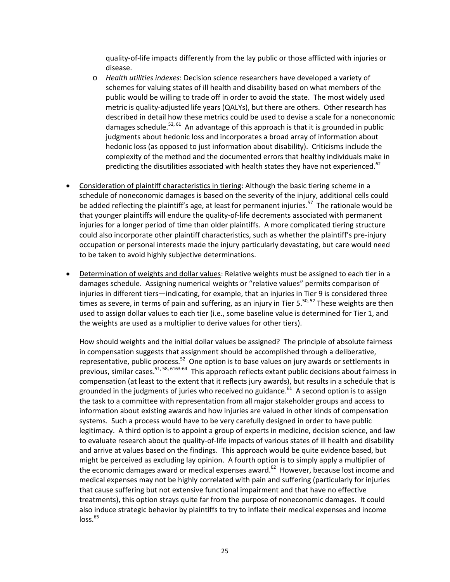quality‐of‐life impacts differently from the lay public or those afflicted with injuries or disease.

- o *Health utilities indexes*: Decision science researchers have developed a variety of schemes for valuing states of ill health and disability based on what members of the public would be willing to trade off in order to avoid the state. The most widely used metric is quality-adjusted life years (QALYs), but there are others. Other research has described in detail how these metrics could be used to devise a scale for a noneconomic damages schedule.<sup>52, 61</sup> An advantage of this approach is that it is grounded in public judgments about hedonic loss and incorporates a broad array of information about hedonic loss (as opposed to just information about disability). Criticisms include the complexity of the method and the documented errors that healthy individuals make in predicting the disutilities associated with health states they have not experienced. $62$
- Consideration of plaintiff characteristics in tiering: Although the basic tiering scheme in a schedule of noneconomic damages is based on the severity of the injury, additional cells could be added reflecting the plaintiff's age, at least for permanent injuries.<sup>57</sup> The rationale would be that younger plaintiffs will endure the quality‐of‐life decrements associated with permanent injuries for a longer period of time than older plaintiffs. A more complicated tiering structure could also incorporate other plaintiff characteristics, such as whether the plaintiff's pre‐injury occupation or personal interests made the injury particularly devastating, but care would need to be taken to avoid highly subjective determinations.
- Determination of weights and dollar values: Relative weights must be assigned to each tier in a damages schedule. Assigning numerical weights or "relative values" permits comparison of injuries in different tiers—indicating, for example, that an injuries in Tier 9 is considered three times as severe, in terms of pain and suffering, as an injury in Tier  $5^{50,52}$  These weights are then used to assign dollar values to each tier (i.e., some baseline value is determined for Tier 1, and the weights are used as a multiplier to derive values for other tiers).

How should weights and the initial dollar values be assigned? The principle of absolute fairness in compensation suggests that assignment should be accomplished through a deliberative, representative, public process.<sup>52</sup> One option is to base values on jury awards or settlements in previous, similar cases.<sup>51, 58, 6163-64</sup> This approach reflects extant public decisions about fairness in compensation (at least to the extent that it reflects jury awards), but results in a schedule that is grounded in the judgments of juries who received no guidance.<sup>61</sup> A second option is to assign the task to a committee with representation from all major stakeholder groups and access to information about existing awards and how injuries are valued in other kinds of compensation systems. Such a process would have to be very carefully designed in order to have public legitimacy. A third option is to appoint a group of experts in medicine, decision science, and law to evaluate research about the quality‐of‐life impacts of various states of ill health and disability and arrive at values based on the findings. This approach would be quite evidence based, but might be perceived as excluding lay opinion. A fourth option is to simply apply a multiplier of the economic damages award or medical expenses award. $62$  However, because lost income and medical expenses may not be highly correlated with pain and suffering (particularly for injuries that cause suffering but not extensive functional impairment and that have no effective treatments), this option strays quite far from the purpose of noneconomic damages. It could also induce strategic behavior by plaintiffs to try to inflate their medical expenses and income  $loss.<sup>65</sup>$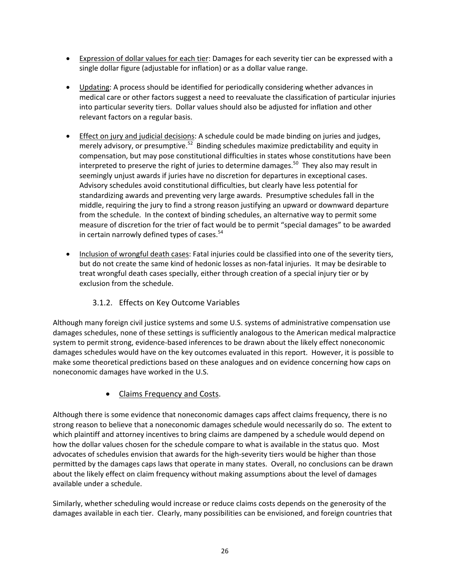- **Expression of dollar values for each tier: Damages for each severity tier can be expressed with a** single dollar figure (adjustable for inflation) or as a dollar value range.
- Updating: A process should be identified for periodically considering whether advances in medical care or other factors suggest a need to reevaluate the classification of particular injuries into particular severity tiers. Dollar values should also be adjusted for inflation and other relevant factors on a regular basis.
- Effect on jury and judicial decisions: A schedule could be made binding on juries and judges, merely advisory, or presumptive.<sup>52</sup> Binding schedules maximize predictability and equity in compensation, but may pose constitutional difficulties in states whose constitutions have been interpreted to preserve the right of juries to determine damages.<sup>50</sup> They also may result in seemingly unjust awards if juries have no discretion for departures in exceptional cases. Advisory schedules avoid constitutional difficulties, but clearly have less potential for standardizing awards and preventing very large awards. Presumptive schedules fall in the middle, requiring the jury to find a strong reason justifying an upward or downward departure from the schedule. In the context of binding schedules, an alternative way to permit some measure of discretion for the trier of fact would be to permit "special damages" to be awarded in certain narrowly defined types of cases. $54$
- Inclusion of wrongful death cases: Fatal injuries could be classified into one of the severity tiers, but do not create the same kind of hedonic losses as non‐fatal injuries. It may be desirable to treat wrongful death cases specially, either through creation of a special injury tier or by exclusion from the schedule.

#### 3.1.2. Effects on Key Outcome Variables

Although many foreign civil justice systems and some U.S. systems of administrative compensation use damages schedules, none of these settings is sufficiently analogous to the American medical malpractice system to permit strong, evidence-based inferences to be drawn about the likely effect noneconomic damages schedules would have on the key outcomes evaluated in this report. However, it is possible to make some theoretical predictions based on these analogues and on evidence concerning how caps on noneconomic damages have worked in the U.S.

## • Claims Frequency and Costs.

Although there is some evidence that noneconomic damages caps affect claims frequency, there is no strong reason to believe that a noneconomic damages schedule would necessarily do so. The extent to which plaintiff and attorney incentives to bring claims are dampened by a schedule would depend on how the dollar values chosen for the schedule compare to what is available in the status quo. Most advocates of schedules envision that awards for the high‐severity tiers would be higher than those permitted by the damages caps laws that operate in many states. Overall, no conclusions can be drawn about the likely effect on claim frequency without making assumptions about the level of damages available under a schedule.

Similarly, whether scheduling would increase or reduce claims costs depends on the generosity of the damages available in each tier. Clearly, many possibilities can be envisioned, and foreign countries that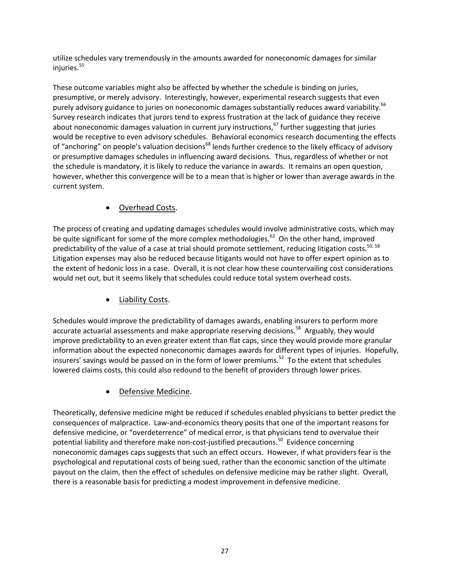utilize schedules vary tremendously in the amounts awarded for noneconomic damages for similar injuries.<sup>55</sup>

These outcome variables might also be affected by whether the schedule is binding on juries, presumptive, or merely advisory. Interestingly, however, experimental research suggests that even purely advisory guidance to juries on noneconomic damages substantially reduces award variability.<sup>66</sup> Survey research indicates that jurors tend to express frustration at the lack of guidance they receive about noneconomic damages valuation in current jury instructions,  $67$  further suggesting that juries would be receptive to even advisory schedules. Behavioral economics research documenting the effects of "anchoring" on people's valuation decisions<sup>68</sup> lends further credence to the likely efficacy of advisory or presumptive damages schedules in influencing award decisions. Thus, regardless of whether or not the schedule is mandatory, it is likely to reduce the variance in awards. It remains an open question, however, whether this convergence will be to a mean that is higher or lower than average awards in the current system.

# Overhead Costs.

The process of creating and updating damages schedules would involve administrative costs, which may be quite significant for some of the more complex methodologies.<sup>62</sup> On the other hand, improved predictability of the value of a case at trial should promote settlement, reducing litigation costs.<sup>50, 58</sup> Litigation expenses may also be reduced because litigants would not have to offer expert opinion as to the extent of hedonic loss in a case. Overall, it is not clear how these countervailing cost considerations would net out, but it seems likely that schedules could reduce total system overhead costs.

Liability Costs.

Schedules would improve the predictability of damages awards, enabling insurers to perform more accurate actuarial assessments and make appropriate reserving decisions.<sup>58</sup> Arguably, they would improve predictability to an even greater extent than flat caps, since they would provide more granular information about the expected noneconomic damages awards for different types of injuries. Hopefully, insurers' savings would be passed on in the form of lower premiums.<sup>52</sup> To the extent that schedules lowered claims costs, this could also redound to the benefit of providers through lower prices.

# Defensive Medicine.

Theoretically, defensive medicine might be reduced if schedules enabled physicians to better predict the consequences of malpractice. Law‐and‐economics theory posits that one of the important reasons for defensive medicine, or "overdeterrence" of medical error, is that physicians tend to overvalue their potential liability and therefore make non-cost-justified precautions.<sup>50</sup> Evidence concerning noneconomic damages caps suggests that such an effect occurs. However, if what providers fear is the psychological and reputational costs of being sued, rather than the economic sanction of the ultimate payout on the claim, then the effect of schedules on defensive medicine may be rather slight. Overall, there is a reasonable basis for predicting a modest improvement in defensive medicine.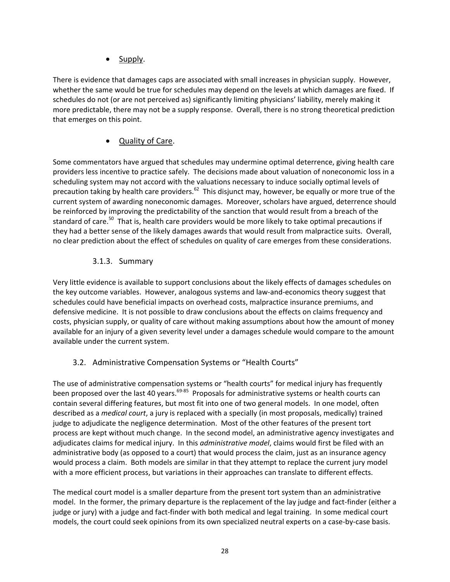Supply.

There is evidence that damages caps are associated with small increases in physician supply. However, whether the same would be true for schedules may depend on the levels at which damages are fixed. If schedules do not (or are not perceived as) significantly limiting physicians' liability, merely making it more predictable, there may not be a supply response. Overall, there is no strong theoretical prediction that emerges on this point.

#### Quality of Care.

Some commentators have argued that schedules may undermine optimal deterrence, giving health care providers less incentive to practice safely. The decisions made about valuation of noneconomic loss in a scheduling system may not accord with the valuations necessary to induce socially optimal levels of precaution taking by health care providers.<sup>62</sup> This disjunct may, however, be equally or more true of the current system of awarding noneconomic damages. Moreover, scholars have argued, deterrence should be reinforced by improving the predictability of the sanction that would result from a breach of the standard of care.<sup>50</sup> That is, health care providers would be more likely to take optimal precautions if they had a better sense of the likely damages awards that would result from malpractice suits. Overall, no clear prediction about the effect of schedules on quality of care emerges from these considerations.

#### 3.1.3. Summary

Very little evidence is available to support conclusions about the likely effects of damages schedules on the key outcome variables. However, analogous systems and law‐and‐economics theory suggest that schedules could have beneficial impacts on overhead costs, malpractice insurance premiums, and defensive medicine. It is not possible to draw conclusions about the effects on claims frequency and costs, physician supply, or quality of care without making assumptions about how the amount of money available for an injury of a given severity level under a damages schedule would compare to the amount available under the current system.

#### 3.2. Administrative Compensation Systems or "Health Courts"

The use of administrative compensation systems or "health courts" for medical injury has frequently been proposed over the last 40 years.<sup>69-85</sup> Proposals for administrative systems or health courts can contain several differing features, but most fit into one of two general models. In one model, often described as a *medical court*, a jury is replaced with a specially (in most proposals, medically) trained judge to adjudicate the negligence determination. Most of the other features of the present tort process are kept without much change. In the second model, an administrative agency investigates and adjudicates claims for medical injury. In this *administrative model*, claims would first be filed with an administrative body (as opposed to a court) that would process the claim, just as an insurance agency would process a claim. Both models are similar in that they attempt to replace the current jury model with a more efficient process, but variations in their approaches can translate to different effects.

The medical court model is a smaller departure from the present tort system than an administrative model. In the former, the primary departure is the replacement of the lay judge and fact-finder (either a judge or jury) with a judge and fact-finder with both medical and legal training. In some medical court models, the court could seek opinions from its own specialized neutral experts on a case-by-case basis.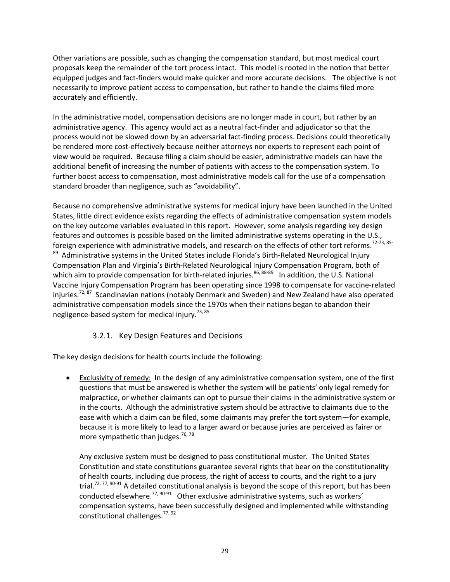Other variations are possible, such as changing the compensation standard, but most medical court proposals keep the remainder of the tort process intact. This model is rooted in the notion that better equipped judges and fact‐finders would make quicker and more accurate decisions. The objective is not necessarily to improve patient access to compensation, but rather to handle the claims filed more accurately and efficiently.

In the administrative model, compensation decisions are no longer made in court, but rather by an administrative agency. This agency would act as a neutral fact-finder and adjudicator so that the process would not be slowed down by an adversarial fact-finding process. Decisions could theoretically be rendered more cost-effectively because neither attorneys nor experts to represent each point of view would be required. Because filing a claim should be easier, administrative models can have the additional benefit of increasing the number of patients with access to the compensation system. To further boost access to compensation, most administrative models call for the use of a compensation standard broader than negligence, such as "avoidability".

Because no comprehensive administrative systems for medical injury have been launched in the United States, little direct evidence exists regarding the effects of administrative compensation system models on the key outcome variables evaluated in this report. However, some analysis regarding key design features and outcomes is possible based on the limited administrative systems operating in the U.S., foreign experience with administrative models, and research on the effects of other tort reforms.<sup>72-73, 85</sup> 89 Administrative systems in the United States include Florida's Birth-Related Neurological Injury Compensation Plan and Virginia's Birth‐Related Neurological Injury Compensation Program, both of which aim to provide compensation for birth-related injuries.<sup>86, 88-89</sup> In addition, the U.S. National Vaccine Injury Compensation Program has been operating since 1998 to compensate for vaccine‐related injuries.<sup>72, 87</sup> Scandinavian nations (notably Denmark and Sweden) and New Zealand have also operated administrative compensation models since the 1970s when their nations began to abandon their negligence-based system for medical injury.<sup>73, 85</sup>

#### 3.2.1. Key Design Features and Decisions

The key design decisions for health courts include the following:

 Exclusivity of remedy: In the design of any administrative compensation system, one of the first questions that must be answered is whether the system will be patients' only legal remedy for malpractice, or whether claimants can opt to pursue their claims in the administrative system or in the courts. Although the administrative system should be attractive to claimants due to the ease with which a claim can be filed, some claimants may prefer the tort system—for example, because it is more likely to lead to a larger award or because juries are perceived as fairer or more sympathetic than judges. $76, 78$ 

Any exclusive system must be designed to pass constitutional muster. The United States Constitution and state constitutions guarantee several rights that bear on the constitutionality of health courts, including due process, the right of access to courts, and the right to a jury trial.<sup>72, 77, 90-91</sup> A detailed constitutional analysis is beyond the scope of this report, but has been conducted elsewhere.<sup>77, 90-91</sup> Other exclusive administrative systems, such as workers' compensation systems, have been successfully designed and implemented while withstanding constitutional challenges.<sup>77, 92</sup>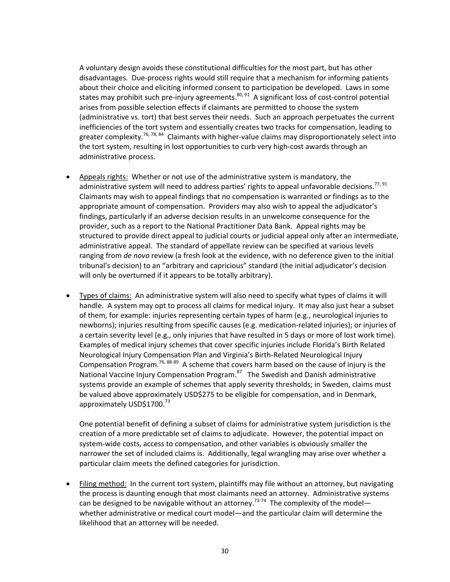A voluntary design avoids these constitutional difficulties for the most part, but has other disadvantages. Due‐process rights would still require that a mechanism for informing patients about their choice and eliciting informed consent to participation be developed. Laws in some states may prohibit such pre-injury agreements. $80, 91$  A significant loss of cost-control potential arises from possible selection effects if claimants are permitted to choose the system (administrative vs. tort) that best serves their needs. Such an approach perpetuates the current inefficiencies of the tort system and essentially creates two tracks for compensation, leading to greater complexity.<sup>76, 78, 84</sup> Claimants with higher-value claims may disproportionately select into the tort system, resulting in lost opportunities to curb very high‐cost awards through an administrative process.

- Appeals rights: Whether or not use of the administrative system is mandatory, the administrative system will need to address parties' rights to appeal unfavorable decisions.<sup>77, 91</sup> Claimants may wish to appeal findings that no compensation is warranted or findings as to the appropriate amount of compensation. Providers may also wish to appeal the adjudicator's findings, particularly if an adverse decision results in an unwelcome consequence for the provider, such as a report to the National Practitioner Data Bank. Appeal rights may be structured to provide direct appeal to judicial courts or judicial appeal only after an intermediate, administrative appeal. The standard of appellate review can be specified at various levels ranging from *de novo* review (a fresh look at the evidence, with no deference given to the initial tribunal's decision) to an "arbitrary and capricious" standard (the initial adjudicator's decision will only be overturned if it appears to be totally arbitrary).
- Types of claims: An administrative system will also need to specify what types of claims it will handle. A system may opt to process all claims for medical injury. It may also just hear a subset of them, for example: injuries representing certain types of harm (e.g., neurological injuries to newborns); injuries resulting from specific causes (e.g. medication‐related injuries); or injuries of a certain severity level (e.g., only injuries that have resulted in 5 days or more of lost work time). Examples of medical injury schemes that cover specific injuries include Florida's Birth Related Neurological Injury Compensation Plan and Virginia's Birth‐Related Neurological Injury Compensation Program.<sup>76, 88-89</sup> A scheme that covers harm based on the cause of injury is the National Vaccine Injury Compensation Program.<sup>87</sup> The Swedish and Danish administrative systems provide an example of schemes that apply severity thresholds; in Sweden, claims must be valued above approximately USD\$275 to be eligible for compensation, and in Denmark, approximately USD\$1700.<sup>73</sup>

One potential benefit of defining a subset of claims for administrative system jurisdiction is the creation of a more predictable set of claims to adjudicate. However, the potential impact on system-wide costs, access to compensation, and other variables is obviously smaller the narrower the set of included claims is. Additionally, legal wrangling may arise over whether a particular claim meets the defined categories for jurisdiction.

 Filing method: In the current tort system, plaintiffs may file without an attorney, but navigating the process is daunting enough that most claimants need an attorney. Administrative systems can be designed to be navigable without an attorney.<sup>73-74</sup> The complexity of the model whether administrative or medical court model—and the particular claim will determine the likelihood that an attorney will be needed.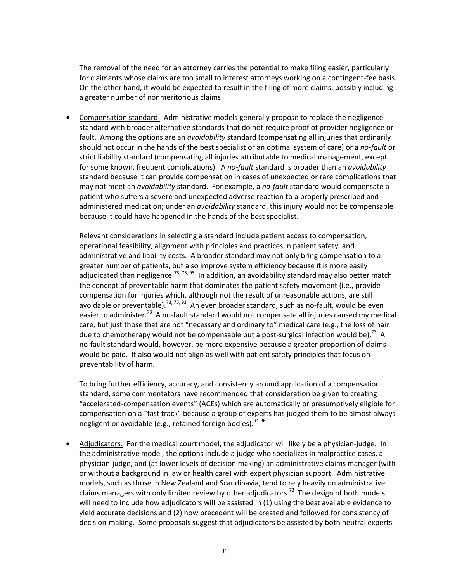The removal of the need for an attorney carries the potential to make filing easier, particularly for claimants whose claims are too small to interest attorneys working on a contingent-fee basis. On the other hand, it would be expected to result in the filing of more claims, possibly including a greater number of nonmeritorious claims.

 Compensation standard: Administrative models generally propose to replace the negligence standard with broader alternative standards that do not require proof of provider negligence or fault. Among the options are an *avoidability* standard (compensating all injuries that ordinarily should not occur in the hands of the best specialist or an optimal system of care) or a *no‐fault* or strict liability standard (compensating all injuries attributable to medical management, except for some known, frequent complications). A *no‐fault* standard is broader than an *avoidability* standard because it can provide compensation in cases of unexpected or rare complications that may not meet an *avoidability* standard. For example, a *no‐fault* standard would compensate a patient who suffers a severe and unexpected adverse reaction to a properly prescribed and administered medication; under an *avoidability* standard, this injury would not be compensable because it could have happened in the hands of the best specialist.

Relevant considerations in selecting a standard include patient access to compensation, operational feasibility, alignment with principles and practices in patient safety, and administrative and liability costs. A broader standard may not only bring compensation to a greater number of patients, but also improve system efficiency because it is more easily adjudicated than negligence.<sup>73, 75, 93</sup> In addition, an avoidability standard may also better match the concept of preventable harm that dominates the patient safety movement (i.e., provide compensation for injuries which, although not the result of unreasonable actions, are still avoidable or preventable).<sup>73, 75, 93</sup> An even broader standard, such as no-fault, would be even easier to administer.<sup>73</sup> A no-fault standard would not compensate all injuries caused my medical care, but just those that are not "necessary and ordinary to" medical care (e.g., the loss of hair due to chemotherapy would not be compensable but a post-surgical infection would be).<sup>73</sup> A no‐fault standard would, however, be more expensive because a greater proportion of claims would be paid. It also would not align as well with patient safety principles that focus on preventability of harm.

To bring further efficiency, accuracy, and consistency around application of a compensation standard, some commentators have recommended that consideration be given to creating "accelerated‐compensation events" (ACEs) which are automatically or presumptively eligible for compensation on a "fast track" because a group of experts has judged them to be almost always negligent or avoidable (e.g., retained foreign bodies).  $94-96$ 

 Adjudicators: For the medical court model, the adjudicator will likely be a physician‐judge. In the administrative model, the options include a judge who specializes in malpractice cases, a physician‐judge, and (at lower levels of decision making) an administrative claims manager (with or without a background in law or health care) with expert physician support. Administrative models, such as those in New Zealand and Scandinavia, tend to rely heavily on administrative claims managers with only limited review by other adjudicators.<sup>73</sup> The design of both models will need to include how adjudicators will be assisted in (1) using the best available evidence to yield accurate decisions and (2) how precedent will be created and followed for consistency of decision‐making. Some proposals suggest that adjudicators be assisted by both neutral experts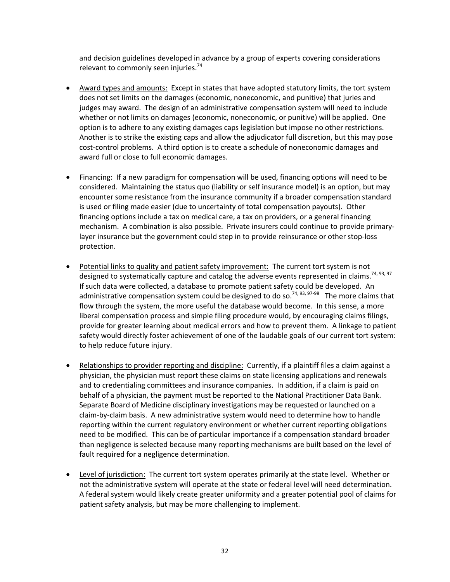and decision guidelines developed in advance by a group of experts covering considerations relevant to commonly seen injuries.<sup>74</sup>

- Award types and amounts: Except in states that have adopted statutory limits, the tort system does not set limits on the damages (economic, noneconomic, and punitive) that juries and judges may award. The design of an administrative compensation system will need to include whether or not limits on damages (economic, noneconomic, or punitive) will be applied. One option is to adhere to any existing damages caps legislation but impose no other restrictions. Another is to strike the existing caps and allow the adjudicator full discretion, but this may pose cost-control problems. A third option is to create a schedule of noneconomic damages and award full or close to full economic damages.
- Financing: If a new paradigm for compensation will be used, financing options will need to be considered. Maintaining the status quo (liability or self insurance model) is an option, but may encounter some resistance from the insurance community if a broader compensation standard is used or filing made easier (due to uncertainty of total compensation payouts). Other financing options include a tax on medical care, a tax on providers, or a general financing mechanism. A combination is also possible. Private insurers could continue to provide primarylayer insurance but the government could step in to provide reinsurance or other stop‐loss protection.
- Potential links to quality and patient safety improvement: The current tort system is not designed to systematically capture and catalog the adverse events represented in claims.<sup>74, 93, 97</sup> If such data were collected, a database to promote patient safety could be developed. An administrative compensation system could be designed to do so.<sup>74, 93, 97-98</sup> The more claims that flow through the system, the more useful the database would become. In this sense, a more liberal compensation process and simple filing procedure would, by encouraging claims filings, provide for greater learning about medical errors and how to prevent them. A linkage to patient safety would directly foster achievement of one of the laudable goals of our current tort system: to help reduce future injury.
- Relationships to provider reporting and discipline: Currently, if a plaintiff files a claim against a physician, the physician must report these claims on state licensing applications and renewals and to credentialing committees and insurance companies. In addition, if a claim is paid on behalf of a physician, the payment must be reported to the National Practitioner Data Bank. Separate Board of Medicine disciplinary investigations may be requested or launched on a claim‐by‐claim basis. A new administrative system would need to determine how to handle reporting within the current regulatory environment or whether current reporting obligations need to be modified. This can be of particular importance if a compensation standard broader than negligence is selected because many reporting mechanisms are built based on the level of fault required for a negligence determination.
- Level of jurisdiction: The current tort system operates primarily at the state level. Whether or not the administrative system will operate at the state or federal level will need determination. A federal system would likely create greater uniformity and a greater potential pool of claims for patient safety analysis, but may be more challenging to implement.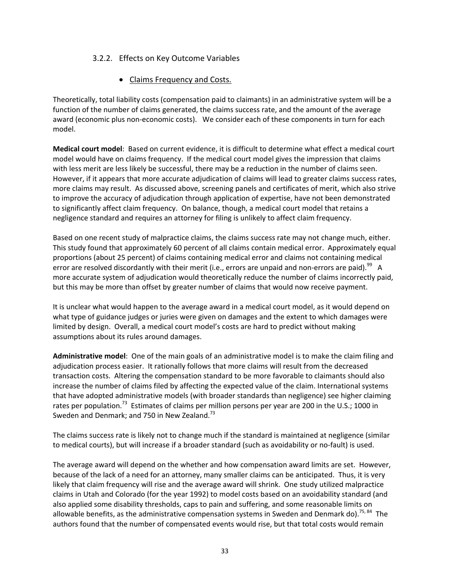#### 3.2.2. Effects on Key Outcome Variables

• Claims Frequency and Costs.

Theoretically, total liability costs (compensation paid to claimants) in an administrative system will be a function of the number of claims generated, the claims success rate, and the amount of the average award (economic plus non-economic costs). We consider each of these components in turn for each model.

**Medical court model**: Based on current evidence, it is difficult to determine what effect a medical court model would have on claims frequency. If the medical court model gives the impression that claims with less merit are less likely be successful, there may be a reduction in the number of claims seen. However, if it appears that more accurate adjudication of claims will lead to greater claims success rates, more claims may result. As discussed above, screening panels and certificates of merit, which also strive to improve the accuracy of adjudication through application of expertise, have not been demonstrated to significantly affect claim frequency. On balance, though, a medical court model that retains a negligence standard and requires an attorney for filing is unlikely to affect claim frequency.

Based on one recent study of malpractice claims, the claims success rate may not change much, either. This study found that approximately 60 percent of all claims contain medical error. Approximately equal proportions (about 25 percent) of claims containing medical error and claims not containing medical error are resolved discordantly with their merit (i.e., errors are unpaid and non-errors are paid).<sup>99</sup> A more accurate system of adjudication would theoretically reduce the number of claims incorrectly paid, but this may be more than offset by greater number of claims that would now receive payment.

It is unclear what would happen to the average award in a medical court model, as it would depend on what type of guidance judges or juries were given on damages and the extent to which damages were limited by design. Overall, a medical court model's costs are hard to predict without making assumptions about its rules around damages.

**Administrative model**: One of the main goals of an administrative model is to make the claim filing and adjudication process easier. It rationally follows that more claims will result from the decreased transaction costs. Altering the compensation standard to be more favorable to claimants should also increase the number of claims filed by affecting the expected value of the claim. International systems that have adopted administrative models (with broader standards than negligence) see higher claiming rates per population.<sup>73</sup> Estimates of claims per million persons per year are 200 in the U.S.; 1000 in Sweden and Denmark; and 750 in New Zealand.<sup>73</sup>

The claims success rate is likely not to change much if the standard is maintained at negligence (similar to medical courts), but will increase if a broader standard (such as avoidability or no‐fault) is used.

The average award will depend on the whether and how compensation award limits are set. However, because of the lack of a need for an attorney, many smaller claims can be anticipated. Thus, it is very likely that claim frequency will rise and the average award will shrink. One study utilized malpractice claims in Utah and Colorado (for the year 1992) to model costs based on an avoidability standard (and also applied some disability thresholds, caps to pain and suffering, and some reasonable limits on allowable benefits, as the administrative compensation systems in Sweden and Denmark do).<sup>75, 84</sup> The authors found that the number of compensated events would rise, but that total costs would remain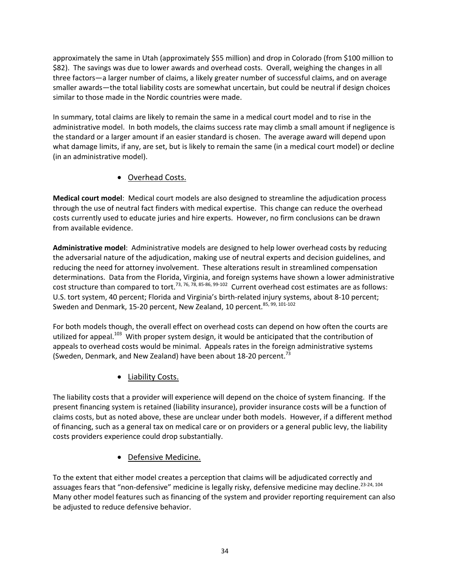approximately the same in Utah (approximately \$55 million) and drop in Colorado (from \$100 million to \$82). The savings was due to lower awards and overhead costs. Overall, weighing the changes in all three factors—a larger number of claims, a likely greater number of successful claims, and on average smaller awards—the total liability costs are somewhat uncertain, but could be neutral if design choices similar to those made in the Nordic countries were made.

In summary, total claims are likely to remain the same in a medical court model and to rise in the administrative model. In both models, the claims success rate may climb a small amount if negligence is the standard or a larger amount if an easier standard is chosen. The average award will depend upon what damage limits, if any, are set, but is likely to remain the same (in a medical court model) or decline (in an administrative model).

### Overhead Costs.

**Medical court model**: Medical court models are also designed to streamline the adjudication process through the use of neutral fact finders with medical expertise. This change can reduce the overhead costs currently used to educate juries and hire experts. However, no firm conclusions can be drawn from available evidence.

**Administrative model**: Administrative models are designed to help lower overhead costs by reducing the adversarial nature of the adjudication, making use of neutral experts and decision guidelines, and reducing the need for attorney involvement. These alterations result in streamlined compensation determinations. Data from the Florida, Virginia, and foreign systems have shown a lower administrative cost structure than compared to tort.<sup>73, 76, 78, 85-86, 99-102</sup> Current overhead cost estimates are as follows: U.S. tort system, 40 percent; Florida and Virginia's birth‐related injury systems, about 8‐10 percent; Sweden and Denmark, 15-20 percent, New Zealand, 10 percent.<sup>85, 99, 101-102</sup>

For both models though, the overall effect on overhead costs can depend on how often the courts are utilized for appeal.<sup>103</sup> With proper system design, it would be anticipated that the contribution of appeals to overhead costs would be minimal. Appeals rates in the foreign administrative systems (Sweden, Denmark, and New Zealand) have been about 18-20 percent.<sup>73</sup>

Liability Costs.

The liability costs that a provider will experience will depend on the choice of system financing. If the present financing system is retained (liability insurance), provider insurance costs will be a function of claims costs, but as noted above, these are unclear under both models. However, if a different method of financing, such as a general tax on medical care or on providers or a general public levy, the liability costs providers experience could drop substantially.

• Defensive Medicine.

To the extent that either model creates a perception that claims will be adjudicated correctly and assuages fears that "non-defensive" medicine is legally risky, defensive medicine may decline.<sup>23-24, 104</sup> Many other model features such as financing of the system and provider reporting requirement can also be adjusted to reduce defensive behavior.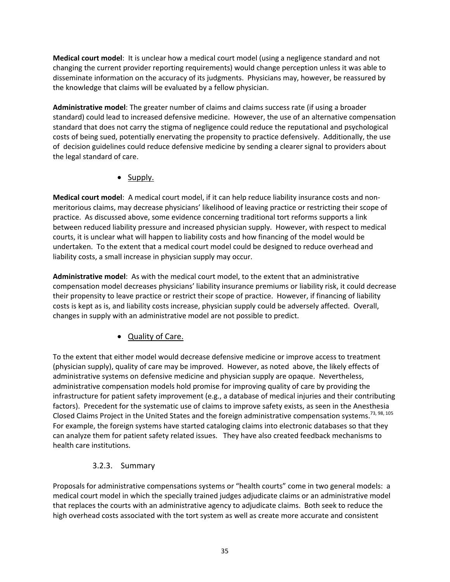**Medical court model**: It is unclear how a medical court model (using a negligence standard and not changing the current provider reporting requirements) would change perception unless it was able to disseminate information on the accuracy of its judgments. Physicians may, however, be reassured by the knowledge that claims will be evaluated by a fellow physician.

**Administrative model**: The greater number of claims and claims success rate (if using a broader standard) could lead to increased defensive medicine. However, the use of an alternative compensation standard that does not carry the stigma of negligence could reduce the reputational and psychological costs of being sued, potentially enervating the propensity to practice defensively. Additionally, the use of decision guidelines could reduce defensive medicine by sending a clearer signal to providers about the legal standard of care.

#### • Supply.

**Medical court model**: A medical court model, if it can help reduce liability insurance costs and non‐ meritorious claims, may decrease physicians' likelihood of leaving practice or restricting their scope of practice. As discussed above, some evidence concerning traditional tort reforms supports a link between reduced liability pressure and increased physician supply. However, with respect to medical courts, it is unclear what will happen to liability costs and how financing of the model would be undertaken. To the extent that a medical court model could be designed to reduce overhead and liability costs, a small increase in physician supply may occur.

**Administrative model**: As with the medical court model, to the extent that an administrative compensation model decreases physicians' liability insurance premiums or liability risk, it could decrease their propensity to leave practice or restrict their scope of practice. However, if financing of liability costs is kept as is, and liability costs increase, physician supply could be adversely affected. Overall, changes in supply with an administrative model are not possible to predict.

### Quality of Care.

To the extent that either model would decrease defensive medicine or improve access to treatment (physician supply), quality of care may be improved. However, as noted above, the likely effects of administrative systems on defensive medicine and physician supply are opaque. Nevertheless, administrative compensation models hold promise for improving quality of care by providing the infrastructure for patient safety improvement (e.g., a database of medical injuries and their contributing factors). Precedent for the systematic use of claims to improve safety exists, as seen in the Anesthesia Closed Claims Project in the United States and the foreign administrative compensation systems.<sup>73, 98, 105</sup> For example, the foreign systems have started cataloging claims into electronic databases so that they can analyze them for patient safety related issues. They have also created feedback mechanisms to health care institutions.

### 3.2.3. Summary

Proposals for administrative compensations systems or "health courts" come in two general models: a medical court model in which the specially trained judges adjudicate claims or an administrative model that replaces the courts with an administrative agency to adjudicate claims. Both seek to reduce the high overhead costs associated with the tort system as well as create more accurate and consistent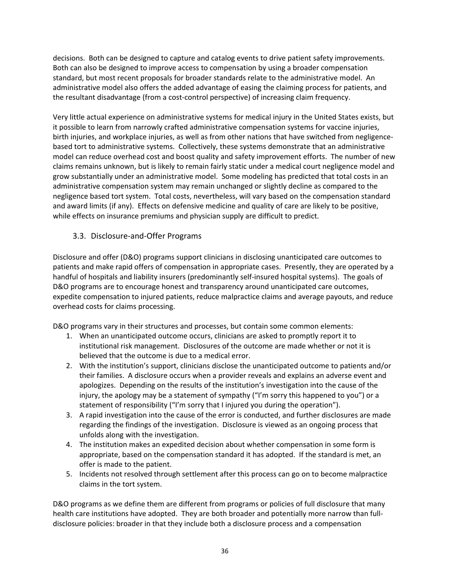decisions. Both can be designed to capture and catalog events to drive patient safety improvements. Both can also be designed to improve access to compensation by using a broader compensation standard, but most recent proposals for broader standards relate to the administrative model. An administrative model also offers the added advantage of easing the claiming process for patients, and the resultant disadvantage (from a cost-control perspective) of increasing claim frequency.

Very little actual experience on administrative systems for medical injury in the United States exists, but it possible to learn from narrowly crafted administrative compensation systems for vaccine injuries, birth injuries, and workplace injuries, as well as from other nations that have switched from negligence‐ based tort to administrative systems. Collectively, these systems demonstrate that an administrative model can reduce overhead cost and boost quality and safety improvement efforts. The number of new claims remains unknown, but is likely to remain fairly static under a medical court negligence model and grow substantially under an administrative model. Some modeling has predicted that total costs in an administrative compensation system may remain unchanged or slightly decline as compared to the negligence based tort system. Total costs, nevertheless, will vary based on the compensation standard and award limits (if any). Effects on defensive medicine and quality of care are likely to be positive, while effects on insurance premiums and physician supply are difficult to predict.

### 3.3. Disclosure‐and‐Offer Programs

Disclosure and offer (D&O) programs support clinicians in disclosing unanticipated care outcomes to patients and make rapid offers of compensation in appropriate cases. Presently, they are operated by a handful of hospitals and liability insurers (predominantly self‐insured hospital systems). The goals of D&O programs are to encourage honest and transparency around unanticipated care outcomes, expedite compensation to injured patients, reduce malpractice claims and average payouts, and reduce overhead costs for claims processing.

D&O programs vary in their structures and processes, but contain some common elements:

- 1. When an unanticipated outcome occurs, clinicians are asked to promptly report it to institutional risk management. Disclosures of the outcome are made whether or not it is believed that the outcome is due to a medical error.
- 2. With the institution's support, clinicians disclose the unanticipated outcome to patients and/or their families. A disclosure occurs when a provider reveals and explains an adverse event and apologizes. Depending on the results of the institution's investigation into the cause of the injury, the apology may be a statement of sympathy ("I'm sorry this happened to you") or a statement of responsibility ("I'm sorry that I injured you during the operation").
- 3. A rapid investigation into the cause of the error is conducted, and further disclosures are made regarding the findings of the investigation. Disclosure is viewed as an ongoing process that unfolds along with the investigation.
- 4. The institution makes an expedited decision about whether compensation in some form is appropriate, based on the compensation standard it has adopted. If the standard is met, an offer is made to the patient.
- 5. Incidents not resolved through settlement after this process can go on to become malpractice claims in the tort system.

D&O programs as we define them are different from programs or policies of full disclosure that many health care institutions have adopted. They are both broader and potentially more narrow than fulldisclosure policies: broader in that they include both a disclosure process and a compensation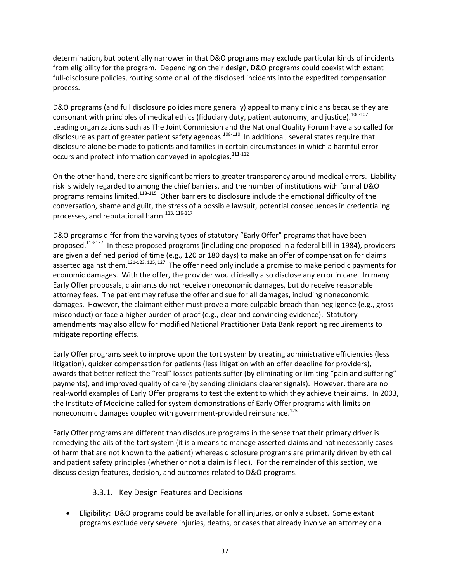determination, but potentially narrower in that D&O programs may exclude particular kinds of incidents from eligibility for the program. Depending on their design, D&O programs could coexist with extant full-disclosure policies, routing some or all of the disclosed incidents into the expedited compensation process.

D&O programs (and full disclosure policies more generally) appeal to many clinicians because they are consonant with principles of medical ethics (fiduciary duty, patient autonomy, and justice).<sup>106-107</sup> Leading organizations such as The Joint Commission and the National Quality Forum have also called for disclosure as part of greater patient safety agendas.108‐<sup>110</sup> In additional, several states require that disclosure alone be made to patients and families in certain circumstances in which a harmful error occurs and protect information conveyed in apologies.<sup>111-112</sup>

On the other hand, there are significant barriers to greater transparency around medical errors. Liability risk is widely regarded to among the chief barriers, and the number of institutions with formal D&O programs remains limited.<sup>113-115</sup> Other barriers to disclosure include the emotional difficulty of the conversation, shame and guilt, the stress of a possible lawsuit, potential consequences in credentialing processes, and reputational harm.<sup>113, 116-117</sup>

D&O programs differ from the varying types of statutory "Early Offer" programs that have been proposed.<sup>118-127</sup> In these proposed programs (including one proposed in a federal bill in 1984), providers are given a defined period of time (e.g., 120 or 180 days) to make an offer of compensation for claims asserted against them.<sup>121-123, 125, 127</sup> The offer need only include a promise to make periodic payments for economic damages. With the offer, the provider would ideally also disclose any error in care. In many Early Offer proposals, claimants do not receive noneconomic damages, but do receive reasonable attorney fees. The patient may refuse the offer and sue for all damages, including noneconomic damages. However, the claimant either must prove a more culpable breach than negligence (e.g., gross misconduct) or face a higher burden of proof (e.g., clear and convincing evidence). Statutory amendments may also allow for modified National Practitioner Data Bank reporting requirements to mitigate reporting effects.

Early Offer programs seek to improve upon the tort system by creating administrative efficiencies (less litigation), quicker compensation for patients (less litigation with an offer deadline for providers), awards that better reflect the "real" losses patients suffer (by eliminating or limiting "pain and suffering" payments), and improved quality of care (by sending clinicians clearer signals). However, there are no real‐world examples of Early Offer programs to test the extent to which they achieve their aims. In 2003, the Institute of Medicine called for system demonstrations of Early Offer programs with limits on noneconomic damages coupled with government-provided reinsurance.<sup>125</sup>

Early Offer programs are different than disclosure programs in the sense that their primary driver is remedying the ails of the tort system (it is a means to manage asserted claims and not necessarily cases of harm that are not known to the patient) whereas disclosure programs are primarily driven by ethical and patient safety principles (whether or not a claim is filed). For the remainder of this section, we discuss design features, decision, and outcomes related to D&O programs.

#### 3.3.1. Key Design Features and Decisions

**Eligibility: D&O programs could be available for all injuries, or only a subset. Some extant** programs exclude very severe injuries, deaths, or cases that already involve an attorney or a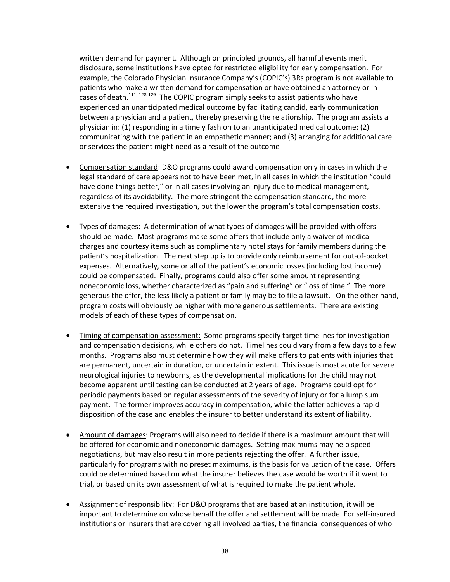written demand for payment. Although on principled grounds, all harmful events merit disclosure, some institutions have opted for restricted eligibility for early compensation. For example, the Colorado Physician Insurance Company's (COPIC's) 3Rs program is not available to patients who make a written demand for compensation or have obtained an attorney or in cases of death.<sup>111, 128-129</sup> The COPIC program simply seeks to assist patients who have experienced an unanticipated medical outcome by facilitating candid, early communication between a physician and a patient, thereby preserving the relationship. The program assists a physician in: (1) responding in a timely fashion to an unanticipated medical outcome; (2) communicating with the patient in an empathetic manner; and (3) arranging for additional care or services the patient might need as a result of the outcome

- Compensation standard: D&O programs could award compensation only in cases in which the legal standard of care appears not to have been met, in all cases in which the institution "could have done things better," or in all cases involving an injury due to medical management, regardless of its avoidability. The more stringent the compensation standard, the more extensive the required investigation, but the lower the program's total compensation costs.
- Types of damages: A determination of what types of damages will be provided with offers should be made. Most programs make some offers that include only a waiver of medical charges and courtesy items such as complimentary hotel stays for family members during the patient's hospitalization. The next step up is to provide only reimbursement for out‐of‐pocket expenses. Alternatively, some or all of the patient's economic losses (including lost income) could be compensated. Finally, programs could also offer some amount representing noneconomic loss, whether characterized as "pain and suffering" or "loss of time." The more generous the offer, the less likely a patient or family may be to file a lawsuit. On the other hand, program costs will obviously be higher with more generous settlements. There are existing models of each of these types of compensation.
- Timing of compensation assessment: Some programs specify target timelines for investigation and compensation decisions, while others do not. Timelines could vary from a few days to a few months. Programs also must determine how they will make offers to patients with injuries that are permanent, uncertain in duration, or uncertain in extent. This issue is most acute for severe neurological injuries to newborns, as the developmental implications for the child may not become apparent until testing can be conducted at 2 years of age. Programs could opt for periodic payments based on regular assessments of the severity of injury or for a lump sum payment. The former improves accuracy in compensation, while the latter achieves a rapid disposition of the case and enables the insurer to better understand its extent of liability.
- Amount of damages: Programs will also need to decide if there is a maximum amount that will be offered for economic and noneconomic damages. Setting maximums may help speed negotiations, but may also result in more patients rejecting the offer. A further issue, particularly for programs with no preset maximums, is the basis for valuation of the case. Offers could be determined based on what the insurer believes the case would be worth if it went to trial, or based on its own assessment of what is required to make the patient whole.
- Assignment of responsibility: For D&O programs that are based at an institution, it will be important to determine on whose behalf the offer and settlement will be made. For self-insured institutions or insurers that are covering all involved parties, the financial consequences of who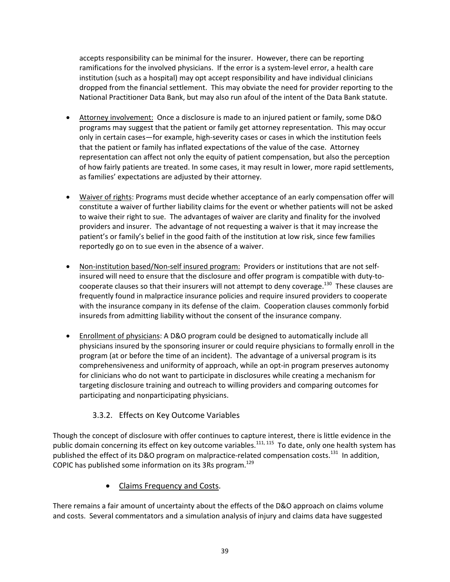accepts responsibility can be minimal for the insurer. However, there can be reporting ramifications for the involved physicians. If the error is a system-level error, a health care institution (such as a hospital) may opt accept responsibility and have individual clinicians dropped from the financial settlement. This may obviate the need for provider reporting to the National Practitioner Data Bank, but may also run afoul of the intent of the Data Bank statute.

- Attorney involvement: Once a disclosure is made to an injured patient or family, some D&O programs may suggest that the patient or family get attorney representation. This may occur only in certain cases—for example, high-severity cases or cases in which the institution feels that the patient or family has inflated expectations of the value of the case. Attorney representation can affect not only the equity of patient compensation, but also the perception of how fairly patients are treated. In some cases, it may result in lower, more rapid settlements, as families' expectations are adjusted by their attorney.
- Waiver of rights: Programs must decide whether acceptance of an early compensation offer will constitute a waiver of further liability claims for the event or whether patients will not be asked to waive their right to sue. The advantages of waiver are clarity and finality for the involved providers and insurer. The advantage of not requesting a waiver is that it may increase the patient's or family's belief in the good faith of the institution at low risk, since few families reportedly go on to sue even in the absence of a waiver.
- Non-institution based/Non-self insured program: Providers or institutions that are not selfinsured will need to ensure that the disclosure and offer program is compatible with duty-tocooperate clauses so that their insurers will not attempt to deny coverage.<sup>130</sup> These clauses are frequently found in malpractice insurance policies and require insured providers to cooperate with the insurance company in its defense of the claim. Cooperation clauses commonly forbid insureds from admitting liability without the consent of the insurance company.
- Enrollment of physicians: A D&O program could be designed to automatically include all physicians insured by the sponsoring insurer or could require physicians to formally enroll in the program (at or before the time of an incident). The advantage of a universal program is its comprehensiveness and uniformity of approach, while an opt-in program preserves autonomy for clinicians who do not want to participate in disclosures while creating a mechanism for targeting disclosure training and outreach to willing providers and comparing outcomes for participating and nonparticipating physicians.

### 3.3.2. Effects on Key Outcome Variables

Though the concept of disclosure with offer continues to capture interest, there is little evidence in the public domain concerning its effect on key outcome variables.<sup>111, 115</sup> To date, only one health system has published the effect of its D&O program on malpractice-related compensation costs.<sup>131</sup> In addition, COPIC has published some information on its 3Rs program.<sup>129</sup>

### Claims Frequency and Costs.

There remains a fair amount of uncertainty about the effects of the D&O approach on claims volume and costs. Several commentators and a simulation analysis of injury and claims data have suggested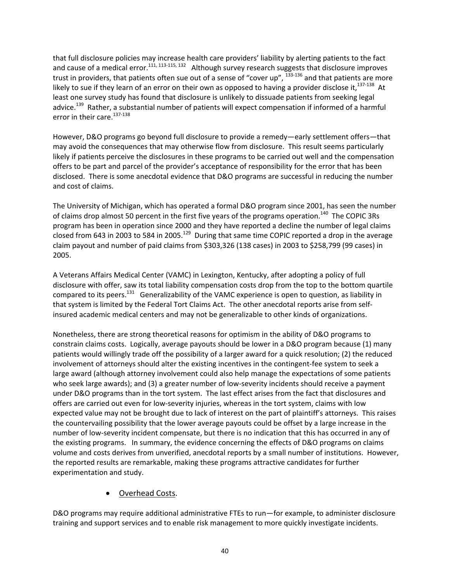that full disclosure policies may increase health care providers' liability by alerting patients to the fact and cause of a medical error.<sup>111, 113-115, 132</sup> Although survey research suggests that disclosure improves trust in providers, that patients often sue out of a sense of "cover up", <sup>133</sup>‐<sup>136</sup> and that patients are more likely to sue if they learn of an error on their own as opposed to having a provider disclose it,<sup>137-138</sup> At least one survey study has found that disclosure is unlikely to dissuade patients from seeking legal advice.<sup>139</sup> Rather, a substantial number of patients will expect compensation if informed of a harmful error in their care.<sup>137-138</sup>

However, D&O programs go beyond full disclosure to provide a remedy—early settlement offers—that may avoid the consequences that may otherwise flow from disclosure. This result seems particularly likely if patients perceive the disclosures in these programs to be carried out well and the compensation offers to be part and parcel of the provider's acceptance of responsibility for the error that has been disclosed. There is some anecdotal evidence that D&O programs are successful in reducing the number and cost of claims.

The University of Michigan, which has operated a formal D&O program since 2001, has seen the number of claims drop almost 50 percent in the first five years of the programs operation.<sup>140</sup> The COPIC 3Rs program has been in operation since 2000 and they have reported a decline the number of legal claims closed from 643 in 2003 to 584 in 2005.<sup>129</sup> During that same time COPIC reported a drop in the average claim payout and number of paid claims from \$303,326 (138 cases) in 2003 to \$258,799 (99 cases) in 2005.

A Veterans Affairs Medical Center (VAMC) in Lexington, Kentucky, after adopting a policy of full disclosure with offer, saw its total liability compensation costs drop from the top to the bottom quartile compared to its peers.<sup>131</sup> Generalizability of the VAMC experience is open to question, as liability in that system is limited by the Federal Tort Claims Act. The other anecdotal reports arise from self‐ insured academic medical centers and may not be generalizable to other kinds of organizations.

Nonetheless, there are strong theoretical reasons for optimism in the ability of D&O programs to constrain claims costs. Logically, average payouts should be lower in a D&O program because (1) many patients would willingly trade off the possibility of a larger award for a quick resolution; (2) the reduced involvement of attorneys should alter the existing incentives in the contingent-fee system to seek a large award (although attorney involvement could also help manage the expectations of some patients who seek large awards); and (3) a greater number of low‐severity incidents should receive a payment under D&O programs than in the tort system. The last effect arises from the fact that disclosures and offers are carried out even for low‐severity injuries, whereas in the tort system, claims with low expected value may not be brought due to lack of interest on the part of plaintiff's attorneys. This raises the countervailing possibility that the lower average payouts could be offset by a large increase in the number of low‐severity incident compensate, but there is no indication that this has occurred in any of the existing programs. In summary, the evidence concerning the effects of D&O programs on claims volume and costs derives from unverified, anecdotal reports by a small number of institutions. However, the reported results are remarkable, making these programs attractive candidates for further experimentation and study.

#### Overhead Costs.

D&O programs may require additional administrative FTEs to run—for example, to administer disclosure training and support services and to enable risk management to more quickly investigate incidents.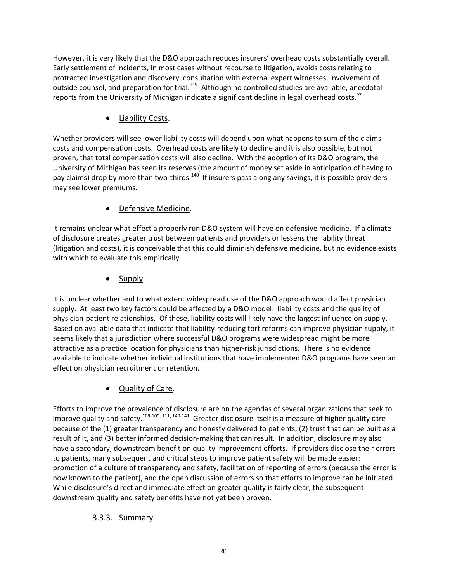However, it is very likely that the D&O approach reduces insurers' overhead costs substantially overall. Early settlement of incidents, in most cases without recourse to litigation, avoids costs relating to protracted investigation and discovery, consultation with external expert witnesses, involvement of outside counsel, and preparation for trial.<sup>119</sup> Although no controlled studies are available, anecdotal reports from the University of Michigan indicate a significant decline in legal overhead costs.<sup>97</sup>

Liability Costs.

Whether providers will see lower liability costs will depend upon what happens to sum of the claims costs and compensation costs. Overhead costs are likely to decline and it is also possible, but not proven, that total compensation costs will also decline. With the adoption of its D&O program, the University of Michigan has seen its reserves (the amount of money set aside in anticipation of having to pay claims) drop by more than two-thirds.<sup>140</sup> If insurers pass along any savings, it is possible providers may see lower premiums.

# • Defensive Medicine.

It remains unclear what effect a properly run D&O system will have on defensive medicine. If a climate of disclosure creates greater trust between patients and providers or lessens the liability threat (litigation and costs), it is conceivable that this could diminish defensive medicine, but no evidence exists with which to evaluate this empirically.

Supply.

It is unclear whether and to what extent widespread use of the D&O approach would affect physician supply. At least two key factors could be affected by a D&O model: liability costs and the quality of physician‐patient relationships. Of these, liability costs will likely have the largest influence on supply. Based on available data that indicate that liability-reducing tort reforms can improve physician supply, it seems likely that a jurisdiction where successful D&O programs were widespread might be more attractive as a practice location for physicians than higher‐risk jurisdictions. There is no evidence available to indicate whether individual institutions that have implemented D&O programs have seen an effect on physician recruitment or retention.

Quality of Care.

Efforts to improve the prevalence of disclosure are on the agendas of several organizations that seek to improve quality and safety.<sup>108-109, 111, 140-141</sup> Greater disclosure itself is a measure of higher quality care because of the (1) greater transparency and honesty delivered to patients, (2) trust that can be built as a result of it, and (3) better informed decision‐making that can result. In addition, disclosure may also have a secondary, downstream benefit on quality improvement efforts. If providers disclose their errors to patients, many subsequent and critical steps to improve patient safety will be made easier: promotion of a culture of transparency and safety, facilitation of reporting of errors (because the error is now known to the patient), and the open discussion of errors so that efforts to improve can be initiated. While disclosure's direct and immediate effect on greater quality is fairly clear, the subsequent downstream quality and safety benefits have not yet been proven.

### 3.3.3. Summary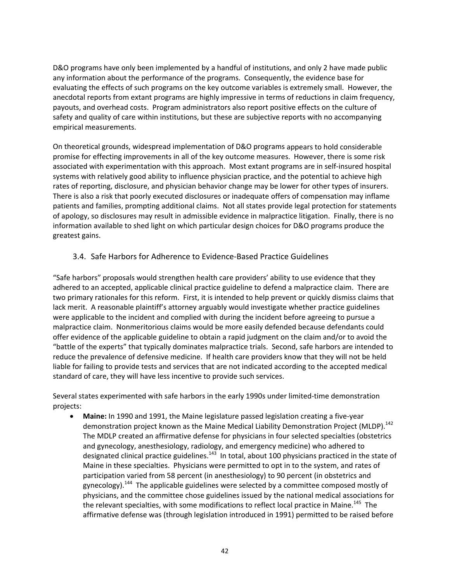D&O programs have only been implemented by a handful of institutions, and only 2 have made public any information about the performance of the programs. Consequently, the evidence base for evaluating the effects of such programs on the key outcome variables is extremely small. However, the anecdotal reports from extant programs are highly impressive in terms of reductions in claim frequency, payouts, and overhead costs. Program administrators also report positive effects on the culture of safety and quality of care within institutions, but these are subjective reports with no accompanying empirical measurements.

On theoretical grounds, widespread implementation of D&O programs appears to hold considerable promise for effecting improvements in all of the key outcome measures. However, there is some risk associated with experimentation with this approach. Most extant programs are in self‐insured hospital systems with relatively good ability to influence physician practice, and the potential to achieve high rates of reporting, disclosure, and physician behavior change may be lower for other types of insurers. There is also a risk that poorly executed disclosures or inadequate offers of compensation may inflame patients and families, prompting additional claims. Not all states provide legal protection for statements of apology, so disclosures may result in admissible evidence in malpractice litigation. Finally, there is no information available to shed light on which particular design choices for D&O programs produce the greatest gains.

#### 3.4. Safe Harbors for Adherence to Evidence‐Based Practice Guidelines

"Safe harbors" proposals would strengthen health care providers' ability to use evidence that they adhered to an accepted, applicable clinical practice guideline to defend a malpractice claim. There are two primary rationales for this reform. First, it is intended to help prevent or quickly dismiss claims that lack merit. A reasonable plaintiff's attorney arguably would investigate whether practice guidelines were applicable to the incident and complied with during the incident before agreeing to pursue a malpractice claim. Nonmeritorious claims would be more easily defended because defendants could offer evidence of the applicable guideline to obtain a rapid judgment on the claim and/or to avoid the "battle of the experts" that typically dominates malpractice trials. Second, safe harbors are intended to reduce the prevalence of defensive medicine. If health care providers know that they will not be held liable for failing to provide tests and services that are not indicated according to the accepted medical standard of care, they will have less incentive to provide such services.

Several states experimented with safe harbors in the early 1990s under limited‐time demonstration projects:

 **Maine:** In 1990 and 1991, the Maine legislature passed legislation creating a five‐year demonstration project known as the Maine Medical Liability Demonstration Project (MLDP).<sup>142</sup> The MDLP created an affirmative defense for physicians in four selected specialties (obstetrics and gynecology, anesthesiology, radiology, and emergency medicine) who adhered to designated clinical practice guidelines.<sup>143</sup> In total, about 100 physicians practiced in the state of Maine in these specialties. Physicians were permitted to opt in to the system, and rates of participation varied from 58 percent (in anesthesiology) to 90 percent (in obstetrics and gynecology).<sup>144</sup> The applicable guidelines were selected by a committee composed mostly of physicians, and the committee chose guidelines issued by the national medical associations for the relevant specialties, with some modifications to reflect local practice in Maine.<sup>145</sup> The affirmative defense was (through legislation introduced in 1991) permitted to be raised before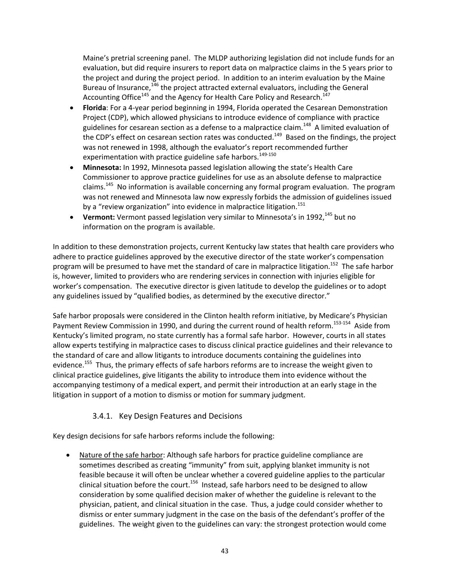Maine's pretrial screening panel. The MLDP authorizing legislation did not include funds for an evaluation, but did require insurers to report data on malpractice claims in the 5 years prior to the project and during the project period. In addition to an interim evaluation by the Maine Bureau of Insurance, $146$  the project attracted external evaluators, including the General Accounting Office<sup>145</sup> and the Agency for Health Care Policy and Research.<sup>147</sup>

- **Florida**: For a 4‐year period beginning in 1994, Florida operated the Cesarean Demonstration Project (CDP), which allowed physicians to introduce evidence of compliance with practice guidelines for cesarean section as a defense to a malpractice claim.<sup>148</sup> A limited evaluation of the CDP's effect on cesarean section rates was conducted.<sup>149</sup> Based on the findings, the project was not renewed in 1998, although the evaluator's report recommended further experimentation with practice guideline safe harbors.<sup>149-150</sup>
- **Minnesota:** In 1992, Minnesota passed legislation allowing the state's Health Care Commissioner to approve practice guidelines for use as an absolute defense to malpractice claims.<sup>145</sup> No information is available concerning any formal program evaluation. The program was not renewed and Minnesota law now expressly forbids the admission of guidelines issued by a "review organization" into evidence in malpractice litigation. $151$
- **Vermont:** Vermont passed legislation very similar to Minnesota's in 1992,<sup>145</sup> but no information on the program is available.

In addition to these demonstration projects, current Kentucky law states that health care providers who adhere to practice guidelines approved by the executive director of the state worker's compensation program will be presumed to have met the standard of care in malpractice litigation.<sup>152</sup> The safe harbor is, however, limited to providers who are rendering services in connection with injuries eligible for worker's compensation. The executive director is given latitude to develop the guidelines or to adopt any guidelines issued by "qualified bodies, as determined by the executive director."

Safe harbor proposals were considered in the Clinton health reform initiative, by Medicare's Physician Payment Review Commission in 1990, and during the current round of health reform.<sup>153-154</sup> Aside from Kentucky's limited program, no state currently has a formal safe harbor. However, courts in all states allow experts testifying in malpractice cases to discuss clinical practice guidelines and their relevance to the standard of care and allow litigants to introduce documents containing the guidelines into evidence.<sup>155</sup> Thus, the primary effects of safe harbors reforms are to increase the weight given to clinical practice guidelines, give litigants the ability to introduce them into evidence without the accompanying testimony of a medical expert, and permit their introduction at an early stage in the litigation in support of a motion to dismiss or motion for summary judgment.

### 3.4.1. Key Design Features and Decisions

Key design decisions for safe harbors reforms include the following:

 Nature of the safe harbor: Although safe harbors for practice guideline compliance are sometimes described as creating "immunity" from suit, applying blanket immunity is not feasible because it will often be unclear whether a covered guideline applies to the particular clinical situation before the court.<sup>156</sup> Instead, safe harbors need to be designed to allow consideration by some qualified decision maker of whether the guideline is relevant to the physician, patient, and clinical situation in the case. Thus, a judge could consider whether to dismiss or enter summary judgment in the case on the basis of the defendant's proffer of the guidelines. The weight given to the guidelines can vary: the strongest protection would come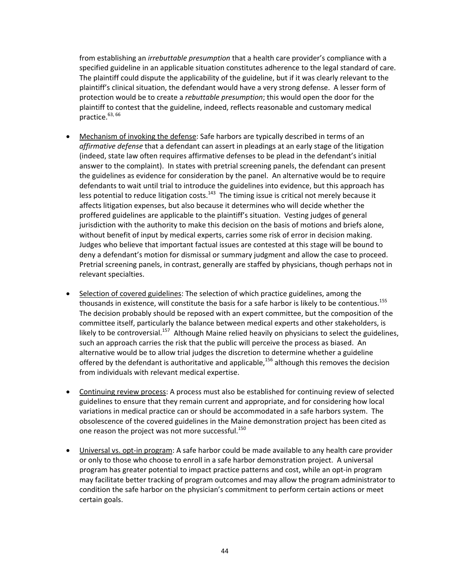from establishing an *irrebuttable presumption* that a health care provider's compliance with a specified guideline in an applicable situation constitutes adherence to the legal standard of care. The plaintiff could dispute the applicability of the guideline, but if it was clearly relevant to the plaintiff's clinical situation, the defendant would have a very strong defense. A lesser form of protection would be to create a *rebuttable presumption*; this would open the door for the plaintiff to contest that the guideline, indeed, reflects reasonable and customary medical practice.<sup>63, 66</sup>

- Mechanism of invoking the defense: Safe harbors are typically described in terms of an *affirmative defense* that a defendant can assert in pleadings at an early stage of the litigation (indeed, state law often requires affirmative defenses to be plead in the defendant's initial answer to the complaint). In states with pretrial screening panels, the defendant can present the guidelines as evidence for consideration by the panel. An alternative would be to require defendants to wait until trial to introduce the guidelines into evidence, but this approach has less potential to reduce litigation costs. $143$  The timing issue is critical not merely because it affects litigation expenses, but also because it determines who will decide whether the proffered guidelines are applicable to the plaintiff's situation. Vesting judges of general jurisdiction with the authority to make this decision on the basis of motions and briefs alone, without benefit of input by medical experts, carries some risk of error in decision making. Judges who believe that important factual issues are contested at this stage will be bound to deny a defendant's motion for dismissal or summary judgment and allow the case to proceed. Pretrial screening panels, in contrast, generally are staffed by physicians, though perhaps not in relevant specialties.
- Selection of covered guidelines: The selection of which practice guidelines, among the thousands in existence, will constitute the basis for a safe harbor is likely to be contentious.<sup>155</sup> The decision probably should be reposed with an expert committee, but the composition of the committee itself, particularly the balance between medical experts and other stakeholders, is likely to be controversial.<sup>157</sup> Although Maine relied heavily on physicians to select the guidelines, such an approach carries the risk that the public will perceive the process as biased. An alternative would be to allow trial judges the discretion to determine whether a guideline offered by the defendant is authoritative and applicable,<sup>156</sup> although this removes the decision from individuals with relevant medical expertise.
- Continuing review process: A process must also be established for continuing review of selected guidelines to ensure that they remain current and appropriate, and for considering how local variations in medical practice can or should be accommodated in a safe harbors system. The obsolescence of the covered guidelines in the Maine demonstration project has been cited as one reason the project was not more successful.<sup>150</sup>
- Universal vs. opt‐in program: A safe harbor could be made available to any health care provider or only to those who choose to enroll in a safe harbor demonstration project. A universal program has greater potential to impact practice patterns and cost, while an opt‐in program may facilitate better tracking of program outcomes and may allow the program administrator to condition the safe harbor on the physician's commitment to perform certain actions or meet certain goals.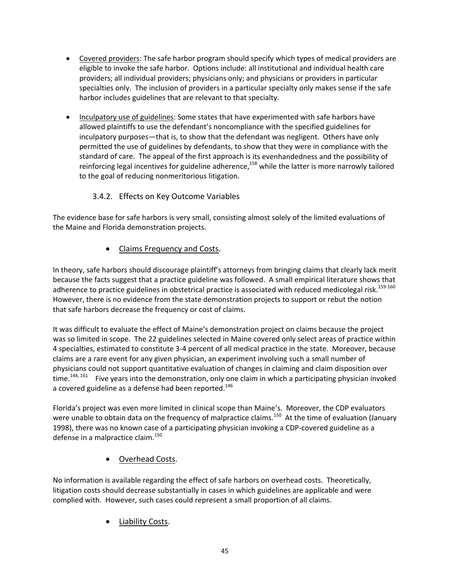- Covered providers: The safe harbor program should specify which types of medical providers are eligible to invoke the safe harbor. Options include: all institutional and individual health care providers; all individual providers; physicians only; and physicians or providers in particular specialties only. The inclusion of providers in a particular specialty only makes sense if the safe harbor includes guidelines that are relevant to that specialty.
- Inculpatory use of guidelines: Some states that have experimented with safe harbors have allowed plaintiffs to use the defendant's noncompliance with the specified guidelines for inculpatory purposes—that is, to show that the defendant was negligent. Others have only permitted the use of guidelines by defendants, to show that they were in compliance with the standard of care. The appeal of the first approach is its evenhandedness and the possibility of reinforcing legal incentives for guideline adherence,<sup>158</sup> while the latter is more narrowly tailored to the goal of reducing nonmeritorious litigation.

## 3.4.2. Effects on Key Outcome Variables

The evidence base for safe harbors is very small, consisting almost solely of the limited evaluations of the Maine and Florida demonstration projects.

### Claims Frequency and Costs.

In theory, safe harbors should discourage plaintiff's attorneys from bringing claims that clearly lack merit because the facts suggest that a practice guideline was followed. A small empirical literature shows that adherence to practice guidelines in obstetrical practice is associated with reduced medicolegal risk.<sup>159-160</sup> However, there is no evidence from the state demonstration projects to support or rebut the notion that safe harbors decrease the frequency or cost of claims.

It was difficult to evaluate the effect of Maine's demonstration project on claims because the project was so limited in scope. The 22 guidelines selected in Maine covered only select areas of practice within 4 specialties, estimated to constitute 3‐4 percent of all medical practice in the state. Moreover, because claims are a rare event for any given physician, an experiment involving such a small number of physicians could not support quantitative evaluation of changes in claiming and claim disposition over time.<sup>144, 161</sup> Five years into the demonstration, only one claim in which a participating physician invoked a covered guideline as a defense had been reported.<sup>146</sup>

Florida's project was even more limited in clinical scope than Maine's. Moreover, the CDP evaluators were unable to obtain data on the frequency of malpractice claims.<sup>150</sup> At the time of evaluation (January 1998), there was no known case of a participating physician invoking a CDP‐covered guideline as a defense in a malpractice claim.<sup>150</sup>

Overhead Costs.

No information is available regarding the effect of safe harbors on overhead costs. Theoretically, litigation costs should decrease substantially in cases in which guidelines are applicable and were complied with. However, such cases could represent a small proportion of all claims.

Liability Costs.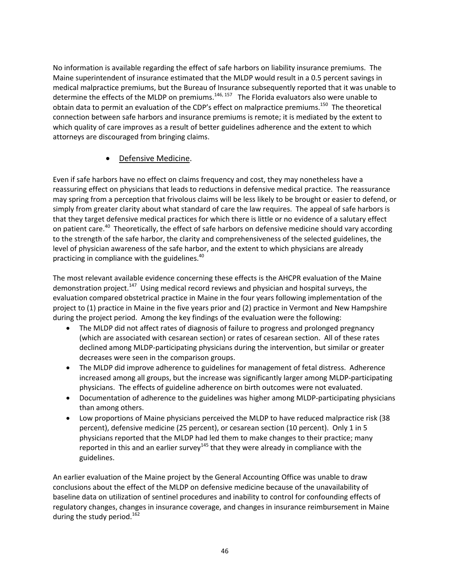No information is available regarding the effect of safe harbors on liability insurance premiums. The Maine superintendent of insurance estimated that the MLDP would result in a 0.5 percent savings in medical malpractice premiums, but the Bureau of Insurance subsequently reported that it was unable to determine the effects of the MLDP on premiums.<sup>146, 157</sup> The Florida evaluators also were unable to obtain data to permit an evaluation of the CDP's effect on malpractice premiums.<sup>150</sup> The theoretical connection between safe harbors and insurance premiums is remote; it is mediated by the extent to which quality of care improves as a result of better guidelines adherence and the extent to which attorneys are discouraged from bringing claims.

#### Defensive Medicine.

Even if safe harbors have no effect on claims frequency and cost, they may nonetheless have a reassuring effect on physicians that leads to reductions in defensive medical practice. The reassurance may spring from a perception that frivolous claims will be less likely to be brought or easier to defend, or simply from greater clarity about what standard of care the law requires. The appeal of safe harbors is that they target defensive medical practices for which there is little or no evidence of a salutary effect on patient care.<sup>40</sup> Theoretically, the effect of safe harbors on defensive medicine should vary according to the strength of the safe harbor, the clarity and comprehensiveness of the selected guidelines, the level of physician awareness of the safe harbor, and the extent to which physicians are already practicing in compliance with the guidelines. $40$ 

The most relevant available evidence concerning these effects is the AHCPR evaluation of the Maine demonstration project.<sup>147</sup> Using medical record reviews and physician and hospital surveys, the evaluation compared obstetrical practice in Maine in the four years following implementation of the project to (1) practice in Maine in the five years prior and (2) practice in Vermont and New Hampshire during the project period. Among the key findings of the evaluation were the following:

- The MLDP did not affect rates of diagnosis of failure to progress and prolonged pregnancy (which are associated with cesarean section) or rates of cesarean section. All of these rates declined among MLDP‐participating physicians during the intervention, but similar or greater decreases were seen in the comparison groups.
- The MLDP did improve adherence to guidelines for management of fetal distress. Adherence increased among all groups, but the increase was significantly larger among MLDP‐participating physicians. The effects of guideline adherence on birth outcomes were not evaluated.
- Documentation of adherence to the guidelines was higher among MLDP-participating physicians than among others.
- Low proportions of Maine physicians perceived the MLDP to have reduced malpractice risk (38 percent), defensive medicine (25 percent), or cesarean section (10 percent). Only 1 in 5 physicians reported that the MLDP had led them to make changes to their practice; many reported in this and an earlier survey<sup>145</sup> that they were already in compliance with the guidelines.

An earlier evaluation of the Maine project by the General Accounting Office was unable to draw conclusions about the effect of the MLDP on defensive medicine because of the unavailability of baseline data on utilization of sentinel procedures and inability to control for confounding effects of regulatory changes, changes in insurance coverage, and changes in insurance reimbursement in Maine during the study period.<sup>162</sup>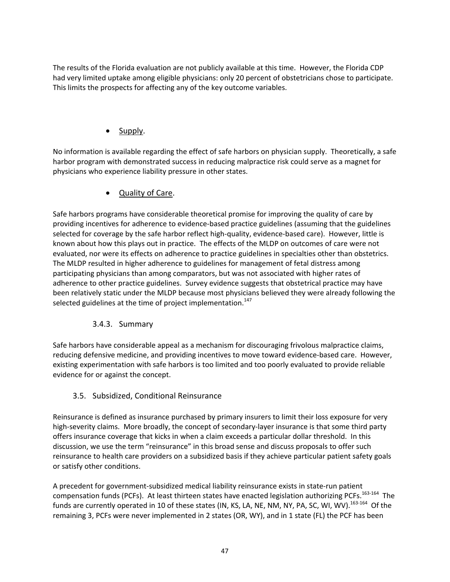The results of the Florida evaluation are not publicly available at this time. However, the Florida CDP had very limited uptake among eligible physicians: only 20 percent of obstetricians chose to participate. This limits the prospects for affecting any of the key outcome variables.

Supply.

No information is available regarding the effect of safe harbors on physician supply. Theoretically, a safe harbor program with demonstrated success in reducing malpractice risk could serve as a magnet for physicians who experience liability pressure in other states.

Quality of Care.

Safe harbors programs have considerable theoretical promise for improving the quality of care by providing incentives for adherence to evidence‐based practice guidelines (assuming that the guidelines selected for coverage by the safe harbor reflect high-quality, evidence-based care). However, little is known about how this plays out in practice. The effects of the MLDP on outcomes of care were not evaluated, nor were its effects on adherence to practice guidelines in specialties other than obstetrics. The MLDP resulted in higher adherence to guidelines for management of fetal distress among participating physicians than among comparators, but was not associated with higher rates of adherence to other practice guidelines. Survey evidence suggests that obstetrical practice may have been relatively static under the MLDP because most physicians believed they were already following the selected guidelines at the time of project implementation.<sup>147</sup>

### 3.4.3. Summary

Safe harbors have considerable appeal as a mechanism for discouraging frivolous malpractice claims, reducing defensive medicine, and providing incentives to move toward evidence-based care. However, existing experimentation with safe harbors is too limited and too poorly evaluated to provide reliable evidence for or against the concept.

### 3.5. Subsidized, Conditional Reinsurance

Reinsurance is defined as insurance purchased by primary insurers to limit their loss exposure for very high-severity claims. More broadly, the concept of secondary-layer insurance is that some third party offers insurance coverage that kicks in when a claim exceeds a particular dollar threshold. In this discussion, we use the term "reinsurance" in this broad sense and discuss proposals to offer such reinsurance to health care providers on a subsidized basis if they achieve particular patient safety goals or satisfy other conditions.

A precedent for government‐subsidized medical liability reinsurance exists in state‐run patient compensation funds (PCFs). At least thirteen states have enacted legislation authorizing PCFs.<sup>163-164</sup> The funds are currently operated in 10 of these states (IN, KS, LA, NE, NM, NY, PA, SC, WI, WV).<sup>163-164</sup> Of the remaining 3, PCFs were never implemented in 2 states (OR, WY), and in 1 state (FL) the PCF has been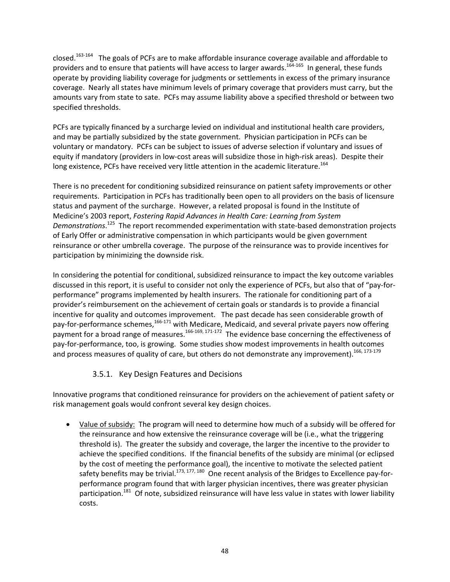closed.<sup>163-164</sup> The goals of PCFs are to make affordable insurance coverage available and affordable to providers and to ensure that patients will have access to larger awards.<sup>164-165</sup> In general, these funds operate by providing liability coverage for judgments or settlements in excess of the primary insurance coverage. Nearly all states have minimum levels of primary coverage that providers must carry, but the amounts vary from state to sate. PCFs may assume liability above a specified threshold or between two specified thresholds.

PCFs are typically financed by a surcharge levied on individual and institutional health care providers, and may be partially subsidized by the state government. Physician participation in PCFs can be voluntary or mandatory. PCFs can be subject to issues of adverse selection if voluntary and issues of equity if mandatory (providers in low-cost areas will subsidize those in high-risk areas). Despite their long existence, PCFs have received very little attention in the academic literature.<sup>164</sup>

There is no precedent for conditioning subsidized reinsurance on patient safety improvements or other requirements. Participation in PCFs has traditionally been open to all providers on the basis of licensure status and payment of the surcharge. However, a related proposal is found in the Institute of Medicine's 2003 report, *Fostering Rapid Advances in Health Care: Learning from System Demonstrations*. <sup>125</sup> The report recommended experimentation with state‐based demonstration projects of Early Offer or administrative compensation in which participants would be given government reinsurance or other umbrella coverage. The purpose of the reinsurance was to provide incentives for participation by minimizing the downside risk.

In considering the potential for conditional, subsidized reinsurance to impact the key outcome variables discussed in this report, it is useful to consider not only the experience of PCFs, but also that of "pay‐for‐ performance" programs implemented by health insurers. The rationale for conditioning part of a provider's reimbursement on the achievement of certain goals or standards is to provide a financial incentive for quality and outcomes improvement. The past decade has seen considerable growth of pay-for-performance schemes,<sup>166-171</sup> with Medicare, Medicaid, and several private payers now offering payment for a broad range of measures.<sup>166-169, 171-172</sup> The evidence base concerning the effectiveness of pay‐for‐performance, too, is growing. Some studies show modest improvements in health outcomes and process measures of quality of care, but others do not demonstrate any improvement).<sup>166, 173-179</sup>

### 3.5.1. Key Design Features and Decisions

Innovative programs that conditioned reinsurance for providers on the achievement of patient safety or risk management goals would confront several key design choices.

 Value of subsidy: The program will need to determine how much of a subsidy will be offered for the reinsurance and how extensive the reinsurance coverage will be (i.e., what the triggering threshold is). The greater the subsidy and coverage, the larger the incentive to the provider to achieve the specified conditions. If the financial benefits of the subsidy are minimal (or eclipsed by the cost of meeting the performance goal), the incentive to motivate the selected patient safety benefits may be trivial.<sup>173, 177, 180</sup> One recent analysis of the Bridges to Excellence pay-forperformance program found that with larger physician incentives, there was greater physician participation.<sup>181</sup> Of note, subsidized reinsurance will have less value in states with lower liability costs.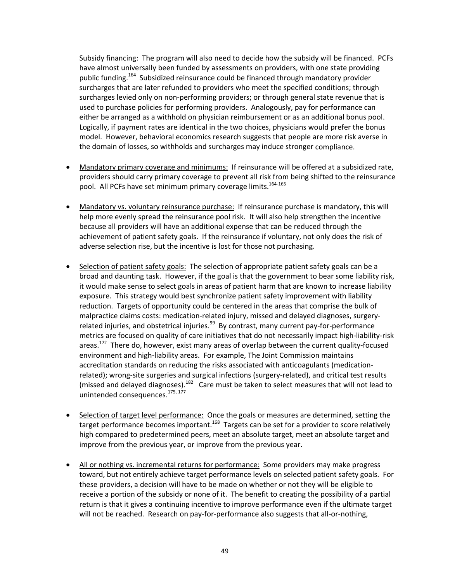Subsidy financing: The program will also need to decide how the subsidy will be financed. PCFs have almost universally been funded by assessments on providers, with one state providing public funding.<sup>164</sup> Subsidized reinsurance could be financed through mandatory provider surcharges that are later refunded to providers who meet the specified conditions; through surcharges levied only on non-performing providers; or through general state revenue that is used to purchase policies for performing providers. Analogously, pay for performance can either be arranged as a withhold on physician reimbursement or as an additional bonus pool. Logically, if payment rates are identical in the two choices, physicians would prefer the bonus model. However, behavioral economics research suggests that people are more risk averse in the domain of losses, so withholds and surcharges may induce stronger compliance.

- Mandatory primary coverage and minimums: If reinsurance will be offered at a subsidized rate, providers should carry primary coverage to prevent all risk from being shifted to the reinsurance pool. All PCFs have set minimum primary coverage limits.<sup>164-165</sup>
- Mandatory vs. voluntary reinsurance purchase: If reinsurance purchase is mandatory, this will help more evenly spread the reinsurance pool risk. It will also help strengthen the incentive because all providers will have an additional expense that can be reduced through the achievement of patient safety goals. If the reinsurance if voluntary, not only does the risk of adverse selection rise, but the incentive is lost for those not purchasing.
- Selection of patient safety goals: The selection of appropriate patient safety goals can be a broad and daunting task. However, if the goal is that the government to bear some liability risk, it would make sense to select goals in areas of patient harm that are known to increase liability exposure. This strategy would best synchronize patient safety improvement with liability reduction. Targets of opportunity could be centered in the areas that comprise the bulk of malpractice claims costs: medication-related injury, missed and delayed diagnoses, surgeryrelated injuries, and obstetrical injuries.<sup>99</sup> By contrast, many current pay-for-performance metrics are focused on quality of care initiatives that do not necessarily impact high‐liability‐risk areas.<sup>172</sup> There do, however, exist many areas of overlap between the current quality-focused environment and high‐liability areas. For example, The Joint Commission maintains accreditation standards on reducing the risks associated with anticoagulants (medication‐ related); wrong‐site surgeries and surgical infections (surgery‐related), and critical test results (missed and delayed diagnoses).<sup>182</sup> Care must be taken to select measures that will not lead to unintended consequences.<sup>175, 177</sup>
- Selection of target level performance: Once the goals or measures are determined, setting the target performance becomes important.<sup>168</sup> Targets can be set for a provider to score relatively high compared to predetermined peers, meet an absolute target, meet an absolute target and improve from the previous year, or improve from the previous year.
- All or nothing vs. incremental returns for performance: Some providers may make progress toward, but not entirely achieve target performance levels on selected patient safety goals. For these providers, a decision will have to be made on whether or not they will be eligible to receive a portion of the subsidy or none of it. The benefit to creating the possibility of a partial return is that it gives a continuing incentive to improve performance even if the ultimate target will not be reached. Research on pay-for-performance also suggests that all-or-nothing,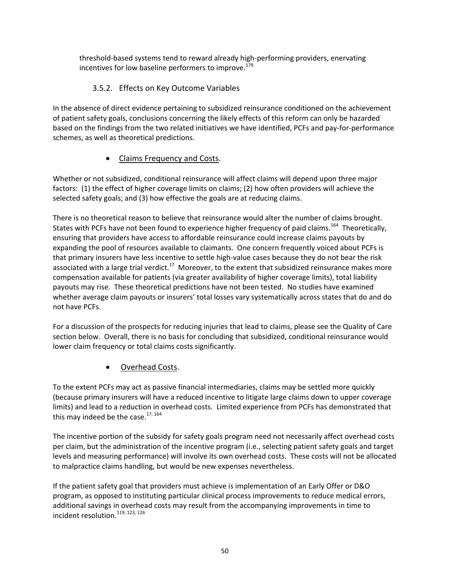threshold‐based systems tend to reward already high‐performing providers, enervating incentives for low baseline performers to improve.<sup>179</sup>

## 3.5.2. Effects on Key Outcome Variables

In the absence of direct evidence pertaining to subsidized reinsurance conditioned on the achievement of patient safety goals, conclusions concerning the likely effects of this reform can only be hazarded based on the findings from the two related initiatives we have identified, PCFs and pay‐for‐performance schemes, as well as theoretical predictions.

### Claims Frequency and Costs.

Whether or not subsidized, conditional reinsurance will affect claims will depend upon three major factors: (1) the effect of higher coverage limits on claims; (2) how often providers will achieve the selected safety goals; and (3) how effective the goals are at reducing claims.

There is no theoretical reason to believe that reinsurance would alter the number of claims brought. States with PCFs have not been found to experience higher frequency of paid claims.<sup>164</sup> Theoretically, ensuring that providers have access to affordable reinsurance could increase claims payouts by expanding the pool of resources available to claimants. One concern frequently voiced about PCFs is that primary insurers have less incentive to settle high‐value cases because they do not bear the risk associated with a large trial verdict.<sup>17</sup> Moreover, to the extent that subsidized reinsurance makes more compensation available for patients (via greater availability of higher coverage limits), total liability payouts may rise. These theoretical predictions have not been tested. No studies have examined whether average claim payouts or insurers' total losses vary systematically across states that do and do not have PCFs.

For a discussion of the prospects for reducing injuries that lead to claims, please see the Quality of Care section below. Overall, there is no basis for concluding that subsidized, conditional reinsurance would lower claim frequency or total claims costs significantly.

Overhead Costs.

To the extent PCFs may act as passive financial intermediaries, claims may be settled more quickly (because primary insurers will have a reduced incentive to litigate large claims down to upper coverage limits) and lead to a reduction in overhead costs. Limited experience from PCFs has demonstrated that this may indeed be the case. $17, 164$ 

The incentive portion of the subsidy for safety goals program need not necessarily affect overhead costs per claim, but the administration of the incentive program (i.e., selecting patient safety goals and target levels and measuring performance) will involve its own overhead costs. These costs will not be allocated to malpractice claims handling, but would be new expenses nevertheless.

If the patient safety goal that providers must achieve is implementation of an Early Offer or D&O program, as opposed to instituting particular clinical process improvements to reduce medical errors, additional savings in overhead costs may result from the accompanying improvements in time to incident resolution.<sup>119, 123, 126</sup>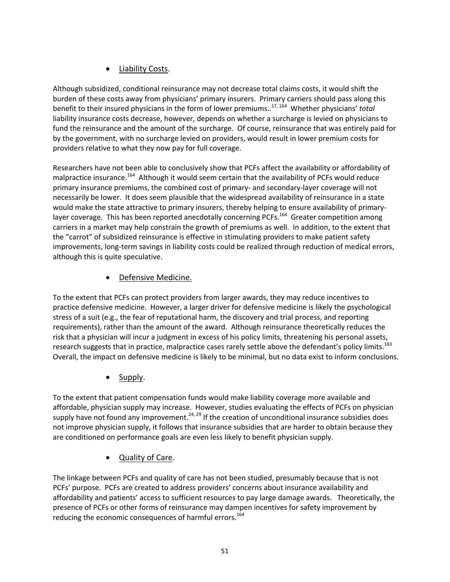## Liability Costs.

Although subsidized, conditional reinsurance may not decrease total claims costs, it would shift the burden of these costs away from physicians' primary insurers. Primary carriers should pass along this benefit to their insured physicians in the form of lower premiums..17, <sup>164</sup> Whether physicians' *total* liability insurance costs decrease, however, depends on whether a surcharge is levied on physicians to fund the reinsurance and the amount of the surcharge. Of course, reinsurance that was entirely paid for by the government, with no surcharge levied on providers, would result in lower premium costs for providers relative to what they now pay for full coverage.

Researchers have not been able to conclusively show that PCFs affect the availability or affordability of malpractice insurance.<sup>164</sup> Although it would seem certain that the availability of PCFs would reduce primary insurance premiums, the combined cost of primary‐ and secondary‐layer coverage will not necessarily be lower. It does seem plausible that the widespread availability of reinsurance in a state would make the state attractive to primary insurers, thereby helping to ensure availability of primarylayer coverage. This has been reported anecdotally concerning PCFs.<sup>164</sup> Greater competition among carriers in a market may help constrain the growth of premiums as well. In addition, to the extent that the "carrot" of subsidized reinsurance is effective in stimulating providers to make patient safety improvements, long-term savings in liability costs could be realized through reduction of medical errors, although this is quite speculative.

# Defensive Medicine.

To the extent that PCFs can protect providers from larger awards, they may reduce incentives to practice defensive medicine. However, a larger driver for defensive medicine is likely the psychological stress of a suit (e.g., the fear of reputational harm, the discovery and trial process, and reporting requirements), rather than the amount of the award. Although reinsurance theoretically reduces the risk that a physician will incur a judgment in excess of his policy limits, threatening his personal assets, research suggests that in practice, malpractice cases rarely settle above the defendant's policy limits.<sup>183</sup> Overall, the impact on defensive medicine is likely to be minimal, but no data exist to inform conclusions.

Supply.

To the extent that patient compensation funds would make liability coverage more available and affordable, physician supply may increase. However, studies evaluating the effects of PCFs on physician supply have not found any improvement.<sup>24, 29</sup> If the creation of unconditional insurance subsidies does not improve physician supply, it follows that insurance subsidies that are harder to obtain because they are conditioned on performance goals are even less likely to benefit physician supply.

Quality of Care.

The linkage between PCFs and quality of care has not been studied, presumably because that is not PCFs' purpose. PCFs are created to address providers' concerns about insurance availability and affordability and patients' access to sufficient resources to pay large damage awards. Theoretically, the presence of PCFs or other forms of reinsurance may dampen incentives for safety improvement by reducing the economic consequences of harmful errors.<sup>164</sup>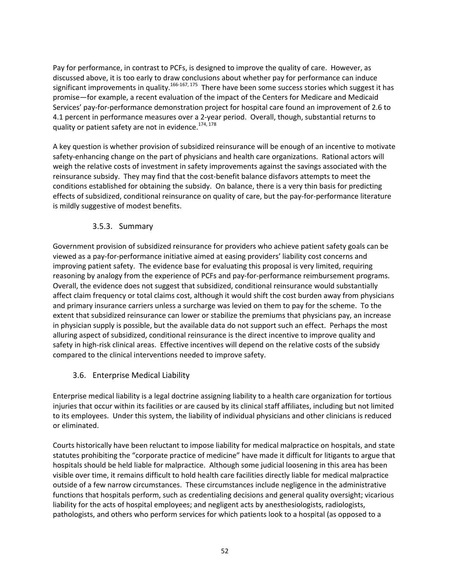Pay for performance, in contrast to PCFs, is designed to improve the quality of care. However, as discussed above, it is too early to draw conclusions about whether pay for performance can induce significant improvements in quality.<sup>166-167, 175</sup> There have been some success stories which suggest it has promise—for example, a recent evaluation of the impact of the Centers for Medicare and Medicaid Services' pay‐for‐performance demonstration project for hospital care found an improvement of 2.6 to 4.1 percent in performance measures over a 2‐year period. Overall, though, substantial returns to quality or patient safety are not in evidence.<sup>174, 178</sup>

A key question is whether provision of subsidized reinsurance will be enough of an incentive to motivate safety-enhancing change on the part of physicians and health care organizations. Rational actors will weigh the relative costs of investment in safety improvements against the savings associated with the reinsurance subsidy. They may find that the cost‐benefit balance disfavors attempts to meet the conditions established for obtaining the subsidy. On balance, there is a very thin basis for predicting effects of subsidized, conditional reinsurance on quality of care, but the pay‐for‐performance literature is mildly suggestive of modest benefits.

#### 3.5.3. Summary

Government provision of subsidized reinsurance for providers who achieve patient safety goals can be viewed as a pay‐for‐performance initiative aimed at easing providers' liability cost concerns and improving patient safety. The evidence base for evaluating this proposal is very limited, requiring reasoning by analogy from the experience of PCFs and pay-for-performance reimbursement programs. Overall, the evidence does not suggest that subsidized, conditional reinsurance would substantially affect claim frequency or total claims cost, although it would shift the cost burden away from physicians and primary insurance carriers unless a surcharge was levied on them to pay for the scheme. To the extent that subsidized reinsurance can lower or stabilize the premiums that physicians pay, an increase in physician supply is possible, but the available data do not support such an effect. Perhaps the most alluring aspect of subsidized, conditional reinsurance is the direct incentive to improve quality and safety in high-risk clinical areas. Effective incentives will depend on the relative costs of the subsidy compared to the clinical interventions needed to improve safety.

#### 3.6. Enterprise Medical Liability

Enterprise medical liability is a legal doctrine assigning liability to a health care organization for tortious injuries that occur within its facilities or are caused by its clinical staff affiliates, including but not limited to its employees. Under this system, the liability of individual physicians and other clinicians is reduced or eliminated.

Courts historically have been reluctant to impose liability for medical malpractice on hospitals, and state statutes prohibiting the "corporate practice of medicine" have made it difficult for litigants to argue that hospitals should be held liable for malpractice. Although some judicial loosening in this area has been visible over time, it remains difficult to hold health care facilities directly liable for medical malpractice outside of a few narrow circumstances. These circumstances include negligence in the administrative functions that hospitals perform, such as credentialing decisions and general quality oversight; vicarious liability for the acts of hospital employees; and negligent acts by anesthesiologists, radiologists, pathologists, and others who perform services for which patients look to a hospital (as opposed to a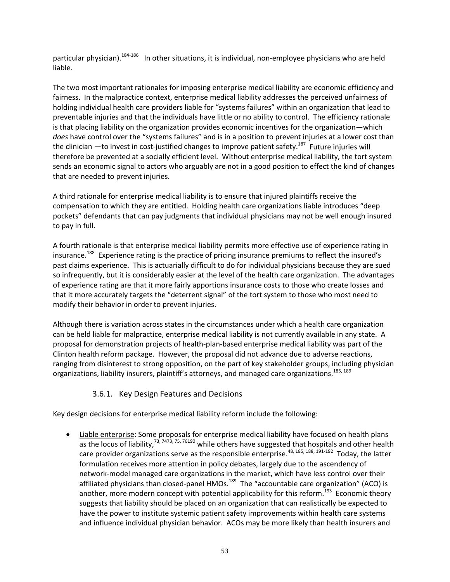particular physician).<sup>184-186</sup> In other situations, it is individual, non-employee physicians who are held liable.

The two most important rationales for imposing enterprise medical liability are economic efficiency and fairness. In the malpractice context, enterprise medical liability addresses the perceived unfairness of holding individual health care providers liable for "systems failures" within an organization that lead to preventable injuries and that the individuals have little or no ability to control. The efficiency rationale is that placing liability on the organization provides economic incentives for the organization—which *does* have control over the "systems failures" and is in a position to prevent injuries at a lower cost than the clinician —to invest in cost-justified changes to improve patient safety.<sup>187</sup> Future injuries will therefore be prevented at a socially efficient level. Without enterprise medical liability, the tort system sends an economic signal to actors who arguably are not in a good position to effect the kind of changes that are needed to prevent injuries.

A third rationale for enterprise medical liability is to ensure that injured plaintiffs receive the compensation to which they are entitled. Holding health care organizations liable introduces "deep pockets" defendants that can pay judgments that individual physicians may not be well enough insured to pay in full.

A fourth rationale is that enterprise medical liability permits more effective use of experience rating in insurance.<sup>188</sup> Experience rating is the practice of pricing insurance premiums to reflect the insured's past claims experience. This is actuarially difficult to do for individual physicians because they are sued so infrequently, but it is considerably easier at the level of the health care organization. The advantages of experience rating are that it more fairly apportions insurance costs to those who create losses and that it more accurately targets the "deterrent signal" of the tort system to those who most need to modify their behavior in order to prevent injuries.

Although there is variation across states in the circumstances under which a health care organization can be held liable for malpractice, enterprise medical liability is not currently available in any state. A proposal for demonstration projects of health‐plan‐based enterprise medical liability was part of the Clinton health reform package. However, the proposal did not advance due to adverse reactions, ranging from disinterest to strong opposition, on the part of key stakeholder groups, including physician organizations, liability insurers, plaintiff's attorneys, and managed care organizations.<sup>185, 189</sup>

### 3.6.1. Key Design Features and Decisions

Key design decisions for enterprise medical liability reform include the following:

 Liable enterprise: Some proposals for enterprise medical liability have focused on health plans as the locus of liability,<sup>73, 7473, 75, 76190</sup> while others have suggested that hospitals and other health care provider organizations serve as the responsible enterprise.<sup>48, 185, 188, 191-192</sup> Today, the latter formulation receives more attention in policy debates, largely due to the ascendency of network‐model managed care organizations in the market, which have less control over their affiliated physicians than closed-panel HMOs.<sup>189</sup> The "accountable care organization" (ACO) is another, more modern concept with potential applicability for this reform.<sup>193</sup> Economic theory suggests that liability should be placed on an organization that can realistically be expected to have the power to institute systemic patient safety improvements within health care systems and influence individual physician behavior. ACOs may be more likely than health insurers and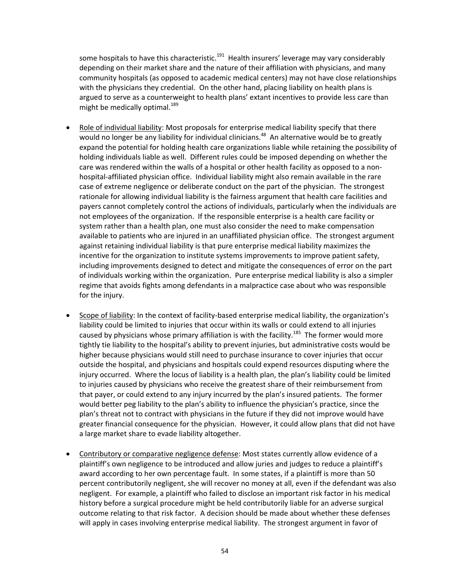some hospitals to have this characteristic.<sup>191</sup> Health insurers' leverage may vary considerably depending on their market share and the nature of their affiliation with physicians, and many community hospitals (as opposed to academic medical centers) may not have close relationships with the physicians they credential. On the other hand, placing liability on health plans is argued to serve as a counterweight to health plans' extant incentives to provide less care than might be medically optimal.<sup>189</sup>

- Role of individual liability: Most proposals for enterprise medical liability specify that there would no longer be any liability for individual clinicians.<sup>48</sup> An alternative would be to greatly expand the potential for holding health care organizations liable while retaining the possibility of holding individuals liable as well. Different rules could be imposed depending on whether the care was rendered within the walls of a hospital or other health facility as opposed to a non‐ hospital‐affiliated physician office. Individual liability might also remain available in the rare case of extreme negligence or deliberate conduct on the part of the physician. The strongest rationale for allowing individual liability is the fairness argument that health care facilities and payers cannot completely control the actions of individuals, particularly when the individuals are not employees of the organization. If the responsible enterprise is a health care facility or system rather than a health plan, one must also consider the need to make compensation available to patients who are injured in an unaffiliated physician office. The strongest argument against retaining individual liability is that pure enterprise medical liability maximizes the incentive for the organization to institute systems improvements to improve patient safety, including improvements designed to detect and mitigate the consequences of error on the part of individuals working within the organization. Pure enterprise medical liability is also a simpler regime that avoids fights among defendants in a malpractice case about who was responsible for the injury.
- Scope of liability: In the context of facility-based enterprise medical liability, the organization's liability could be limited to injuries that occur within its walls or could extend to all injuries caused by physicians whose primary affiliation is with the facility.<sup>185</sup> The former would more tightly tie liability to the hospital's ability to prevent injuries, but administrative costs would be higher because physicians would still need to purchase insurance to cover injuries that occur outside the hospital, and physicians and hospitals could expend resources disputing where the injury occurred. Where the locus of liability is a health plan, the plan's liability could be limited to injuries caused by physicians who receive the greatest share of their reimbursement from that payer, or could extend to any injury incurred by the plan's insured patients. The former would better peg liability to the plan's ability to influence the physician's practice, since the plan's threat not to contract with physicians in the future if they did not improve would have greater financial consequence for the physician. However, it could allow plans that did not have a large market share to evade liability altogether.
- Contributory or comparative negligence defense: Most states currently allow evidence of a plaintiff's own negligence to be introduced and allow juries and judges to reduce a plaintiff's award according to her own percentage fault. In some states, if a plaintiff is more than 50 percent contributorily negligent, she will recover no money at all, even if the defendant was also negligent. For example, a plaintiff who failed to disclose an important risk factor in his medical history before a surgical procedure might be held contributorily liable for an adverse surgical outcome relating to that risk factor. A decision should be made about whether these defenses will apply in cases involving enterprise medical liability. The strongest argument in favor of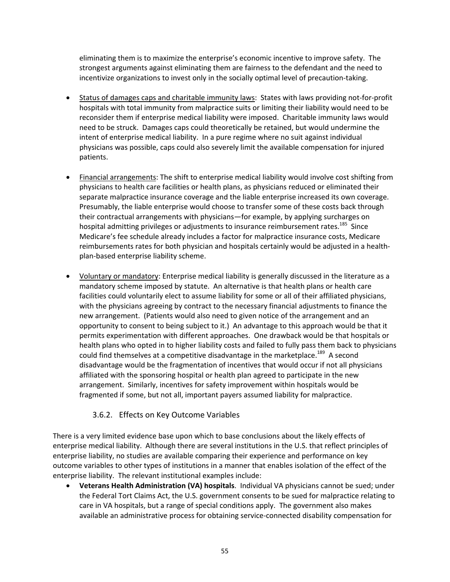eliminating them is to maximize the enterprise's economic incentive to improve safety. The strongest arguments against eliminating them are fairness to the defendant and the need to incentivize organizations to invest only in the socially optimal level of precaution‐taking.

- Status of damages caps and charitable immunity laws: States with laws providing not‐for‐profit hospitals with total immunity from malpractice suits or limiting their liability would need to be reconsider them if enterprise medical liability were imposed. Charitable immunity laws would need to be struck. Damages caps could theoretically be retained, but would undermine the intent of enterprise medical liability. In a pure regime where no suit against individual physicians was possible, caps could also severely limit the available compensation for injured patients.
- Financial arrangements: The shift to enterprise medical liability would involve cost shifting from physicians to health care facilities or health plans, as physicians reduced or eliminated their separate malpractice insurance coverage and the liable enterprise increased its own coverage. Presumably, the liable enterprise would choose to transfer some of these costs back through their contractual arrangements with physicians—for example, by applying surcharges on hospital admitting privileges or adjustments to insurance reimbursement rates.<sup>185</sup> Since Medicare's fee schedule already includes a factor for malpractice insurance costs, Medicare reimbursements rates for both physician and hospitals certainly would be adjusted in a health‐ plan‐based enterprise liability scheme.
- Voluntary or mandatory: Enterprise medical liability is generally discussed in the literature as a mandatory scheme imposed by statute. An alternative is that health plans or health care facilities could voluntarily elect to assume liability for some or all of their affiliated physicians, with the physicians agreeing by contract to the necessary financial adjustments to finance the new arrangement. (Patients would also need to given notice of the arrangement and an opportunity to consent to being subject to it.) An advantage to this approach would be that it permits experimentation with different approaches. One drawback would be that hospitals or health plans who opted in to higher liability costs and failed to fully pass them back to physicians could find themselves at a competitive disadvantage in the marketplace.<sup>189</sup> A second disadvantage would be the fragmentation of incentives that would occur if not all physicians affiliated with the sponsoring hospital or health plan agreed to participate in the new arrangement. Similarly, incentives for safety improvement within hospitals would be fragmented if some, but not all, important payers assumed liability for malpractice.

#### 3.6.2. Effects on Key Outcome Variables

There is a very limited evidence base upon which to base conclusions about the likely effects of enterprise medical liability. Although there are several institutions in the U.S. that reflect principles of enterprise liability, no studies are available comparing their experience and performance on key outcome variables to other types of institutions in a manner that enables isolation of the effect of the enterprise liability. The relevant institutional examples include:

 **Veterans Health Administration (VA) hospitals**. Individual VA physicians cannot be sued; under the Federal Tort Claims Act, the U.S. government consents to be sued for malpractice relating to care in VA hospitals, but a range of special conditions apply. The government also makes available an administrative process for obtaining service‐connected disability compensation for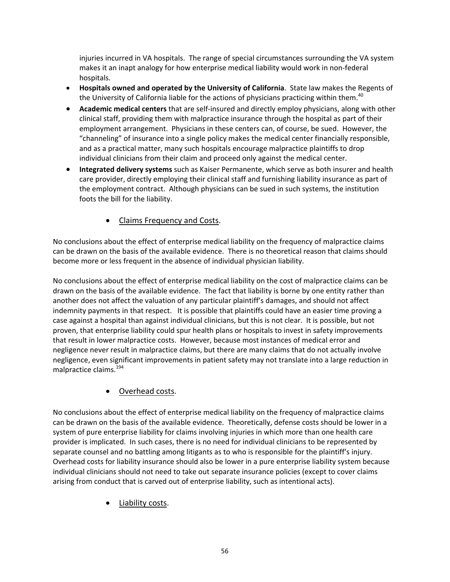injuries incurred in VA hospitals. The range of special circumstances surrounding the VA system makes it an inapt analogy for how enterprise medical liability would work in non‐federal hospitals.

- **Hospitals owned and operated by the University of California**. State law makes the Regents of the University of California liable for the actions of physicians practicing within them.<sup>40</sup>
- **Academic medical centers** that are self‐insured and directly employ physicians, along with other clinical staff, providing them with malpractice insurance through the hospital as part of their employment arrangement. Physicians in these centers can, of course, be sued. However, the "channeling" of insurance into a single policy makes the medical center financially responsible, and as a practical matter, many such hospitals encourage malpractice plaintiffs to drop individual clinicians from their claim and proceed only against the medical center.
- **Integrated delivery systems** such as Kaiser Permanente, which serve as both insurer and health care provider, directly employing their clinical staff and furnishing liability insurance as part of the employment contract. Although physicians can be sued in such systems, the institution foots the bill for the liability.
	- Claims Frequency and Costs.

No conclusions about the effect of enterprise medical liability on the frequency of malpractice claims can be drawn on the basis of the available evidence. There is no theoretical reason that claims should become more or less frequent in the absence of individual physician liability.

No conclusions about the effect of enterprise medical liability on the cost of malpractice claims can be drawn on the basis of the available evidence. The fact that liability is borne by one entity rather than another does not affect the valuation of any particular plaintiff's damages, and should not affect indemnity payments in that respect. It is possible that plaintiffs could have an easier time proving a case against a hospital than against individual clinicians, but this is not clear. It is possible, but not proven, that enterprise liability could spur health plans or hospitals to invest in safety improvements that result in lower malpractice costs. However, because most instances of medical error and negligence never result in malpractice claims, but there are many claims that do not actually involve negligence, even significant improvements in patient safety may not translate into a large reduction in malpractice claims.<sup>194</sup>

# Overhead costs.

No conclusions about the effect of enterprise medical liability on the frequency of malpractice claims can be drawn on the basis of the available evidence. Theoretically, defense costs should be lower in a system of pure enterprise liability for claims involving injuries in which more than one health care provider is implicated. In such cases, there is no need for individual clinicians to be represented by separate counsel and no battling among litigants as to who is responsible for the plaintiff's injury. Overhead costs for liability insurance should also be lower in a pure enterprise liability system because individual clinicians should not need to take out separate insurance policies (except to cover claims arising from conduct that is carved out of enterprise liability, such as intentional acts).

Liability costs.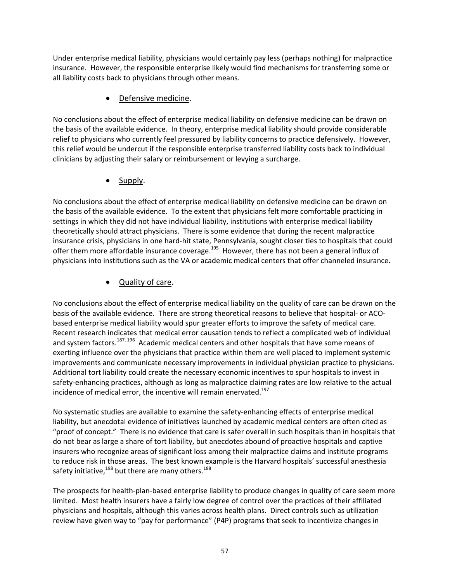Under enterprise medical liability, physicians would certainly pay less (perhaps nothing) for malpractice insurance. However, the responsible enterprise likely would find mechanisms for transferring some or all liability costs back to physicians through other means.

## Defensive medicine.

No conclusions about the effect of enterprise medical liability on defensive medicine can be drawn on the basis of the available evidence. In theory, enterprise medical liability should provide considerable relief to physicians who currently feel pressured by liability concerns to practice defensively. However, this relief would be undercut if the responsible enterprise transferred liability costs back to individual clinicians by adjusting their salary or reimbursement or levying a surcharge.

Supply.

No conclusions about the effect of enterprise medical liability on defensive medicine can be drawn on the basis of the available evidence. To the extent that physicians felt more comfortable practicing in settings in which they did not have individual liability, institutions with enterprise medical liability theoretically should attract physicians. There is some evidence that during the recent malpractice insurance crisis, physicians in one hard‐hit state, Pennsylvania, sought closer ties to hospitals that could offer them more affordable insurance coverage.<sup>195</sup> However, there has not been a general influx of physicians into institutions such as the VA or academic medical centers that offer channeled insurance.

# Quality of care.

No conclusions about the effect of enterprise medical liability on the quality of care can be drawn on the basis of the available evidence. There are strong theoretical reasons to believe that hospital‐ or ACO‐ based enterprise medical liability would spur greater efforts to improve the safety of medical care. Recent research indicates that medical error causation tends to reflect a complicated web of individual and system factors.<sup>187, 196</sup> Academic medical centers and other hospitals that have some means of exerting influence over the physicians that practice within them are well placed to implement systemic improvements and communicate necessary improvements in individual physician practice to physicians. Additional tort liability could create the necessary economic incentives to spur hospitals to invest in safety-enhancing practices, although as long as malpractice claiming rates are low relative to the actual incidence of medical error, the incentive will remain enervated.<sup>197</sup>

No systematic studies are available to examine the safety‐enhancing effects of enterprise medical liability, but anecdotal evidence of initiatives launched by academic medical centers are often cited as "proof of concept." There is no evidence that care is safer overall in such hospitals than in hospitals that do not bear as large a share of tort liability, but anecdotes abound of proactive hospitals and captive insurers who recognize areas of significant loss among their malpractice claims and institute programs to reduce risk in those areas. The best known example is the Harvard hospitals' successful anesthesia safety initiative,  $198$  but there are many others.  $188$ 

The prospects for health‐plan‐based enterprise liability to produce changes in quality of care seem more limited. Most health insurers have a fairly low degree of control over the practices of their affiliated physicians and hospitals, although this varies across health plans. Direct controls such as utilization review have given way to "pay for performance" (P4P) programs that seek to incentivize changes in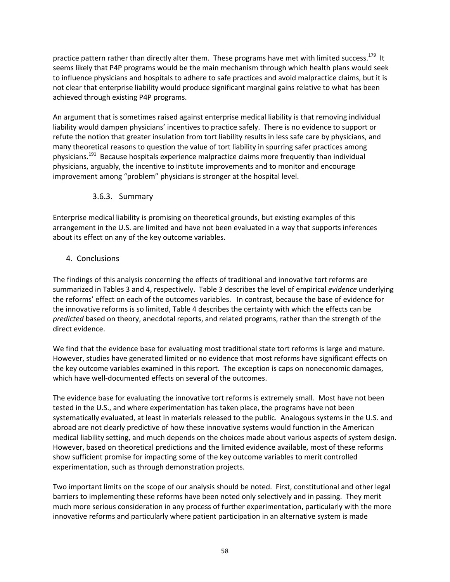practice pattern rather than directly alter them. These programs have met with limited success.<sup>179</sup> It seems likely that P4P programs would be the main mechanism through which health plans would seek to influence physicians and hospitals to adhere to safe practices and avoid malpractice claims, but it is not clear that enterprise liability would produce significant marginal gains relative to what has been achieved through existing P4P programs.

An argument that is sometimes raised against enterprise medical liability is that removing individual liability would dampen physicians' incentives to practice safely. There is no evidence to support or refute the notion that greater insulation from tort liability results in less safe care by physicians, and many theoretical reasons to question the value of tort liability in spurring safer practices among physicians.191 Because hospitals experience malpractice claims more frequently than individual physicians, arguably, the incentive to institute improvements and to monitor and encourage improvement among "problem" physicians is stronger at the hospital level.

#### 3.6.3. Summary

Enterprise medical liability is promising on theoretical grounds, but existing examples of this arrangement in the U.S. are limited and have not been evaluated in a way that supports inferences about its effect on any of the key outcome variables.

#### 4. Conclusions

The findings of this analysis concerning the effects of traditional and innovative tort reforms are summarized in Tables 3 and 4, respectively. Table 3 describes the level of empirical *evidence* underlying the reforms' effect on each of the outcomes variables. In contrast, because the base of evidence for the innovative reforms is so limited, Table 4 describes the certainty with which the effects can be *predicted* based on theory, anecdotal reports, and related programs, rather than the strength of the direct evidence.

We find that the evidence base for evaluating most traditional state tort reforms is large and mature. However, studies have generated limited or no evidence that most reforms have significant effects on the key outcome variables examined in this report. The exception is caps on noneconomic damages, which have well-documented effects on several of the outcomes.

The evidence base for evaluating the innovative tort reforms is extremely small. Most have not been tested in the U.S., and where experimentation has taken place, the programs have not been systematically evaluated, at least in materials released to the public. Analogous systems in the U.S. and abroad are not clearly predictive of how these innovative systems would function in the American medical liability setting, and much depends on the choices made about various aspects of system design. However, based on theoretical predictions and the limited evidence available, most of these reforms show sufficient promise for impacting some of the key outcome variables to merit controlled experimentation, such as through demonstration projects.

Two important limits on the scope of our analysis should be noted. First, constitutional and other legal barriers to implementing these reforms have been noted only selectively and in passing. They merit much more serious consideration in any process of further experimentation, particularly with the more innovative reforms and particularly where patient participation in an alternative system is made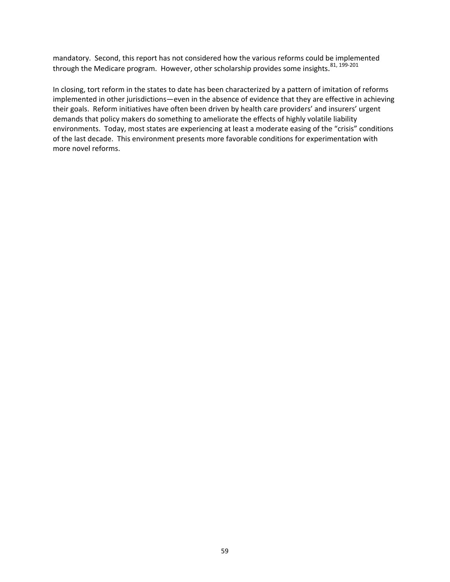mandatory. Second, this report has not considered how the various reforms could be implemented through the Medicare program. However, other scholarship provides some insights.<sup>81, 199-201</sup>

In closing, tort reform in the states to date has been characterized by a pattern of imitation of reforms implemented in other jurisdictions—even in the absence of evidence that they are effective in achieving their goals. Reform initiatives have often been driven by health care providers' and insurers' urgent demands that policy makers do something to ameliorate the effects of highly volatile liability environments. Today, most states are experiencing at least a moderate easing of the "crisis" conditions of the last decade. This environment presents more favorable conditions for experimentation with more novel reforms.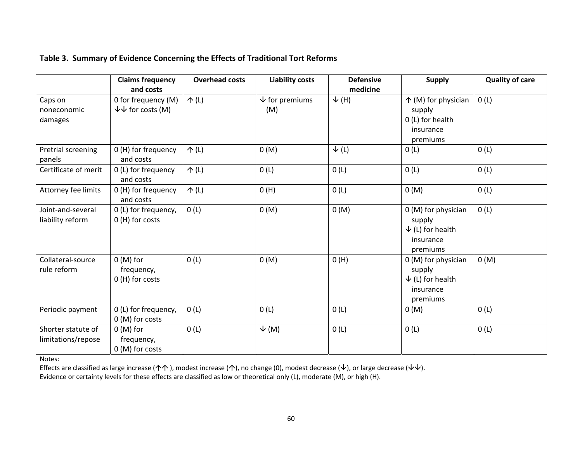|                                          | <b>Claims frequency</b><br>and costs                  | <b>Overhead costs</b> | <b>Liability costs</b>        | <b>Defensive</b><br>medicine | <b>Supply</b>                                                                         | <b>Quality of care</b> |
|------------------------------------------|-------------------------------------------------------|-----------------------|-------------------------------|------------------------------|---------------------------------------------------------------------------------------|------------------------|
| Caps on<br>noneconomic<br>damages        | 0 for frequency (M)<br>$\forall\forall$ for costs (M) | $\uparrow$ (L)        | $\sqrt{}$ for premiums<br>(M) | $\sqrt{(H)}$                 | 个 (M) for physician<br>supply<br>0 (L) for health<br>insurance<br>premiums            | 0(L)                   |
| Pretrial screening<br>panels             | 0 (H) for frequency<br>and costs                      | $\uparrow$ (L)        | 0(M)                          | $\downarrow$ (L)             | 0(L)                                                                                  | 0(L)                   |
| Certificate of merit                     | 0 (L) for frequency<br>and costs                      | $\uparrow$ (L)        | 0(L)                          | 0(L)                         | 0(L)                                                                                  | 0(L)                   |
| Attorney fee limits                      | 0 (H) for frequency<br>and costs                      | $\uparrow$ (L)        | O(H)                          | 0(L)                         | 0(M)                                                                                  | 0(L)                   |
| Joint-and-several<br>liability reform    | 0 (L) for frequency,<br>0 (H) for costs               | 0(L)                  | 0(M)                          | 0(M)                         | 0 (M) for physician<br>supply<br>$\downarrow$ (L) for health<br>insurance<br>premiums | 0(L)                   |
| Collateral-source<br>rule reform         | $0(M)$ for<br>frequency,<br>0 (H) for costs           | 0(L)                  | 0(M)                          | O(H)                         | 0 (M) for physician<br>supply<br>$\downarrow$ (L) for health<br>insurance<br>premiums | 0(M)                   |
| Periodic payment                         | 0 (L) for frequency,<br>0 (M) for costs               | 0(L)                  | 0(L)                          | 0(L)                         | 0(M)                                                                                  | 0(L)                   |
| Shorter statute of<br>limitations/repose | $0(M)$ for<br>frequency,<br>0 (M) for costs           | 0(L)                  | $\sqrt{(M)}$                  | 0(L)                         | 0(L)                                                                                  | 0(L)                   |

Notes:

Effects are classified as large increase (个个 ), modest increase (个), no change (0), modest decrease ( $\downarrow$ ), or large decrease ( $\downarrow\downarrow$ ). Evidence or certainty levels for these effects are classified as low or theoretical only (L), moderate (M), or high (H).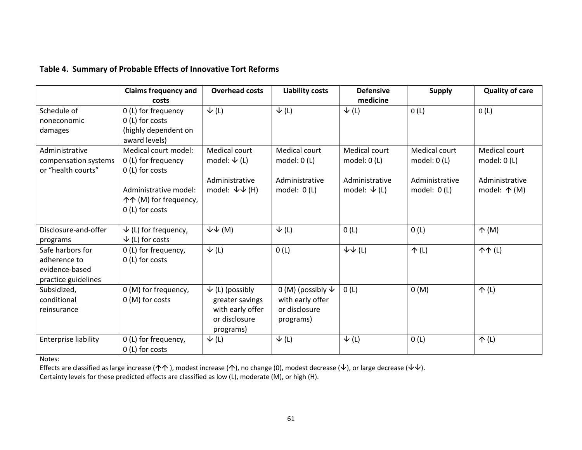#### **Table 4. Summary of Probable Effects of Innovative Tort Reforms**

|                                                                           | <b>Claims frequency and</b><br>costs                                                                                                | <b>Overhead costs</b>                                                                           | <b>Liability costs</b>                                                   | <b>Defensive</b><br>medicine                                                 | <b>Supply</b>                                                     | <b>Quality of care</b>                                                    |
|---------------------------------------------------------------------------|-------------------------------------------------------------------------------------------------------------------------------------|-------------------------------------------------------------------------------------------------|--------------------------------------------------------------------------|------------------------------------------------------------------------------|-------------------------------------------------------------------|---------------------------------------------------------------------------|
| Schedule of<br>noneconomic<br>damages                                     | 0 (L) for frequency<br>0 (L) for costs<br>(highly dependent on<br>award levels)                                                     | $\downarrow$ (L)                                                                                | $\downarrow$ (L)                                                         | $\downarrow$ (L)                                                             | 0(L)                                                              | 0(L)                                                                      |
| Administrative<br>compensation systems<br>or "health courts"              | Medical court model:<br>0 (L) for frequency<br>0 (L) for costs<br>Administrative model:<br>个个 (M) for frequency,<br>0 (L) for costs | Medical court<br>model: $\psi$ (L)<br>Administrative<br>model: $\forall \psi$ (H)               | Medical court<br>model: $0(L)$<br>Administrative<br>model: $0(L)$        | <b>Medical court</b><br>model: $0(L)$<br>Administrative<br>model: $\psi$ (L) | Medical court<br>model: $0(L)$<br>Administrative<br>model: $0(L)$ | Medical court<br>model: $0(L)$<br>Administrative<br>model: $\uparrow$ (M) |
| Disclosure-and-offer<br>programs                                          | $\psi$ (L) for frequency,<br>$\downarrow$ (L) for costs                                                                             | $\forall\psi$ (M)                                                                               | $\downarrow$ (L)                                                         | 0(L)                                                                         | 0(L)                                                              | $\uparrow$ (M)                                                            |
| Safe harbors for<br>adherence to<br>evidence-based<br>practice guidelines | 0 (L) for frequency,<br>0 (L) for costs                                                                                             | $\downarrow$ (L)                                                                                | 0(L)                                                                     | $\downarrow\downarrow$ (L)                                                   | $\uparrow$ (L)                                                    | <b>个个(L)</b>                                                              |
| Subsidized,<br>conditional<br>reinsurance                                 | 0 (M) for frequency,<br>0 (M) for costs                                                                                             | $\downarrow$ (L) (possibly<br>greater savings<br>with early offer<br>or disclosure<br>programs) | 0 (M) (possibly $\psi$<br>with early offer<br>or disclosure<br>programs) | 0(L)                                                                         | 0(M)                                                              | $\uparrow$ (L)                                                            |
| Enterprise liability                                                      | 0 (L) for frequency,<br>0 (L) for costs                                                                                             | $\downarrow$ (L)                                                                                | $\downarrow$ (L)                                                         | $\downarrow$ (L)                                                             | 0(L)                                                              | 个(L)                                                                      |

Notes:

Effects are classified as large increase (个个), modest increase (个), no change (0), modest decrease ( $\downarrow$ ), or large decrease ( $\downarrow\downarrow$ ). Certainty levels for these predicted effects are classified as low (L), moderate (M), or high (H).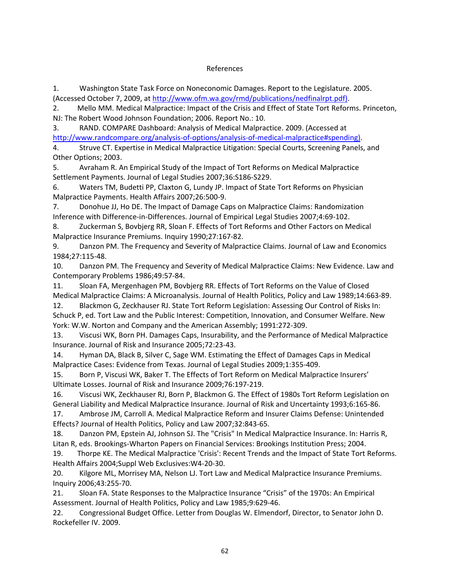#### References

1. Washington State Task Force on Noneconomic Damages. Report to the Legislature. 2005. (Accessed October 7, 2009, at http://www.ofm.wa.gov/rmd/publications/nedfinalrpt.pdf).

2. Mello MM. Medical Malpractice: Impact of the Crisis and Effect of State Tort Reforms. Princeton, NJ: The Robert Wood Johnson Foundation; 2006. Report No.: 10.

3. RAND. COMPARE Dashboard: Analysis of Medical Malpractice. 2009. (Accessed at http://www.randcompare.org/analysis‐of‐options/analysis‐of‐medical‐malpractice#spending).

4. Struve CT. Expertise in Medical Malpractice Litigation: Special Courts, Screening Panels, and Other Options; 2003.

5. Avraham R. An Empirical Study of the Impact of Tort Reforms on Medical Malpractice Settlement Payments. Journal of Legal Studies 2007;36:S186‐S229.

6. Waters TM, Budetti PP, Claxton G, Lundy JP. Impact of State Tort Reforms on Physician Malpractice Payments. Health Affairs 2007;26:500‐9.

7. Donohue JJ, Ho DE. The Impact of Damage Caps on Malpractice Claims: Randomization Inference with Difference‐in‐Differences. Journal of Empirical Legal Studies 2007;4:69‐102.

8. Zuckerman S, Bovbjerg RR, Sloan F. Effects of Tort Reforms and Other Factors on Medical Malpractice Insurance Premiums. Inquiry 1990;27:167‐82.

9. Danzon PM. The Frequency and Severity of Malpractice Claims. Journal of Law and Economics 1984;27:115‐48.

10. Danzon PM. The Frequency and Severity of Medical Malpractice Claims: New Evidence. Law and Contemporary Problems 1986;49:57‐84.

11. Sloan FA, Mergenhagen PM, Bovbjerg RR. Effects of Tort Reforms on the Value of Closed Medical Malpractice Claims: A Microanalysis. Journal of Health Politics, Policy and Law 1989;14:663‐89.

12. Blackmon G, Zeckhauser RJ. State Tort Reform Legislation: Assessing Our Control of Risks In: Schuck P, ed. Tort Law and the Public Interest: Competition, Innovation, and Consumer Welfare. New York: W.W. Norton and Company and the American Assembly; 1991:272‐309.

13. Viscusi WK, Born PH. Damages Caps, Insurability, and the Performance of Medical Malpractice Insurance. Journal of Risk and Insurance 2005;72:23‐43.

14. Hyman DA, Black B, Silver C, Sage WM. Estimating the Effect of Damages Caps in Medical Malpractice Cases: Evidence from Texas. Journal of Legal Studies 2009;1:355‐409.

15. Born P, Viscusi WK, Baker T. The Effects of Tort Reform on Medical Malpractice Insurers' Ultimate Losses. Journal of Risk and Insurance 2009;76:197‐219.

16. Viscusi WK, Zeckhauser RJ, Born P, Blackmon G. The Effect of 1980s Tort Reform Legislation on General Liability and Medical Malpractice Insurance. Journal of Risk and Uncertainty 1993;6:165‐86.

17. Ambrose JM, Carroll A. Medical Malpractice Reform and Insurer Claims Defense: Unintended Effects? Journal of Health Politics, Policy and Law 2007;32:843‐65.

18. Danzon PM, Epstein AJ, Johnson SJ. The "Crisis" In Medical Malpractice Insurance. In: Harris R, Litan R, eds. Brookings‐Wharton Papers on Financial Services: Brookings Institution Press; 2004.

19. Thorpe KE. The Medical Malpractice 'Crisis': Recent Trends and the Impact of State Tort Reforms. Health Affairs 2004;Suppl Web Exclusives:W4‐20‐30.

20. Kilgore ML, Morrisey MA, Nelson LJ. Tort Law and Medical Malpractice Insurance Premiums. Inquiry 2006;43:255‐70.

21. Sloan FA. State Responses to the Malpractice Insurance "Crisis" of the 1970s: An Empirical Assessment. Journal of Health Politics, Policy and Law 1985;9:629‐46.

22. Congressional Budget Office. Letter from Douglas W. Elmendorf, Director, to Senator John D. Rockefeller IV. 2009.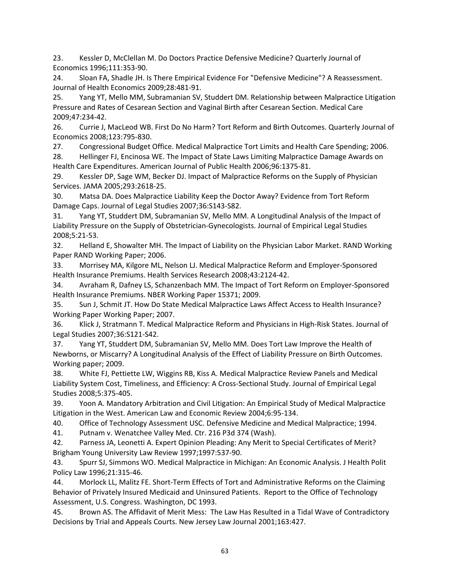23. Kessler D, McClellan M. Do Doctors Practice Defensive Medicine? Quarterly Journal of Economics 1996;111:353‐90.

24. Sloan FA, Shadle JH. Is There Empirical Evidence For "Defensive Medicine"? A Reassessment. Journal of Health Economics 2009;28:481‐91.

25. Yang YT, Mello MM, Subramanian SV, Studdert DM. Relationship between Malpractice Litigation Pressure and Rates of Cesarean Section and Vaginal Birth after Cesarean Section. Medical Care 2009;47:234‐42.

26. Currie J, MacLeod WB. First Do No Harm? Tort Reform and Birth Outcomes. Quarterly Journal of Economics 2008;123:795‐830.

27. Congressional Budget Office. Medical Malpractice Tort Limits and Health Care Spending; 2006.

28. Hellinger FJ, Encinosa WE. The Impact of State Laws Limiting Malpractice Damage Awards on Health Care Expenditures. American Journal of Public Health 2006;96:1375‐81.

29. Kessler DP, Sage WM, Becker DJ. Impact of Malpractice Reforms on the Supply of Physician Services. JAMA 2005;293:2618‐25.

30. Matsa DA. Does Malpractice Liability Keep the Doctor Away? Evidence from Tort Reform Damage Caps. Journal of Legal Studies 2007;36:S143‐S82.

31. Yang YT, Studdert DM, Subramanian SV, Mello MM. A Longitudinal Analysis of the Impact of Liability Pressure on the Supply of Obstetrician‐Gynecologists. Journal of Empirical Legal Studies 2008;5:21‐53.

32. Helland E, Showalter MH. The Impact of Liability on the Physician Labor Market. RAND Working Paper RAND Working Paper; 2006.

33. Morrisey MA, Kilgore ML, Nelson LJ. Medical Malpractice Reform and Employer‐Sponsored Health Insurance Premiums. Health Services Research 2008;43:2124‐42.

34. Avraham R, Dafney LS, Schanzenbach MM. The Impact of Tort Reform on Employer‐Sponsored Health Insurance Premiums. NBER Working Paper 15371; 2009.

35. Sun J, Schmit JT. How Do State Medical Malpractice Laws Affect Access to Health Insurance? Working Paper Working Paper; 2007.

36. Klick J, Stratmann T. Medical Malpractice Reform and Physicians in High‐Risk States. Journal of Legal Studies 2007;36:S121‐S42.

37. Yang YT, Studdert DM, Subramanian SV, Mello MM. Does Tort Law Improve the Health of Newborns, or Miscarry? A Longitudinal Analysis of the Effect of Liability Pressure on Birth Outcomes. Working paper; 2009.

38. White FJ, Pettiette LW, Wiggins RB, Kiss A. Medical Malpractice Review Panels and Medical Liability System Cost, Timeliness, and Efficiency: A Cross‐Sectional Study. Journal of Empirical Legal Studies 2008;5:375‐405.

39. Yoon A. Mandatory Arbitration and Civil Litigation: An Empirical Study of Medical Malpractice Litigation in the West. American Law and Economic Review 2004;6:95‐134.

40. Office of Technology Assessment USC. Defensive Medicine and Medical Malpractice; 1994.

41. Putnam v. Wenatchee Valley Med. Ctr. 216 P3d 374 (Wash).

42. Parness JA, Leonetti A. Expert Opinion Pleading: Any Merit to Special Certificates of Merit? Brigham Young University Law Review 1997;1997:537‐90.

43. Spurr SJ, Simmons WO. Medical Malpractice in Michigan: An Economic Analysis. J Health Polit Policy Law 1996;21:315‐46.

44. Morlock LL, Malitz FE. Short‐Term Effects of Tort and Administrative Reforms on the Claiming Behavior of Privately Insured Medicaid and Uninsured Patients. Report to the Office of Technology Assessment, U.S. Congress. Washington, DC 1993.

45. Brown AS. The Affidavit of Merit Mess: The Law Has Resulted in a Tidal Wave of Contradictory Decisions by Trial and Appeals Courts. New Jersey Law Journal 2001;163:427.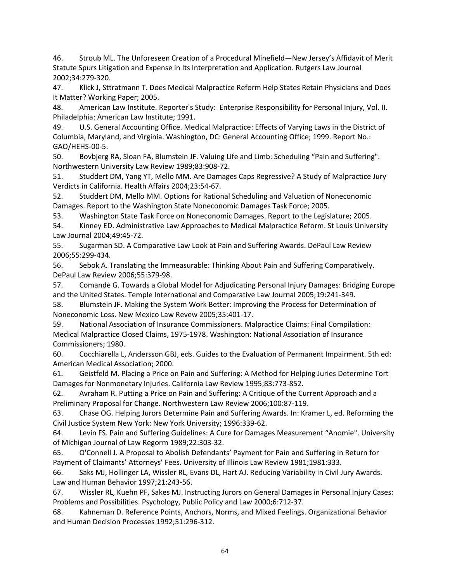46. Stroub ML. The Unforeseen Creation of a Procedural Minefield—New Jersey's Affidavit of Merit Statute Spurs Litigation and Expense in Its Interpretation and Application. Rutgers Law Journal 2002;34:279‐320.

47. Klick J, Sttratmann T. Does Medical Malpractice Reform Help States Retain Physicians and Does It Matter? Working Paper; 2005.

48. American Law Institute. Reporter's Study: Enterprise Responsibility for Personal Injury, Vol. II. Philadelphia: American Law Institute; 1991.

49. U.S. General Accounting Office. Medical Malpractice: Effects of Varying Laws in the District of Columbia, Maryland, and Virginia. Washington, DC: General Accounting Office; 1999. Report No.: GAO/HEHS‐00‐5.

50. Bovbjerg RA, Sloan FA, Blumstein JF. Valuing Life and Limb: Scheduling "Pain and Suffering". Northwestern University Law Review 1989;83:908‐72.

51. Studdert DM, Yang YT, Mello MM. Are Damages Caps Regressive? A Study of Malpractice Jury Verdicts in California. Health Affairs 2004;23:54‐67.

52. Studdert DM, Mello MM. Options for Rational Scheduling and Valuation of Noneconomic Damages. Report to the Washington State Noneconomic Damages Task Force; 2005.

53. Washington State Task Force on Noneconomic Damages. Report to the Legislature; 2005.

54. Kinney ED. Administrative Law Approaches to Medical Malpractice Reform. St Louis University Law Journal 2004;49:45‐72.

55. Sugarman SD. A Comparative Law Look at Pain and Suffering Awards. DePaul Law Review 2006;55:299‐434.

56. Sebok A. Translating the Immeasurable: Thinking About Pain and Suffering Comparatively. DePaul Law Review 2006;55:379‐98.

57. Comande G. Towards a Global Model for Adjudicating Personal Injury Damages: Bridging Europe and the United States. Temple International and Comparative Law Journal 2005;19:241‐349.

58. Blumstein JF. Making the System Work Better: Improving the Process for Determination of Noneconomic Loss. New Mexico Law Revew 2005;35:401‐17.

59. National Association of Insurance Commissioners. Malpractice Claims: Final Compilation: Medical Malpractice Closed Claims, 1975‐1978. Washington: National Association of Insurance Commissioners; 1980.

60. Cocchiarella L, Andersson GBJ, eds. Guides to the Evaluation of Permanent Impairment. 5th ed: American Medical Association; 2000.

61. Geistfeld M. Placing a Price on Pain and Suffering: A Method for Helping Juries Determine Tort Damages for Nonmonetary Injuries. California Law Review 1995;83:773‐852.

62. Avraham R. Putting a Price on Pain and Suffering: A Critique of the Current Approach and a Preliminary Proposal for Change. Northwestern Law Review 2006;100:87‐119.

63. Chase OG. Helping Jurors Determine Pain and Suffering Awards. In: Kramer L, ed. Reforming the Civil Justice System New York: New York University; 1996:339‐62.

64. Levin FS. Pain and Suffering Guidelines: A Cure for Damages Measurement "Anomie". University of Michigan Journal of Law Regorm 1989;22:303‐32.

65. O'Connell J. A Proposal to Abolish Defendants' Payment for Pain and Suffering in Return for Payment of Claimants' Attorneys' Fees. University of Illinois Law Review 1981;1981:333.

66. Saks MJ, Hollinger LA, Wissler RL, Evans DL, Hart AJ. Reducing Variability in Civil Jury Awards. Law and Human Behavior 1997;21:243‐56.

67. Wissler RL, Kuehn PF, Sakes MJ. Instructing Jurors on General Damages in Personal Injury Cases: Problems and Possibilities. Psychology, Public Policy and Law 2000;6:712‐37.

68. Kahneman D. Reference Points, Anchors, Norms, and Mixed Feelings. Organizational Behavior and Human Decision Processes 1992;51:296‐312.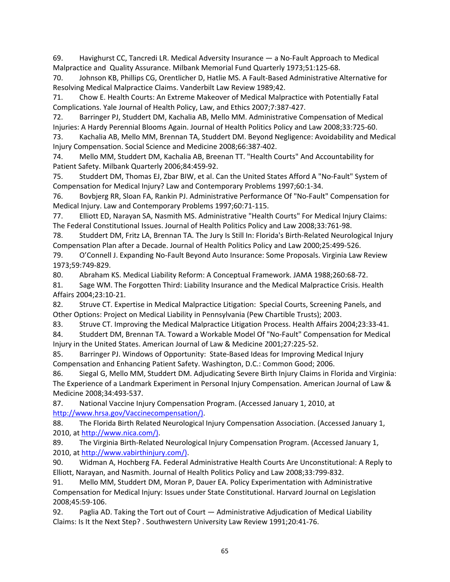69. Havighurst CC, Tancredi LR. Medical Adversity Insurance — a No‐Fault Approach to Medical Malpractice and Quality Assurance. Milbank Memorial Fund Quarterly 1973;51:125‐68.

70. Johnson KB, Phillips CG, Orentlicher D, Hatlie MS. A Fault‐Based Administrative Alternative for Resolving Medical Malpractice Claims. Vanderbilt Law Review 1989;42.

71. Chow E. Health Courts: An Extreme Makeover of Medical Malpractice with Potentially Fatal Complications. Yale Journal of Health Policy, Law, and Ethics 2007;7:387‐427.

72. Barringer PJ, Studdert DM, Kachalia AB, Mello MM. Administrative Compensation of Medical Injuries: A Hardy Perennial Blooms Again. Journal of Health Politics Policy and Law 2008;33:725‐60.

73. Kachalia AB, Mello MM, Brennan TA, Studdert DM. Beyond Negligence: Avoidability and Medical Injury Compensation. Social Science and Medicine 2008;66:387‐402.

74. Mello MM, Studdert DM, Kachalia AB, Breenan TT. "Health Courts" And Accountability for Patient Safety. Milbank Quarterly 2006;84:459‐92.

75. Studdert DM, Thomas EJ, Zbar BIW, et al. Can the United States Afford A "No‐Fault" System of Compensation for Medical Injury? Law and Contemporary Problems 1997;60:1‐34.

76. Bovbjerg RR, Sloan FA, Rankin PJ. Administrative Performance Of "No‐Fault" Compensation for Medical Injury. Law and Contemporary Problems 1997;60:71‐115.

77. Elliott ED, Narayan SA, Nasmith MS. Administrative "Health Courts" For Medical Injury Claims: The Federal Constitutional Issues. Journal of Health Politics Policy and Law 2008;33:761‐98.

78. Studdert DM, Fritz LA, Brennan TA. The Jury Is Still In: Florida's Birth‐Related Neurological Injury Compensation Plan after a Decade. Journal of Health Politics Policy and Law 2000;25:499‐526.

79. O'Connell J. Expanding No‐Fault Beyond Auto Insurance: Some Proposals. Virginia Law Review 1973;59:749‐829.

80. Abraham KS. Medical Liability Reform: A Conceptual Framework. JAMA 1988;260:68‐72.

81. Sage WM. The Forgotten Third: Liability Insurance and the Medical Malpractice Crisis. Health Affairs 2004;23:10‐21.

82. Struve CT. Expertise in Medical Malpractice Litigation: Special Courts, Screening Panels, and Other Options: Project on Medical Liability in Pennsylvania (Pew Chartible Trusts); 2003.

83. Struve CT. Improving the Medical Malpractice Litigation Process. Health Affairs 2004;23:33-41.

84. Studdert DM, Brennan TA. Toward a Workable Model Of "No-Fault" Compensation for Medical Injury in the United States. American Journal of Law & Medicine 2001;27:225‐52.

85. Barringer PJ. Windows of Opportunity: State-Based Ideas for Improving Medical Injury Compensation and Enhancing Patient Safety. Washington, D.C.: Common Good; 2006.

86. Siegal G, Mello MM, Studdert DM. Adjudicating Severe Birth Injury Claims in Florida and Virginia: The Experience of a Landmark Experiment in Personal Injury Compensation. American Journal of Law & Medicine 2008;34:493‐537.

87. National Vaccine Injury Compensation Program. (Accessed January 1, 2010, at http://www.hrsa.gov/Vaccinecompensation/).

88. The Florida Birth Related Neurological Injury Compensation Association. (Accessed January 1, 2010, at http://www.nica.com/).

89. The Virginia Birth-Related Neurological Injury Compensation Program. (Accessed January 1, 2010, at http://www.vabirthinjury.com/).

90. Widman A, Hochberg FA. Federal Administrative Health Courts Are Unconstitutional: A Reply to Elliott, Narayan, and Nasmith. Journal of Health Politics Policy and Law 2008;33:799‐832.

91. Mello MM, Studdert DM, Moran P, Dauer EA. Policy Experimentation with Administrative Compensation for Medical Injury: Issues under State Constitutional. Harvard Journal on Legislation 2008;45:59‐106.

92. Paglia AD. Taking the Tort out of Court — Administrative Adjudication of Medical Liability Claims: Is It the Next Step? . Southwestern University Law Review 1991;20:41‐76.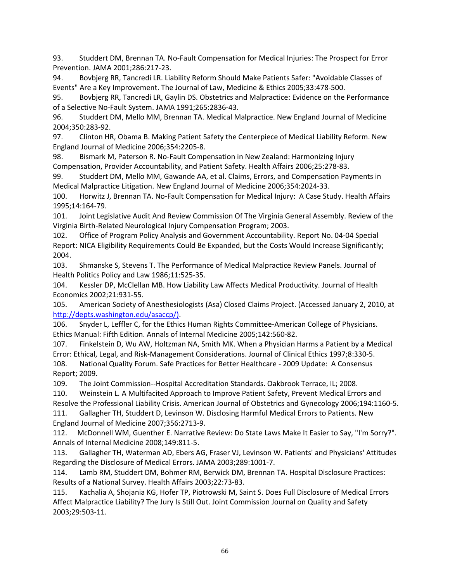93. Studdert DM, Brennan TA. No‐Fault Compensation for Medical Injuries: The Prospect for Error Prevention. JAMA 2001;286:217‐23.

94. Bovbjerg RR, Tancredi LR. Liability Reform Should Make Patients Safer: "Avoidable Classes of Events" Are a Key Improvement. The Journal of Law, Medicine & Ethics 2005;33:478‐500.

95. Bovbjerg RR, Tancredi LR, Gaylin DS. Obstetrics and Malpractice: Evidence on the Performance of a Selective No‐Fault System. JAMA 1991;265:2836‐43.

96. Studdert DM, Mello MM, Brennan TA. Medical Malpractice. New England Journal of Medicine 2004;350:283‐92.

97. Clinton HR, Obama B. Making Patient Safety the Centerpiece of Medical Liability Reform. New England Journal of Medicine 2006;354:2205‐8.

98. Bismark M, Paterson R. No-Fault Compensation in New Zealand: Harmonizing Injury Compensation, Provider Accountability, and Patient Safety. Health Affairs 2006;25:278‐83.

99. Studdert DM, Mello MM, Gawande AA, et al. Claims, Errors, and Compensation Payments in Medical Malpractice Litigation. New England Journal of Medicine 2006;354:2024‐33.

100. Horwitz J, Brennan TA. No-Fault Compensation for Medical Injury: A Case Study. Health Affairs 1995;14:164‐79.

101. Joint Legislative Audit And Review Commission Of The Virginia General Assembly. Review of the Virginia Birth‐Related Neurological Injury Compensation Program; 2003.

102. Office of Program Policy Analysis and Government Accountability. Report No. 04‐04 Special Report: NICA Eligibility Requirements Could Be Expanded, but the Costs Would Increase Significantly; 2004.

103. Shmanske S, Stevens T. The Performance of Medical Malpractice Review Panels. Journal of Health Politics Policy and Law 1986;11:525‐35.

104. Kessler DP, McClellan MB. How Liability Law Affects Medical Productivity. Journal of Health Economics 2002;21:931‐55.

105. American Society of Anesthesiologists (Asa) Closed Claims Project. (Accessed January 2, 2010, at http://depts.washington.edu/asaccp/).

106. Snyder L, Leffler C, for the Ethics Human Rights Committee‐American College of Physicians. Ethics Manual: Fifth Edition. Annals of Internal Medicine 2005;142:560‐82.

107. Finkelstein D, Wu AW, Holtzman NA, Smith MK. When a Physician Harms a Patient by a Medical Error: Ethical, Legal, and Risk‐Management Considerations. Journal of Clinical Ethics 1997;8:330‐5. 108. National Quality Forum. Safe Practices for Better Healthcare ‐ 2009 Update: A Consensus Report; 2009.

109. The Joint Commission--Hospital Accreditation Standards. Oakbrook Terrace, IL; 2008.

110. Weinstein L. A Multifacited Approach to Improve Patient Safety, Prevent Medical Errors and Resolve the Professional Liability Crisis. American Journal of Obstetrics and Gynecology 2006;194:1160‐5.

111. Gallagher TH, Studdert D, Levinson W. Disclosing Harmful Medical Errors to Patients. New England Journal of Medicine 2007;356:2713‐9.

112. McDonnell WM, Guenther E. Narrative Review: Do State Laws Make It Easier to Say, "I'm Sorry?". Annals of Internal Medicine 2008;149:811‐5.

113. Gallagher TH, Waterman AD, Ebers AG, Fraser VJ, Levinson W. Patients' and Physicians' Attitudes Regarding the Disclosure of Medical Errors. JAMA 2003;289:1001‐7.

114. Lamb RM, Studdert DM, Bohmer RM, Berwick DM, Brennan TA. Hospital Disclosure Practices: Results of a National Survey. Health Affairs 2003;22:73‐83.

115. Kachalia A, Shojania KG, Hofer TP, Piotrowski M, Saint S. Does Full Disclosure of Medical Errors Affect Malpractice Liability? The Jury Is Still Out. Joint Commission Journal on Quality and Safety 2003;29:503‐11.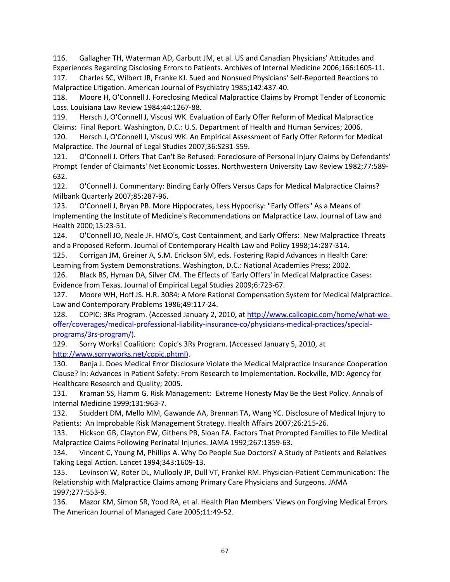116. Gallagher TH, Waterman AD, Garbutt JM, et al. US and Canadian Physicians' Attitudes and Experiences Regarding Disclosing Errors to Patients. Archives of Internal Medicine 2006;166:1605‐11.

117. Charles SC, Wilbert JR, Franke KJ. Sued and Nonsued Physicians' Self‐Reported Reactions to Malpractice Litigation. American Journal of Psychiatry 1985;142:437‐40.

118. Moore H, O'Connell J. Foreclosing Medical Malpractice Claims by Prompt Tender of Economic Loss. Louisiana Law Review 1984;44:1267‐88.

119. Hersch J, O'Connell J, Viscusi WK. Evaluation of Early Offer Reform of Medical Malpractice Claims: Final Report. Washington, D.C.: U.S. Department of Health and Human Services; 2006.

120. Hersch J, O'Connell J, Viscusi WK. An Empirical Assessment of Early Offer Reform for Medical Malpractice. The Journal of Legal Studies 2007;36:S231‐S59.

121. O'Connell J. Offers That Can't Be Refused: Foreclosure of Personal Injury Claims by Defendants' Prompt Tender of Claimants' Net Economic Losses. Northwestern University Law Review 1982;77:589‐ 632.

122. O'Connell J. Commentary: Binding Early Offers Versus Caps for Medical Malpractice Claims? Milbank Quarterly 2007;85:287‐96.

123. O'Connell J, Bryan PB. More Hippocrates, Less Hypocrisy: "Early Offers" As a Means of Implementing the Institute of Medicine's Recommendations on Malpractice Law. Journal of Law and Health 2000;15:23‐51.

124. O'Connell JO, Neale JF. HMO's, Cost Containment, and Early Offers: New Malpractice Threats and a Proposed Reform. Journal of Contemporary Health Law and Policy 1998;14:287‐314.

125. Corrigan JM, Greiner A, S.M. Erickson SM, eds. Fostering Rapid Advances in Health Care: Learning from System Demonstrations. Washington, D.C.: National Academies Press; 2002.

126. Black BS, Hyman DA, Silver CM. The Effects of 'Early Offers' in Medical Malpractice Cases: Evidence from Texas. Journal of Empirical Legal Studies 2009;6:723‐67.

127. Moore WH, Hoff JS. H.R. 3084: A More Rational Compensation System for Medical Malpractice. Law and Contemporary Problems 1986;49:117‐24.

128. COPIC: 3Rs Program. (Accessed January 2, 2010, at http://www.callcopic.com/home/what-weoffer/coverages/medical‐professional‐liability‐insurance‐co/physicians‐medical‐practices/special‐ programs/3rs‐program/).

129. Sorry Works! Coalition: Copic's 3Rs Program. (Accessed January 5, 2010, at http://www.sorryworks.net/copic.phtml).

130. Banja J. Does Medical Error Disclosure Violate the Medical Malpractice Insurance Cooperation Clause? In: Advances in Patient Safety: From Research to Implementation. Rockville, MD: Agency for Healthcare Research and Quality; 2005.

131. Kraman SS, Hamm G. Risk Management: Extreme Honesty May Be the Best Policy. Annals of Internal Medicine 1999;131:963‐7.

132. Studdert DM, Mello MM, Gawande AA, Brennan TA, Wang YC. Disclosure of Medical Injury to Patients: An Improbable Risk Management Strategy. Health Affairs 2007;26:215‐26.

133. Hickson GB, Clayton EW, Githens PB, Sloan FA. Factors That Prompted Families to File Medical Malpractice Claims Following Perinatal Injuries. JAMA 1992;267:1359‐63.

134. Vincent C, Young M, Phillips A. Why Do People Sue Doctors? A Study of Patients and Relatives Taking Legal Action. Lancet 1994;343:1609‐13.

135. Levinson W, Roter DL, Mullooly JP, Dull VT, Frankel RM. Physician‐Patient Communication: The Relationship with Malpractice Claims among Primary Care Physicians and Surgeons. JAMA 1997;277:553‐9.

136. Mazor KM, Simon SR, Yood RA, et al. Health Plan Members' Views on Forgiving Medical Errors. The American Journal of Managed Care 2005;11:49‐52.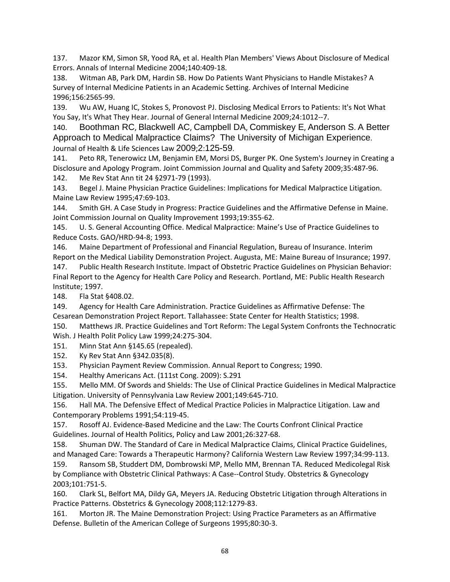137. Mazor KM, Simon SR, Yood RA, et al. Health Plan Members' Views About Disclosure of Medical Errors. Annals of Internal Medicine 2004;140:409‐18.

138. Witman AB, Park DM, Hardin SB. How Do Patients Want Physicians to Handle Mistakes? A Survey of Internal Medicine Patients in an Academic Setting. Archives of Internal Medicine 1996;156:2565‐99.

139. Wu AW, Huang IC, Stokes S, Pronovost PJ. Disclosing Medical Errors to Patients: It's Not What You Say, It's What They Hear. Journal of General Internal Medicine 2009;24:1012--7.

140. Boothman RC, Blackwell AC, Campbell DA, Commiskey E, Anderson S. A Better Approach to Medical Malpractice Claims? The University of Michigan Experience. Journal of Health & Life Sciences Law 2009;2:125-59.

141. Peto RR, Tenerowicz LM, Benjamin EM, Morsi DS, Burger PK. One System's Journey in Creating a Disclosure and Apology Program. Joint Commission Journal and Quality and Safety 2009;35:487‐96. 142. Me Rev Stat Ann tit 24 §2971‐79 (1993).

143. Begel J. Maine Physician Practice Guidelines: Implications for Medical Malpractice Litigation. Maine Law Review 1995;47:69‐103.

144. Smith GH. A Case Study in Progress: Practice Guidelines and the Affirmative Defense in Maine. Joint Commission Journal on Quality Improvement 1993;19:355‐62.

145. U. S. General Accounting Office. Medical Malpractice: Maine's Use of Practice Guidelines to Reduce Costs. GAO/HRD‐94‐8; 1993.

146. Maine Department of Professional and Financial Regulation, Bureau of Insurance. Interim Report on the Medical Liability Demonstration Project. Augusta, ME: Maine Bureau of Insurance; 1997. 147. Public Health Research Institute. Impact of Obstetric Practice Guidelines on Physician Behavior: Final Report to the Agency for Health Care Policy and Research. Portland, ME: Public Health Research Institute; 1997.

148. Fla Stat §408.02.

149. Agency for Health Care Administration. Practice Guidelines as Affirmative Defense: The Cesarean Demonstration Project Report. Tallahassee: State Center for Health Statistics; 1998.

150. Matthews JR. Practice Guidelines and Tort Reform: The Legal System Confronts the Technocratic Wish. J Health Polit Policy Law 1999;24:275‐304.

151. Minn Stat Ann §145.65 (repealed).

152. Ky Rev Stat Ann §342.035(8).

153. Physician Payment Review Commission. Annual Report to Congress; 1990.

154. Healthy Americans Act. (111st Cong. 2009): S.291

155. Mello MM. Of Swords and Shields: The Use of Clinical Practice Guidelines in Medical Malpractice Litigation. University of Pennsylvania Law Review 2001;149:645‐710.

156. Hall MA. The Defensive Effect of Medical Practice Policies in Malpractice Litigation. Law and Contemporary Problems 1991;54:119‐45.

157. Rosoff AJ. Evidence‐Based Medicine and the Law: The Courts Confront Clinical Practice Guidelines. Journal of Health Politics, Policy and Law 2001;26:327‐68.

158. Shuman DW. The Standard of Care in Medical Malpractice Claims, Clinical Practice Guidelines, and Managed Care: Towards a Therapeutic Harmony? California Western Law Review 1997;34:99‐113.

159. Ransom SB, Studdert DM, Dombrowski MP, Mello MM, Brennan TA. Reduced Medicolegal Risk by Compliance with Obstetric Clinical Pathways: A Case--Control Study. Obstetrics & Gynecology 2003;101:751‐5.

160. Clark SL, Belfort MA, Dildy GA, Meyers JA. Reducing Obstetric Litigation through Alterations in Practice Patterns. Obstetrics & Gynecology 2008;112:1279‐83.

161. Morton JR. The Maine Demonstration Project: Using Practice Parameters as an Affirmative Defense. Bulletin of the American College of Surgeons 1995;80:30‐3.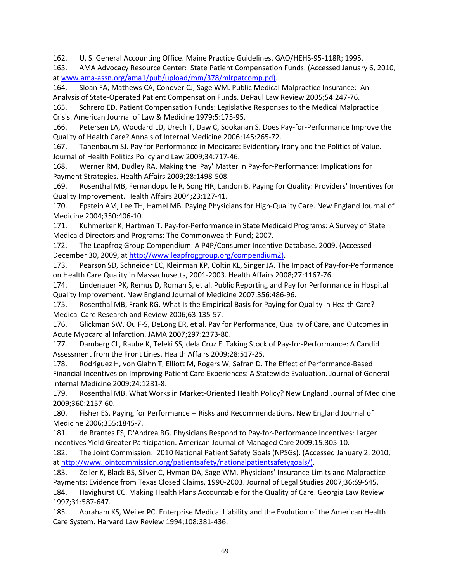162. U. S. General Accounting Office. Maine Practice Guidelines. GAO/HEHS‐95‐118R; 1995.

163. AMA Advocacy Resource Center: State Patient Compensation Funds. (Accessed January 6, 2010, at www.ama‐assn.org/ama1/pub/upload/mm/378/mlrpatcomp.pd).

164. Sloan FA, Mathews CA, Conover CJ, Sage WM. Public Medical Malpractice Insurance: An Analysis of State‐Operated Patient Compensation Funds. DePaul Law Review 2005;54:247‐76.

165. Schrero ED. Patient Compensation Funds: Legislative Responses to the Medical Malpractice Crisis. American Journal of Law & Medicine 1979;5:175‐95.

166. Petersen LA, Woodard LD, Urech T, Daw C, Sookanan S. Does Pay‐for‐Performance Improve the Quality of Health Care? Annals of Internal Medicine 2006;145:265‐72.

167. Tanenbaum SJ. Pay for Performance in Medicare: Evidentiary Irony and the Politics of Value. Journal of Health Politics Policy and Law 2009;34:717‐46.

168. Werner RM, Dudley RA. Making the 'Pay' Matter in Pay‐for‐Performance: Implications for Payment Strategies. Health Affairs 2009;28:1498‐508.

169. Rosenthal MB, Fernandopulle R, Song HR, Landon B. Paying for Quality: Providers' Incentives for Quality Improvement. Health Affairs 2004;23:127‐41.

170. Epstein AM, Lee TH, Hamel MB. Paying Physicians for High‐Quality Care. New England Journal of Medicine 2004;350:406‐10.

171. Kuhmerker K, Hartman T. Pay‐for‐Performance in State Medicaid Programs: A Survey of State Medicaid Directors and Programs: The Commonwealth Fund; 2007.

172. The Leapfrog Group Compendium: A P4P/Consumer Incentive Database. 2009. (Accessed December 30, 2009, at http://www.leapfroggroup.org/compendium2).

173. Pearson SD, Schneider EC, Kleinman KP, Coltin KL, Singer JA. The Impact of Pay‐for‐Performance on Health Care Quality in Massachusetts, 2001‐2003. Health Affairs 2008;27:1167‐76.

174. Lindenauer PK, Remus D, Roman S, et al. Public Reporting and Pay for Performance in Hospital Quality Improvement. New England Journal of Medicine 2007;356:486‐96.

175. Rosenthal MB, Frank RG. What Is the Empirical Basis for Paying for Quality in Health Care? Medical Care Research and Review 2006;63:135‐57.

176. Glickman SW, Ou F‐S, DeLong ER, et al. Pay for Performance, Quality of Care, and Outcomes in Acute Myocardial Infarction. JAMA 2007;297:2373‐80.

177. Damberg CL, Raube K, Teleki SS, dela Cruz E. Taking Stock of Pay‐for‐Performance: A Candid Assessment from the Front Lines. Health Affairs 2009;28:517‐25.

178. Rodriguez H, von Glahn T, Elliott M, Rogers W, Safran D. The Effect of Performance‐Based Financial Incentives on Improving Patient Care Experiences: A Statewide Evaluation. Journal of General Internal Medicine 2009;24:1281‐8.

179. Rosenthal MB. What Works in Market‐Oriented Health Policy? New England Journal of Medicine 2009;360:2157‐60.

180. Fisher ES. Paying for Performance -- Risks and Recommendations. New England Journal of Medicine 2006;355:1845‐7.

181. de Brantes FS, D'Andrea BG. Physicians Respond to Pay-for-Performance Incentives: Larger Incentives Yield Greater Participation. American Journal of Managed Care 2009;15:305‐10.

182. The Joint Commission: 2010 National Patient Safety Goals (NPSGs). (Accessed January 2, 2010, at http://www.jointcommission.org/patientsafety/nationalpatientsafetygoals/).

183. Zeiler K, Black BS, Silver C, Hyman DA, Sage WM. Physicians' Insurance Limits and Malpractice Payments: Evidence from Texas Closed Claims, 1990‐2003. Journal of Legal Studies 2007;36:S9‐S45.

184. Havighurst CC. Making Health Plans Accountable for the Quality of Care. Georgia Law Review 1997;31:587‐647.

185. Abraham KS, Weiler PC. Enterprise Medical Liability and the Evolution of the American Health Care System. Harvard Law Review 1994;108:381‐436.